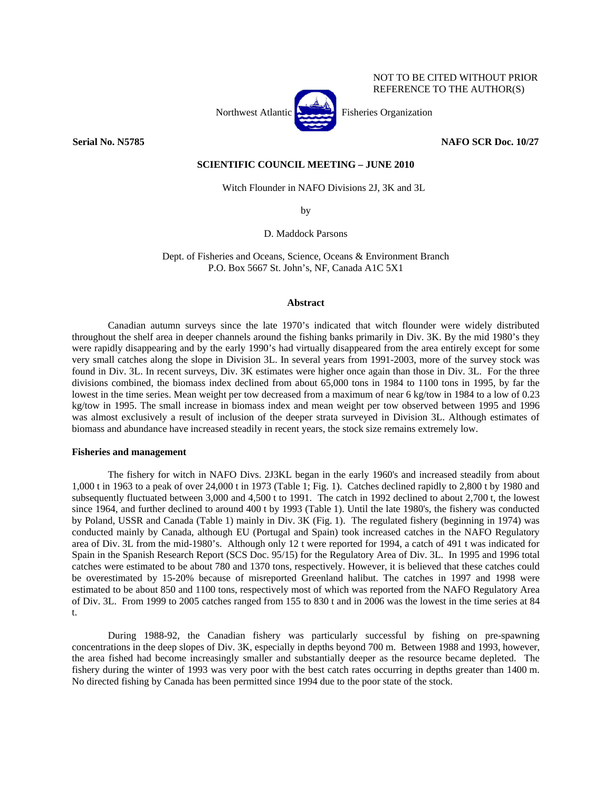

NOT TO BE CITED WITHOUT PRIOR REFERENCE TO THE AUTHOR(S)

**Serial No. N5785 NAFO SCR Doc. 10/27** 

# **SCIENTIFIC COUNCIL MEETING – JUNE 2010**

Witch Flounder in NAFO Divisions 2J, 3K and 3L

by

D. Maddock Parsons

Dept. of Fisheries and Oceans, Science, Oceans & Environment Branch P.O. Box 5667 St. John's, NF, Canada A1C 5X1

### **Abstract**

Canadian autumn surveys since the late 1970's indicated that witch flounder were widely distributed throughout the shelf area in deeper channels around the fishing banks primarily in Div. 3K. By the mid 1980's they were rapidly disappearing and by the early 1990's had virtually disappeared from the area entirely except for some very small catches along the slope in Division 3L. In several years from 1991-2003, more of the survey stock was found in Div. 3L. In recent surveys, Div. 3K estimates were higher once again than those in Div. 3L. For the three divisions combined, the biomass index declined from about 65,000 tons in 1984 to 1100 tons in 1995, by far the lowest in the time series. Mean weight per tow decreased from a maximum of near 6 kg/tow in 1984 to a low of 0.23 kg/tow in 1995. The small increase in biomass index and mean weight per tow observed between 1995 and 1996 was almost exclusively a result of inclusion of the deeper strata surveyed in Division 3L. Although estimates of biomass and abundance have increased steadily in recent years, the stock size remains extremely low.

### **Fisheries and management**

 The fishery for witch in NAFO Divs. 2J3KL began in the early 1960's and increased steadily from about 1,000 t in 1963 to a peak of over 24,000 t in 1973 (Table 1; Fig. 1). Catches declined rapidly to 2,800 t by 1980 and subsequently fluctuated between 3,000 and 4,500 t to 1991. The catch in 1992 declined to about 2,700 t, the lowest since 1964, and further declined to around 400 t by 1993 (Table 1). Until the late 1980's, the fishery was conducted by Poland, USSR and Canada (Table 1) mainly in Div. 3K (Fig. 1). The regulated fishery (beginning in 1974) was conducted mainly by Canada, although EU (Portugal and Spain) took increased catches in the NAFO Regulatory area of Div. 3L from the mid-1980's. Although only 12 t were reported for 1994, a catch of 491 t was indicated for Spain in the Spanish Research Report (SCS Doc. 95/15) for the Regulatory Area of Div. 3L. In 1995 and 1996 total catches were estimated to be about 780 and 1370 tons, respectively. However, it is believed that these catches could be overestimated by 15-20% because of misreported Greenland halibut. The catches in 1997 and 1998 were estimated to be about 850 and 1100 tons, respectively most of which was reported from the NAFO Regulatory Area of Div. 3L. From 1999 to 2005 catches ranged from 155 to 830 t and in 2006 was the lowest in the time series at 84 t.

 During 1988-92, the Canadian fishery was particularly successful by fishing on pre-spawning concentrations in the deep slopes of Div. 3K, especially in depths beyond 700 m. Between 1988 and 1993, however, the area fished had become increasingly smaller and substantially deeper as the resource became depleted. The fishery during the winter of 1993 was very poor with the best catch rates occurring in depths greater than 1400 m. No directed fishing by Canada has been permitted since 1994 due to the poor state of the stock.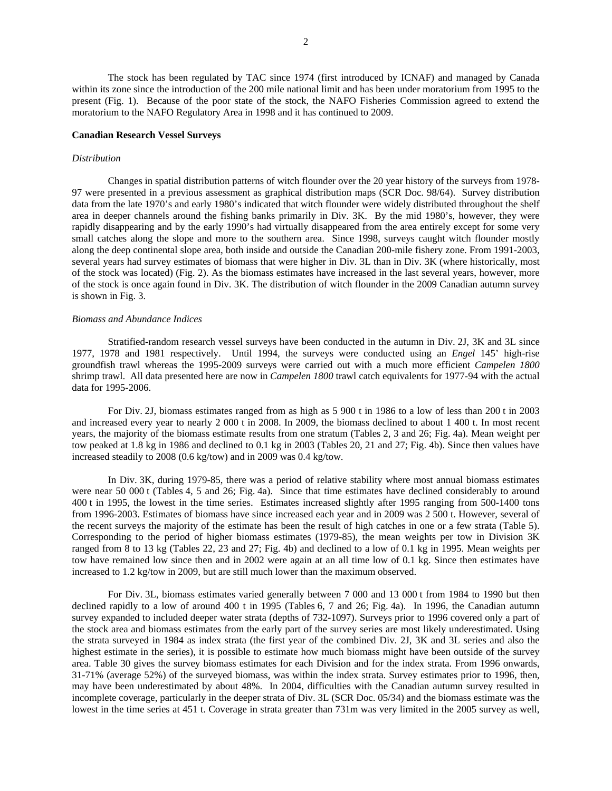The stock has been regulated by TAC since 1974 (first introduced by ICNAF) and managed by Canada within its zone since the introduction of the 200 mile national limit and has been under moratorium from 1995 to the present (Fig. 1). Because of the poor state of the stock, the NAFO Fisheries Commission agreed to extend the moratorium to the NAFO Regulatory Area in 1998 and it has continued to 2009.

### **Canadian Research Vessel Surveys**

## *Distribution*

Changes in spatial distribution patterns of witch flounder over the 20 year history of the surveys from 1978- 97 were presented in a previous assessment as graphical distribution maps (SCR Doc. 98/64). Survey distribution data from the late 1970's and early 1980's indicated that witch flounder were widely distributed throughout the shelf area in deeper channels around the fishing banks primarily in Div. 3K. By the mid 1980's, however, they were rapidly disappearing and by the early 1990's had virtually disappeared from the area entirely except for some very small catches along the slope and more to the southern area. Since 1998, surveys caught witch flounder mostly along the deep continental slope area, both inside and outside the Canadian 200-mile fishery zone. From 1991-2003, several years had survey estimates of biomass that were higher in Div. 3L than in Div. 3K (where historically, most of the stock was located) (Fig. 2). As the biomass estimates have increased in the last several years, however, more of the stock is once again found in Div. 3K. The distribution of witch flounder in the 2009 Canadian autumn survey is shown in Fig. 3.

#### *Biomass and Abundance Indices*

 Stratified-random research vessel surveys have been conducted in the autumn in Div. 2J, 3K and 3L since 1977, 1978 and 1981 respectively. Until 1994, the surveys were conducted using an *Engel* 145' high-rise groundfish trawl whereas the 1995-2009 surveys were carried out with a much more efficient *Campelen 1800* shrimp trawl. All data presented here are now in *Campelen 1800* trawl catch equivalents for 1977-94 with the actual data for 1995-2006.

For Div. 2J, biomass estimates ranged from as high as 5 900 t in 1986 to a low of less than 200 t in 2003 and increased every year to nearly 2 000 t in 2008. In 2009, the biomass declined to about 1 400 t. In most recent years, the majority of the biomass estimate results from one stratum (Tables 2, 3 and 26; Fig. 4a). Mean weight per tow peaked at 1.8 kg in 1986 and declined to 0.1 kg in 2003 (Tables 20, 21 and 27; Fig. 4b). Since then values have increased steadily to 2008 (0.6 kg/tow) and in 2009 was 0.4 kg/tow.

In Div. 3K, during 1979-85, there was a period of relative stability where most annual biomass estimates were near 50 000 t (Tables 4, 5 and 26; Fig. 4a). Since that time estimates have declined considerably to around 400 t in 1995, the lowest in the time series. Estimates increased slightly after 1995 ranging from 500-1400 tons from 1996-2003. Estimates of biomass have since increased each year and in 2009 was 2 500 t. However, several of the recent surveys the majority of the estimate has been the result of high catches in one or a few strata (Table 5). Corresponding to the period of higher biomass estimates (1979-85), the mean weights per tow in Division 3K ranged from 8 to 13 kg (Tables 22, 23 and 27; Fig. 4b) and declined to a low of 0.1 kg in 1995. Mean weights per tow have remained low since then and in 2002 were again at an all time low of 0.1 kg. Since then estimates have increased to 1.2 kg/tow in 2009, but are still much lower than the maximum observed.

For Div. 3L, biomass estimates varied generally between 7 000 and 13 000 t from 1984 to 1990 but then declined rapidly to a low of around 400 t in 1995 (Tables 6, 7 and 26; Fig. 4a). In 1996, the Canadian autumn survey expanded to included deeper water strata (depths of 732-1097). Surveys prior to 1996 covered only a part of the stock area and biomass estimates from the early part of the survey series are most likely underestimated. Using the strata surveyed in 1984 as index strata (the first year of the combined Div. 2J, 3K and 3L series and also the highest estimate in the series), it is possible to estimate how much biomass might have been outside of the survey area. Table 30 gives the survey biomass estimates for each Division and for the index strata. From 1996 onwards, 31-71% (average 52%) of the surveyed biomass, was within the index strata. Survey estimates prior to 1996, then, may have been underestimated by about 48%. In 2004, difficulties with the Canadian autumn survey resulted in incomplete coverage, particularly in the deeper strata of Div. 3L (SCR Doc. 05/34) and the biomass estimate was the lowest in the time series at 451 t. Coverage in strata greater than 731m was very limited in the 2005 survey as well,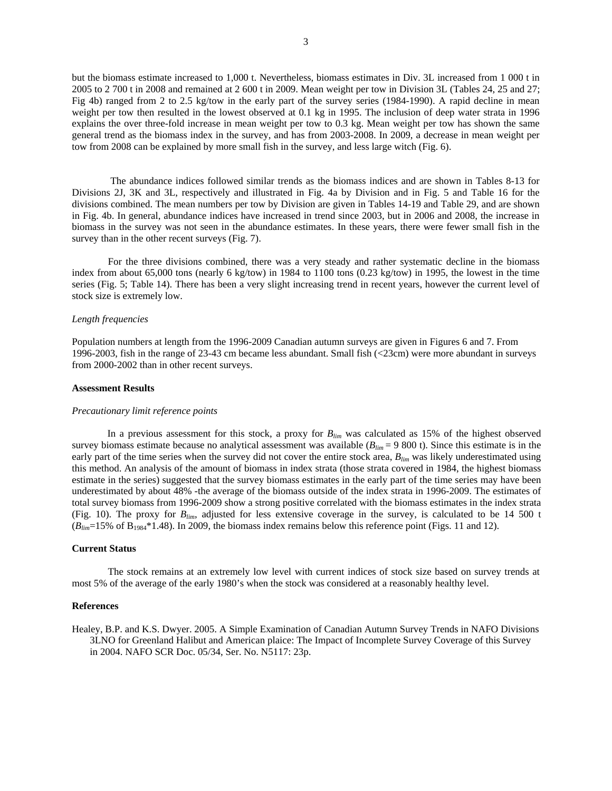but the biomass estimate increased to 1,000 t. Nevertheless, biomass estimates in Div. 3L increased from 1 000 t in 2005 to 2 700 t in 2008 and remained at 2 600 t in 2009. Mean weight per tow in Division 3L (Tables 24, 25 and 27; Fig 4b) ranged from 2 to 2.5 kg/tow in the early part of the survey series (1984-1990). A rapid decline in mean weight per tow then resulted in the lowest observed at 0.1 kg in 1995. The inclusion of deep water strata in 1996 explains the over three-fold increase in mean weight per tow to 0.3 kg. Mean weight per tow has shown the same general trend as the biomass index in the survey, and has from 2003-2008. In 2009, a decrease in mean weight per tow from 2008 can be explained by more small fish in the survey, and less large witch (Fig. 6).

 The abundance indices followed similar trends as the biomass indices and are shown in Tables 8-13 for Divisions 2J, 3K and 3L, respectively and illustrated in Fig. 4a by Division and in Fig. 5 and Table 16 for the divisions combined. The mean numbers per tow by Division are given in Tables 14-19 and Table 29, and are shown in Fig. 4b. In general, abundance indices have increased in trend since 2003, but in 2006 and 2008, the increase in biomass in the survey was not seen in the abundance estimates. In these years, there were fewer small fish in the survey than in the other recent surveys (Fig. 7).

For the three divisions combined, there was a very steady and rather systematic decline in the biomass index from about 65,000 tons (nearly 6 kg/tow) in 1984 to 1100 tons (0.23 kg/tow) in 1995, the lowest in the time series (Fig. 5; Table 14). There has been a very slight increasing trend in recent years, however the current level of stock size is extremely low.

### *Length frequencies*

Population numbers at length from the 1996-2009 Canadian autumn surveys are given in Figures 6 and 7. From 1996-2003, fish in the range of 23-43 cm became less abundant. Small fish (<23cm) were more abundant in surveys from 2000-2002 than in other recent surveys.

### **Assessment Results**

#### *Precautionary limit reference points*

In a previous assessment for this stock, a proxy for *Blim* was calculated as 15% of the highest observed survey biomass estimate because no analytical assessment was available  $(B_{lim} = 9\,800\,t)$ . Since this estimate is in the early part of the time series when the survey did not cover the entire stock area,  $B_{lim}$  was likely underestimated using this method. An analysis of the amount of biomass in index strata (those strata covered in 1984, the highest biomass estimate in the series) suggested that the survey biomass estimates in the early part of the time series may have been underestimated by about 48% -the average of the biomass outside of the index strata in 1996-2009. The estimates of total survey biomass from 1996-2009 show a strong positive correlated with the biomass estimates in the index strata (Fig. 10). The proxy for *Blim*, adjusted for less extensive coverage in the survey, is calculated to be 14 500 t (*Blim*=15% of B1984\*1.48). In 2009, the biomass index remains below this reference point (Figs. 11 and 12).

# **Current Status**

The stock remains at an extremely low level with current indices of stock size based on survey trends at most 5% of the average of the early 1980's when the stock was considered at a reasonably healthy level.

#### **References**

Healey, B.P. and K.S. Dwyer. 2005. A Simple Examination of Canadian Autumn Survey Trends in NAFO Divisions 3LNO for Greenland Halibut and American plaice: The Impact of Incomplete Survey Coverage of this Survey in 2004. NAFO SCR Doc. 05/34, Ser. No. N5117: 23p.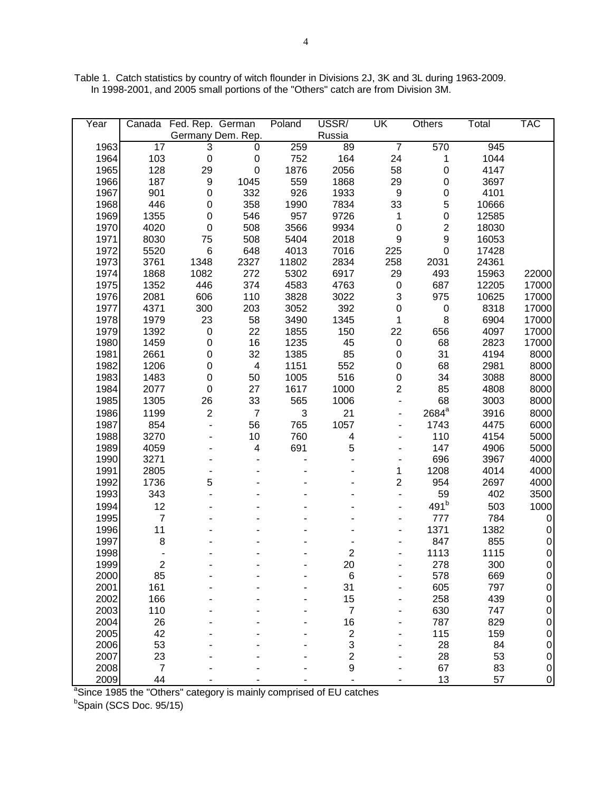Table 1. Catch statistics by country of witch flounder in Divisions 2J, 3K and 3L during 1963-2009. In 1998-2001, and 2005 small portions of the "Others" catch are from Division 3M.

| Year | Canada                  | Fed. Rep. German |                          | Poland | USSR/            | UK               | Others                  | Total | <b>TAC</b>     |
|------|-------------------------|------------------|--------------------------|--------|------------------|------------------|-------------------------|-------|----------------|
|      |                         |                  | Germany Dem. Rep.        |        | Russia           |                  |                         |       |                |
| 1963 | $\overline{17}$         | 3                | 0                        | 259    | 89               | $\overline{7}$   | 570                     | 945   |                |
| 1964 | 103                     | $\pmb{0}$        | $\pmb{0}$                | 752    | 164              | 24               | 1                       | 1044  |                |
| 1965 | 128                     | 29               | $\boldsymbol{0}$         | 1876   | 2056             | 58               | $\mathbf 0$             | 4147  |                |
| 1966 | 187                     | $\boldsymbol{9}$ | 1045                     | 559    | 1868             | 29               | 0                       | 3697  |                |
| 1967 | 901                     | $\boldsymbol{0}$ | 332                      | 926    | 1933             | $\boldsymbol{9}$ | $\mathsf 0$             | 4101  |                |
| 1968 | 446                     | $\mathbf 0$      | 358                      | 1990   | 7834             | 33               | 5                       | 10666 |                |
| 1969 | 1355                    | $\mathbf 0$      | 546                      | 957    | 9726             | 1                | $\mathsf 0$             | 12585 |                |
| 1970 | 4020                    | $\boldsymbol{0}$ | 508                      | 3566   | 9934             | $\boldsymbol{0}$ | $\overline{\mathbf{c}}$ | 18030 |                |
| 1971 | 8030                    | 75               | 508                      | 5404   | 2018             | 9                | 9                       | 16053 |                |
| 1972 | 5520                    | $\,6$            | 648                      | 4013   | 7016             | 225              | 0                       | 17428 |                |
| 1973 | 3761                    | 1348             | 2327                     | 11802  | 2834             | 258              | 2031                    | 24361 |                |
| 1974 | 1868                    | 1082             | 272                      | 5302   | 6917             | 29               | 493                     | 15963 | 22000          |
| 1975 | 1352                    | 446              | 374                      | 4583   | 4763             | $\pmb{0}$        | 687                     | 12205 | 17000          |
| 1976 | 2081                    | 606              | 110                      | 3828   | 3022             | 3                | 975                     | 10625 | 17000          |
| 1977 | 4371                    | 300              | 203                      | 3052   | 392              | $\boldsymbol{0}$ | 0                       | 8318  | 17000          |
| 1978 | 1979                    | 23               | 58                       | 3490   | 1345             | 1                | 8                       | 6904  | 17000          |
| 1979 | 1392                    | $\pmb{0}$        | 22                       | 1855   | 150              | 22               | 656                     | 4097  | 17000          |
| 1980 | 1459                    | $\boldsymbol{0}$ | 16                       | 1235   | 45               | $\,0\,$          | 68                      | 2823  | 17000          |
| 1981 | 2661                    | 0                | 32                       | 1385   | 85               | 0                | 31                      | 4194  | 8000           |
| 1982 | 1206                    | 0                | $\overline{\mathcal{A}}$ | 1151   | 552              | 0                | 68                      | 2981  | 8000           |
| 1983 | 1483                    | 0                | 50                       | 1005   | 516              | 0                | 34                      | 3088  | 8000           |
| 1984 | 2077                    | $\mathbf 0$      | 27                       | 1617   | 1000             | $\overline{c}$   | 85                      | 4808  | 8000           |
| 1985 | 1305                    | 26               | 33                       | 565    | 1006             |                  | 68                      | 3003  | 8000           |
| 1986 | 1199                    | $\overline{c}$   | $\overline{7}$           | 3      | 21               |                  | 2684 <sup>a</sup>       | 3916  | 8000           |
| 1987 | 854                     |                  | 56                       | 765    | 1057             |                  | 1743                    | 4475  | 6000           |
| 1988 | 3270                    |                  | 10                       | 760    | 4                |                  | 110                     | 4154  | 5000           |
| 1989 | 4059                    |                  | 4                        | 691    | 5                |                  | 147                     | 4906  | 5000           |
| 1990 | 3271                    |                  |                          |        |                  |                  | 696                     | 3967  | 4000           |
| 1991 | 2805                    |                  |                          |        |                  | 1                | 1208                    | 4014  | 4000           |
| 1992 | 1736                    | 5                |                          |        |                  | $\overline{c}$   | 954                     | 2697  | 4000           |
| 1993 | 343                     |                  |                          |        |                  |                  | 59                      | 402   | 3500           |
| 1994 | 12                      |                  |                          |        |                  |                  | $491^{\rm b}$           | 503   | 1000           |
| 1995 | $\overline{7}$          |                  |                          |        |                  |                  | 777                     | 784   | 0              |
| 1996 | 11                      |                  |                          |        |                  |                  | 1371                    | 1382  | $\mathbf 0$    |
| 1997 | 8                       |                  |                          |        |                  |                  | 847                     | 855   | $\mathbf 0$    |
| 1998 |                         |                  |                          |        | 2                |                  | 1113                    | 1115  | $\mathbf 0$    |
| 1999 | $\overline{\mathbf{c}}$ |                  |                          |        | 20               |                  | 278                     | 300   | 0              |
| 2000 | 85                      |                  |                          |        | $\,$ 6 $\,$      |                  | 578                     | 669   | $\overline{0}$ |
| 2001 | 161                     |                  |                          |        | 31               |                  | 605                     | 797   | 0              |
| 2002 | 166                     |                  |                          |        | 15               |                  | 258                     | 439   | 0              |
| 2003 | 110                     |                  |                          |        | $\boldsymbol{7}$ |                  | 630                     | 747   | 0              |
| 2004 | 26                      |                  |                          |        | 16               |                  | 787                     | 829   | 0              |
| 2005 | 42                      |                  |                          |        | $\overline{c}$   |                  | 115                     | 159   | 0              |
| 2006 | 53                      |                  |                          |        | 3                |                  | 28                      | 84    | 0              |
| 2007 | 23                      |                  |                          |        | $\overline{c}$   |                  | 28                      | 53    | $\pmb{0}$      |
| 2008 | $\boldsymbol{7}$        |                  |                          |        | 9                |                  | 67                      | 83    | $\mathbf 0$    |
| 2009 | 44                      |                  |                          |        |                  |                  | 13                      | 57    | $\overline{0}$ |

2009 44 - - - - - - - - - - 13 57 0<br>
<sup>a</sup>Since 1985 the "Others" category is mainly comprised of EU catches<br>
<sup>b</sup>Spain (SCS Doc. 95/15)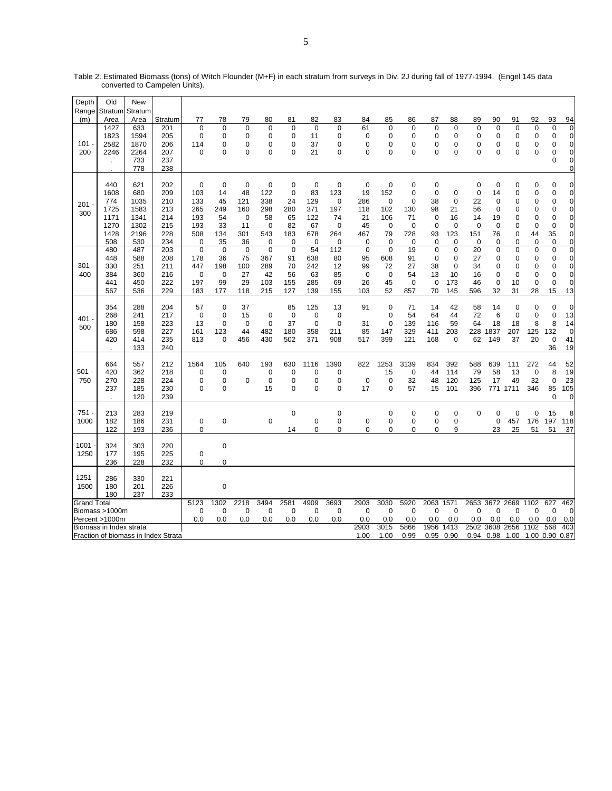| Depth              | Old                                                       | <b>New</b>                                                |                                                      |                                                            |                                                         |                                                         |                                                         |                                                                 |                                                          |                                                                 |                                                         |                                              |                                                     |                                                                       |                                                                   |                                                                         |                                                             |                                                          |                                       |                                              |                                                                                                                      |
|--------------------|-----------------------------------------------------------|-----------------------------------------------------------|------------------------------------------------------|------------------------------------------------------------|---------------------------------------------------------|---------------------------------------------------------|---------------------------------------------------------|-----------------------------------------------------------------|----------------------------------------------------------|-----------------------------------------------------------------|---------------------------------------------------------|----------------------------------------------|-----------------------------------------------------|-----------------------------------------------------------------------|-------------------------------------------------------------------|-------------------------------------------------------------------------|-------------------------------------------------------------|----------------------------------------------------------|---------------------------------------|----------------------------------------------|----------------------------------------------------------------------------------------------------------------------|
| Range              | Stratum                                                   | Stratum                                                   |                                                      |                                                            |                                                         |                                                         |                                                         |                                                                 |                                                          |                                                                 |                                                         |                                              |                                                     |                                                                       |                                                                   |                                                                         |                                                             |                                                          |                                       |                                              |                                                                                                                      |
| (m)                | Area                                                      | Area                                                      | Stratum                                              | 77                                                         | 78                                                      | 79                                                      | 80                                                      | 81                                                              | 82                                                       | 83                                                              | 84                                                      | 85                                           | 86                                                  | 87                                                                    | 88                                                                | 89                                                                      | 90                                                          | 91                                                       | 92                                    | 93                                           | 94                                                                                                                   |
| 101<br>200         | 1427<br>1823<br>2582<br>2246<br>$\mathbf{r}$              | 633<br>1594<br>1870<br>2264<br>733<br>778                 | 201<br>205<br>206<br>207<br>237<br>238               | 0<br>0<br>114<br>$\Omega$                                  | $\mathbf 0$<br>0<br>$\mathbf 0$<br>0                    | $\pmb{0}$<br>0<br>$\mathbf 0$<br>$\Omega$               | 0<br>0<br>0<br>$\Omega$                                 | $\mathbf 0$<br>0<br>0<br>$\Omega$                               | 0<br>11<br>37<br>21                                      | $\mathbf 0$<br>0<br>0<br>$\Omega$                               | 61<br>0<br>$\mathbf 0$<br>$\Omega$                      | 0<br>0<br>0<br>$\Omega$                      | $\mathbf 0$<br>0<br>0<br>$\Omega$                   | $\mathbf 0$<br>0<br>0<br>$\Omega$                                     | $\mathbf 0$<br>0<br>0<br>$\Omega$                                 | 0<br>0<br>$\mathbf 0$<br>$\Omega$                                       | 0<br>0<br>$\mathbf 0$<br>$\Omega$                           | 0<br>0<br>$\mathbf 0$<br>$\mathbf 0$                     | $\mathbf 0$<br>0<br>0<br>$\Omega$     | 0<br>0<br>0<br>$\Omega$<br>0                 | $\pmb{0}$<br>$\mathbf 0$<br>$\mathbf 0$<br>$\mathbf 0$<br>$\mathbf 0$<br>$\mathbf 0$                                 |
| 201<br>300         | 440<br>1608<br>774<br>1725<br>1171<br>1270<br>1428<br>508 | 621<br>680<br>1035<br>1583<br>1341<br>1302<br>2196<br>530 | 202<br>209<br>210<br>213<br>214<br>215<br>228<br>234 | $\mathbf 0$<br>103<br>133<br>265<br>193<br>193<br>508<br>0 | $\mathbf 0$<br>14<br>45<br>249<br>54<br>33<br>134<br>35 | $\mathbf 0$<br>48<br>121<br>160<br>0<br>11<br>301<br>36 | $\mathbf 0$<br>122<br>338<br>298<br>58<br>0<br>543<br>0 | $\mathbf 0$<br>$\mathbf 0$<br>24<br>280<br>65<br>82<br>183<br>0 | $\mathbf 0$<br>83<br>129<br>371<br>122<br>67<br>678<br>0 | $\mathbf 0$<br>123<br>$\mathbf 0$<br>197<br>74<br>0<br>264<br>0 | $\mathbf 0$<br>19<br>286<br>118<br>21<br>45<br>467<br>0 | 0<br>152<br>0<br>102<br>106<br>0<br>79<br>0  | $\mathbf 0$<br>0<br>0<br>130<br>71<br>0<br>728<br>0 | $\mathbf 0$<br>$\mathbf 0$<br>38<br>98<br>$\mathbf 0$<br>0<br>93<br>0 | $\mathbf 0$<br>$\mathbf 0$<br>21<br>16<br>$\mathbf 0$<br>123<br>0 | $\mathbf 0$<br>$\mathbf 0$<br>22<br>56<br>14<br>0<br>151<br>$\mathbf 0$ | $\mathbf 0$<br>14<br>$\mathbf 0$<br>0<br>19<br>0<br>76<br>0 | $\mathbf 0$<br>0<br>0<br>0<br>0<br>0<br>$\mathbf 0$<br>0 | 0<br>0<br>0<br>0<br>0<br>0<br>44<br>0 | $\Omega$<br>0<br>0<br>0<br>0<br>0<br>35<br>0 | $\mathbf 0$<br>$\mathbf 0$<br>$\mathbf 0$<br>$\mathbf 0$<br>$\mathbf 0$<br>$\mathbf 0$<br>$\mathbf 0$<br>$\mathbf 0$ |
| 301<br>400         | 480<br>448<br>330<br>384<br>441<br>567                    | 487<br>588<br>251<br>360<br>450<br>536                    | 203<br>208<br>211<br>216<br>222<br>229               | $\overline{0}$<br>178<br>447<br>0<br>197<br>183            | $\mathbf 0$<br>36<br>198<br>0<br>99<br>177              | $\mathbf 0$<br>75<br>100<br>27<br>29<br>118             | $\overline{0}$<br>367<br>289<br>42<br>103<br>215        | $\overline{0}$<br>91<br>70<br>56<br>155<br>127                  | 54<br>638<br>242<br>63<br>285<br>139                     | 112<br>80<br>12<br>85<br>69<br>155                              | $\mathbf 0$<br>95<br>99<br>0<br>26<br>103               | $\overline{0}$<br>608<br>72<br>0<br>45<br>52 | 19<br>91<br>27<br>54<br>$\mathbf 0$<br>857          | $\overline{0}$<br>0<br>38<br>13<br>$\mathbf 0$<br>70                  | 0<br>$\mathbf 0$<br>$\mathbf 0$<br>10<br>173<br>145               | 20<br>27<br>34<br>16<br>46<br>596                                       | $\overline{0}$<br>0<br>0<br>0<br>$\mathbf 0$<br>32          | 0<br>0<br>0<br>0<br>10<br>31                             | 0<br>0<br>0<br>0<br>0<br>28           | 0<br>0<br>0<br>$\Omega$<br>0<br>15           | $\overline{\mathbf{0}}$<br>$\mathbf 0$<br>$\mathbf 0$<br>$\overline{0}$<br>$\overline{0}$<br>13                      |
| 401<br>500         | 354<br>268<br>180<br>686<br>420                           | 288<br>241<br>158<br>598<br>414<br>133                    | 204<br>217<br>223<br>227<br>235<br>240               | 57<br>0<br>13<br>161<br>813                                | 0<br>0<br>$\mathbf 0$<br>123<br>0                       | 37<br>15<br>0<br>44<br>456                              | 0<br>$\Omega$<br>482<br>430                             | 85<br>$\mathbf 0$<br>37<br>180<br>502                           | 125<br>0<br>$\mathbf 0$<br>358<br>371                    | 13<br>0<br>$\mathbf 0$<br>211<br>908                            | 91<br>31<br>85<br>517                                   | 0<br>0<br>0<br>147<br>399                    | 71<br>54<br>139<br>329<br>121                       | 14<br>64<br>116<br>411<br>168                                         | 42<br>44<br>59<br>203<br>$\mathbf 0$                              | 58<br>72<br>64<br>228<br>62                                             | 14<br>6<br>18<br>1837<br>149                                | 0<br>0<br>18<br>207<br>37                                | $\mathbf 0$<br>0<br>8<br>125<br>20    | $\mathbf 0$<br>0<br>8<br>132<br>0<br>36      | $\pmb{0}$<br>13<br>14<br>$\mathbf 0$<br>41<br>19                                                                     |
| $501 -$<br>750     | 664<br>420<br>270<br>237                                  | 557<br>362<br>228<br>185<br>120                           | 212<br>218<br>224<br>230<br>239                      | 1564<br>0<br>$\mathbf 0$<br>0                              | 105<br>0<br>0<br>0                                      | 640<br>$\mathbf 0$                                      | 193<br>0<br>$\mathbf 0$<br>15                           | 630<br>$\mathbf 0$<br>$\mathbf 0$<br>$\Omega$                   | 1116<br>0<br>$\mathbf 0$<br>0                            | 1390<br>0<br>0<br>0                                             | 822<br>$\mathbf 0$<br>17                                | 1253<br>15<br>0<br>0                         | 3139<br>$\mathbf 0$<br>32<br>57                     | 834<br>44<br>48<br>15                                                 | 392<br>114<br>120<br>101                                          | 588<br>79<br>125<br>396                                                 | 639<br>58<br>17                                             | 111<br>13<br>49<br>771 1711                              | 272<br>$\mathbf 0$<br>32<br>346       | 44<br>8<br>$\mathbf 0$<br>85<br>0            | 52<br>19<br>23<br>105<br>0                                                                                           |
| 751<br>1000        | 213<br>182<br>122                                         | 283<br>186<br>193                                         | 219<br>231<br>236                                    | 0<br>0                                                     | $\mathbf 0$                                             |                                                         | 0                                                       | $\pmb{0}$<br>14                                                 | $\pmb{0}$<br>0                                           | 0<br>0<br>0                                                     | $\mathbf 0$<br>0                                        | 0<br>0<br>0                                  | $\mathbf 0$<br>0<br>0                               | 0<br>0<br>0                                                           | $\mathbf 0$<br>0<br>9                                             | $\Omega$                                                                | $\mathbf 0$<br>0<br>23                                      | $\mathbf 0$<br>457<br>25                                 | 0<br>176<br>51                        | 15<br>197<br>51                              | 8<br>118<br>37                                                                                                       |
| 1001<br>1250       | 324<br>177<br>236                                         | 303<br>195<br>228                                         | 220<br>225<br>232                                    | 0<br>0                                                     | $\mathbf 0$<br>0                                        |                                                         |                                                         |                                                                 |                                                          |                                                                 |                                                         |                                              |                                                     |                                                                       |                                                                   |                                                                         |                                                             |                                                          |                                       |                                              |                                                                                                                      |
| 1251<br>1500       | 286<br>180<br>180                                         | 330<br>201<br>237                                         | 221<br>226<br>233                                    |                                                            | $\mathbf 0$                                             |                                                         |                                                         |                                                                 |                                                          |                                                                 |                                                         |                                              |                                                     |                                                                       |                                                                   |                                                                         |                                                             |                                                          |                                       |                                              |                                                                                                                      |
| <b>Grand Total</b> |                                                           |                                                           |                                                      | 5123                                                       | 1302                                                    | 2218                                                    | 3494                                                    | 2581                                                            | 4909                                                     | 3693                                                            | 2903                                                    | 3030                                         | 5920                                                | 2063 1571                                                             |                                                                   |                                                                         | 2653 3672 2669                                              |                                                          | 1102                                  | 627                                          | 462                                                                                                                  |
|                    | Biomass >1000m<br>Percent >1000m                          |                                                           |                                                      | 0<br>0.0                                                   | 0<br>0.0                                                | $\pmb{0}$<br>0.0                                        | 0<br>0.0                                                | 0<br>0.0                                                        | $\mathbf 0$<br>0.0                                       | 0<br>0.0                                                        | $\mathbf 0$<br>0.0                                      | $\mathbf 0$<br>0.0                           | $\mathbf 0$<br>0.0                                  | 0<br>0.0                                                              | $\mathbf 0$<br>0.0                                                | 0<br>0.0                                                                | $\mathbf 0$<br>0.0                                          | 0<br>0.0                                                 | 0<br>0.0                              | 0<br>0.0                                     | $\mathbf 0$<br>0.0                                                                                                   |
|                    | Biomass in Index strata                                   |                                                           |                                                      |                                                            |                                                         |                                                         |                                                         |                                                                 |                                                          |                                                                 | 2903                                                    | 3015                                         | 5866                                                | 1956                                                                  | 1413                                                              | 2502                                                                    | 3608                                                        | 2656                                                     | 1102                                  | 568                                          | 403                                                                                                                  |
|                    |                                                           |                                                           | Fraction of biomass in Index Strata                  |                                                            |                                                         |                                                         |                                                         |                                                                 |                                                          |                                                                 | 1.00                                                    | 1.00                                         | 0.99                                                | 0.95                                                                  | 0.90                                                              | 0.94                                                                    | 0.98                                                        | 1.00                                                     | 1.00 0.90                             |                                              | 0.87                                                                                                                 |

Table 2. Estimated Biomass (tons) of Witch Flounder (M+F) in each stratum from surveys in Div. 2J during fall of 1977-1994. (Engel 145 data converted to Campelen Units).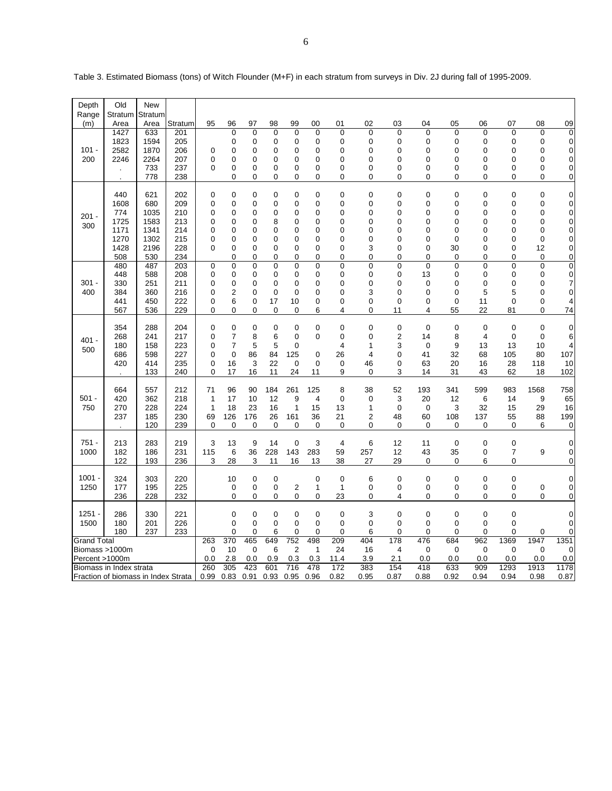| Depth                               | Old                     | New             |            |              |                     |         |                            |                  |                            |                     |                |                |               |                            |             |                            |                            |                                  |
|-------------------------------------|-------------------------|-----------------|------------|--------------|---------------------|---------|----------------------------|------------------|----------------------------|---------------------|----------------|----------------|---------------|----------------------------|-------------|----------------------------|----------------------------|----------------------------------|
| Range<br>(m)                        | Stratum<br>Area         | Stratum<br>Area | Stratum    | 95           | 96                  | 97      | 98                         | 99               | 00                         | 01                  | 02             | 03             | 04            | 05                         | 06          | 07                         | 08                         | 09                               |
|                                     | 1427                    | 633             | 201        |              | $\overline{0}$      | 0       | $\mathbf 0$                | 0                | $\mathbf 0$                | 0                   | 0              | $\mathbf 0$    | $\mathbf 0$   | 0                          | $\mathbf 0$ | $\mathbf 0$                | $\mathbf 0$                | $\overline{0}$                   |
|                                     | 1823                    | 1594            | 205        |              | 0                   | 0       | 0                          | 0                | $\mathbf 0$                | 0                   | 0              | 0              | $\mathbf 0$   | 0                          | 0           | 0                          | 0                          | 0                                |
| $101 -$                             | 2582                    | 1870            | 206        | $\mathbf 0$  | 0                   | 0       | $\mathbf 0$                | 0                | 0                          | 0                   | 0              | 0              | 0             | 0                          | 0           | $\mathbf 0$                | $\mathbf 0$                | $\overline{0}$                   |
| 200                                 | 2246                    | 2264<br>733     | 207<br>237 | 0<br>0       | $\overline{0}$<br>0 | 0       | $\mathbf 0$                | $\Omega$         | $\mathbf 0$<br>$\mathbf 0$ | $\overline{0}$<br>0 | $\Omega$<br>0  | 0              | $\Omega$<br>0 | $\Omega$<br>0              | 0<br>0      | $\Omega$<br>0              | 0                          | $\overline{0}$                   |
|                                     |                         | 778             | 238        |              | 0                   | 0<br>0  | 0<br>$\mathbf 0$           | 0<br>0           | $\mathbf 0$                | 0                   | 0              | 0<br>0         | 0             | 0                          | 0           | 0                          | 0<br>0                     | $\overline{0}$<br>$\overline{0}$ |
|                                     |                         |                 |            |              |                     |         |                            |                  |                            |                     |                |                |               |                            |             |                            |                            |                                  |
|                                     | 440                     | 621             | 202        | $\mathbf 0$  | 0                   | 0       | $\mathbf 0$                | 0                | $\mathbf 0$                | 0                   | 0              | $\mathbf 0$    | $\mathbf 0$   | $\mathbf 0$                | 0           | $\mathbf 0$                | $\mathbf 0$                | $\overline{0}$                   |
|                                     | 1608                    | 680             | 209        | 0            | 0                   | 0       | $\mathbf 0$                | 0                | $\mathbf 0$                | 0                   | 0              | 0              | 0             | 0                          | 0           | 0                          | 0                          | $\overline{0}$                   |
| $201 -$                             | 774                     | 1035            | 210        | 0            | $\mathbf 0$         | 0       | $\mathbf 0$                | 0                | $\mathbf 0$                | 0                   | 0              | 0              | 0             | $\mathbf 0$                | 0           | 0                          | 0                          | $\overline{0}$                   |
| 300                                 | 1725                    | 1583            | 213        | 0            | 0                   | 0       | 8                          | $\Omega$         | 0                          | 0                   | 0              | 0              | 0             | 0                          | 0           | 0                          | 0                          | $\overline{0}$                   |
|                                     | 1171<br>1270            | 1341<br>1302    | 214<br>215 | 0<br>0       | $\mathbf 0$<br>0    | 0<br>0  | $\mathbf 0$<br>0           | 0<br>0           | $\mathbf 0$<br>$\mathbf 0$ | 0<br>0              | 0<br>0         | 0<br>0         | 0<br>0        | $\mathbf 0$<br>$\mathbf 0$ | 0<br>0      | 0<br>0                     | $\mathbf 0$<br>$\mathbf 0$ | $\overline{0}$                   |
|                                     | 1428                    | 2196            | 228        | 0            | 0                   | 0       | 0                          | 0                | 0                          | 0                   | 3              | 0              | 0             | 30                         | 0           | 0                          | 12                         | $\overline{0}$<br>$\overline{0}$ |
|                                     | 508                     | 530             | 234        |              | 0                   | 0       | $\mathbf 0$                | 0                | $\Omega$                   | 0                   | $\Omega$       | 0              | $\Omega$      | $\mathbf 0$                | 0           | 0                          | $\mathbf 0$                | $\overline{0}$                   |
|                                     | 480                     | 487             | 203        | $\mathbf 0$  | $\overline{0}$      | 0       | $\mathbf 0$                | $\Omega$         | $\mathbf 0$                | 0                   | 0              | $\overline{0}$ | $\mathbf 0$   | $\mathbf 0$                | $\Omega$    | $\mathbf 0$                | $\mathbf 0$                | $\overline{0}$                   |
|                                     | 448                     | 588             | 208        | 0            | $\mathbf 0$         | 0       | 0                          | 0                | $\mathbf 0$                | 0                   | 0              | 0              | 13            | 0                          | 0           | 0                          | $\mathbf 0$                | $\overline{0}$                   |
| $301 -$                             | 330                     | 251             | 211        | 0            | $\mathbf 0$         | 0       | 0                          | 0                | 0                          | 0                   | 0              | 0              | 0             | 0                          | 0           | 0                          | 0                          | 7                                |
| 400                                 | 384                     | 360             | 216        | 0            | $\overline{c}$      | 0       | $\mathbf 0$                | $\Omega$         | $\mathbf 0$                | $\overline{0}$      | 3              | 0              | 0             | $\mathbf 0$                | 5           | 5                          | $\mathbf 0$                | $\overline{0}$                   |
|                                     | 441<br>567              | 450<br>536      | 222<br>229 | 0<br>0       | 6<br>0              | 0<br>0  | 17<br>0                    | 10<br>0          | 0<br>6                     | 0<br>4              | 0<br>0         | 0<br>11        | 0<br>4        | $\mathbf 0$<br>55          | 11<br>22    | $\mathbf 0$<br>81          | 0<br>0                     | 4<br>74                          |
|                                     |                         |                 |            |              |                     |         |                            |                  |                            |                     |                |                |               |                            |             |                            |                            |                                  |
|                                     | 354                     | 288             | 204        | $\mathbf 0$  | $\mathbf 0$         | 0       | $\mathbf 0$                | $\mathbf 0$      | $\mathbf 0$                | 0                   | $\overline{0}$ | $\mathbf 0$    | $\mathbf 0$   | $\mathbf 0$                | $\mathbf 0$ | $\mathbf 0$                | $\mathbf 0$                | $\overline{0}$                   |
| $401 -$                             | 268                     | 241             | 217        | 0            | 7                   | 8       | 6                          | 0                | $\mathbf 0$                | 0                   | 0              | 2              | 14            | 8                          | 4           | $\mathbf 0$                | $\mathbf 0$                | 6                                |
| 500                                 | 180                     | 158             | 223        | 0            | 7                   | 5       | 5                          | 0                |                            | 4                   | 1              | 3              | $\mathbf 0$   | 9                          | 13          | 13                         | 10                         | 4                                |
|                                     | 686                     | 598             | 227        | 0            | $\mathbf 0$         | 86      | 84                         | 125              | $\mathbf 0$                | 26                  | 4              | $\overline{0}$ | 41            | 32                         | 68          | 105                        | 80                         | 107                              |
|                                     | 420                     | 414             | 235        | 0<br>0       | 16                  | 3<br>16 | 22                         | $\Omega$         | $\mathbf 0$                | 0                   | 46             | 0<br>3         | 63            | 20                         | 16<br>43    | 28                         | 118                        | 10                               |
|                                     |                         | 133             | 240        |              | 17                  |         | 11                         | 24               | 11                         | 9                   | 0              |                | 14            | 31                         |             | 62                         | 18                         | 102                              |
|                                     | 664                     | 557             | 212        | 71           | 96                  | 90      | 184                        | 261              | 125                        | 8                   | 38             | 52             | 193           | 341                        | 599         | 983                        | 1568                       | 758                              |
| $501 -$                             | 420                     | 362             | 218        | $\mathbf{1}$ | 17                  | 10      | 12                         | 9                | $\overline{4}$             | 0                   | 0              | 3              | 20            | 12                         | 6           | 14                         | 9                          | 65                               |
| 750                                 | 270                     | 228             | 224        | $\mathbf{1}$ | 18                  | 23      | 16                         | 1                | 15                         | 13                  | $\mathbf{1}$   | $\mathbf 0$    | $\mathbf 0$   | 3                          | 32          | 15                         | 29                         | 16                               |
|                                     | 237                     | 185             | 230        | 69           | 126                 | 176     | 26                         | 161              | 36                         | 21                  | $\overline{2}$ | 48             | 60            | 108                        | 137         | 55                         | 88                         | 199                              |
|                                     |                         | 120             | 239        | $\mathbf 0$  | $\mathbf 0$         | 0       | $\mathbf 0$                | $\mathbf 0$      | $\mathbf 0$                | 0                   | 0              | 0              | $\Omega$      | 0                          | $\mathbf 0$ | $\Omega$                   | 6                          | 0                                |
| 751 -                               | 213                     | 283             | 219        | 3            | 13                  | 9       | 14                         | $\mathbf 0$      | 3                          | 4                   | 6              | 12             | 11            | $\mathbf 0$                | $\mathbf 0$ | 0                          |                            | 0                                |
| 1000                                | 182                     | 186             | 231        | 115          | 6                   | 36      | 228                        | 143              | 283                        | 59                  | 257            | 12             | 43            | 35                         | 0           | 7                          | 9                          | 0                                |
|                                     | 122                     | 193             | 236        | 3            | 28                  | 3       | 11                         | 16               | 13                         | 38                  | 27             | 29             | $\mathbf 0$   | 0                          | 6           | 0                          |                            | 0                                |
| $1001 -$                            | 324                     | 303             | 220        |              | 10                  | 0       | $\mathbf 0$                |                  | $\mathbf 0$                | 0                   | 6              | $\mathbf 0$    | $\mathbf 0$   | 0                          | 0           | $\mathbf 0$                |                            | 0                                |
| 1250                                | 177                     | 195             | 225        |              | 0                   | 0       | $\mathbf 0$                | $\overline{2}$   | $\mathbf{1}$               | 1                   | 0              | 0              | 0             | 0                          | 0           | $\mathbf 0$                | 0                          | $\overline{0}$                   |
|                                     | 236                     | 228             | 232        |              | $\mathbf 0$         | 0       | $\mathbf 0$                | 0                | $\mathbf 0$                | 23                  | 0              | 4              | 0             | 0                          | 0           | $\Omega$                   | 0                          | $\overline{0}$                   |
|                                     |                         |                 |            |              |                     |         |                            |                  |                            |                     |                |                |               |                            |             |                            |                            |                                  |
| $1251 -$                            | 286                     | 330             | 221        |              | 0<br>$\overline{0}$ | 0<br>0  | $\mathbf 0$<br>$\mathbf 0$ | 0<br>$\mathbf 0$ | $\mathbf 0$                | 0<br>0              | 3              | 0              | 0<br>0        | 0<br>$\overline{0}$        | 0<br>0      | $\mathbf 0$<br>$\mathbf 0$ |                            | $\overline{0}$                   |
| 1500                                | 180<br>180              | 201<br>237      | 226<br>233 |              | 0                   | 0       | 6                          | $\mathbf 0$      | $\mathbf 0$<br>0           | 0                   | 0<br>6         | 0<br>0         | 0             | $\mathbf 0$                | $\mathbf 0$ | 0                          | $\mathbf 0$                | 0<br>0                           |
| <b>Grand Total</b>                  |                         |                 |            | 263          | 370                 | 465     | 649                        | 752              | 498                        | 209                 | 404            | 178            | 476           | 684                        | 962         | 1369                       | 1947                       | 1351                             |
| Biomass >1000m                      |                         |                 |            | $\mathbf 0$  | 10                  | 0       | 6                          | 2                | $\mathbf 1$                | 24                  | 16             | $\overline{4}$ | $\mathbf 0$   | $\mathbf 0$                | 0           | 0                          | $\mathbf 0$                | 0                                |
| Percent >1000m                      |                         |                 |            | 0.0          | 2.8                 | 0.0     | 0.9                        | 0.3              | 0.3                        | 11.4                | 3.9            | 2.1            | 0.0           | 0.0                        | 0.0         | 0.0                        | 0.0                        | 0.0                              |
|                                     | Biomass in Index strata |                 |            | 260          | 305                 | 423     | 601                        | 716              | 478                        | 172                 | 383            | 154            | 418           | 633                        | 909         | 1293                       | 1913                       | 1178                             |
| Fraction of biomass in Index Strata |                         |                 |            | 0.99         | 0.83                | 0.91    | 0.93                       | 0.95             | 0.96                       | 0.82                | 0.95           | 0.87           | 0.88          | 0.92                       | 0.94        | 0.94                       | 0.98                       | 0.87                             |

Table 3. Estimated Biomass (tons) of Witch Flounder (M+F) in each stratum from surveys in Div. 2J during fall of 1995-2009.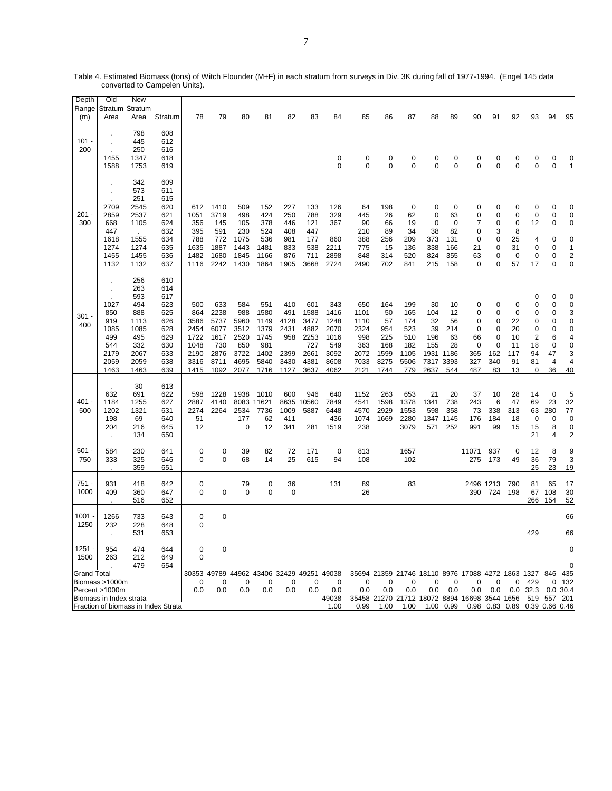| Depth<br>Range     | Old<br>Stratum                                                   | New<br>Stratum                                                                        |                                                                                  |                                                                    |                                                                    |                                                                   |                                                                    |                                                           |                                                                    |                                                                    |                                                                   |                                                              |                                                               |                                                                  |                                                  |                                                                   |                                                       |                                                             |                                                             |                                                                   |                                                                             |
|--------------------|------------------------------------------------------------------|---------------------------------------------------------------------------------------|----------------------------------------------------------------------------------|--------------------------------------------------------------------|--------------------------------------------------------------------|-------------------------------------------------------------------|--------------------------------------------------------------------|-----------------------------------------------------------|--------------------------------------------------------------------|--------------------------------------------------------------------|-------------------------------------------------------------------|--------------------------------------------------------------|---------------------------------------------------------------|------------------------------------------------------------------|--------------------------------------------------|-------------------------------------------------------------------|-------------------------------------------------------|-------------------------------------------------------------|-------------------------------------------------------------|-------------------------------------------------------------------|-----------------------------------------------------------------------------|
| (m)                | Area                                                             | Area                                                                                  | Stratum                                                                          | 78                                                                 | 79                                                                 | 80                                                                | 81                                                                 | 82                                                        | 83                                                                 | 84                                                                 | 85                                                                | 86                                                           | 87                                                            | 88                                                               | 89                                               | 90                                                                | 91                                                    | 92                                                          | 93                                                          | 94                                                                | 95                                                                          |
| $101 -$<br>200     | 1455<br>1588                                                     | 798<br>445<br>250<br>1347<br>1753                                                     | 608<br>612<br>616<br>618<br>619                                                  |                                                                    |                                                                    |                                                                   |                                                                    |                                                           |                                                                    | 0<br>$\mathbf 0$                                                   | 0<br>0                                                            | 0<br>$\mathbf 0$                                             | 0<br>0                                                        | 0<br>0                                                           | 0<br>0                                           | $\mathbf 0$<br>0                                                  | 0<br>0                                                | 0<br>0                                                      | 0<br>0                                                      | 0<br>$\mathbf 0$                                                  | 0<br>$\mathbf{1}$                                                           |
| 201<br>300         | 2709<br>2859<br>668<br>447<br>1618<br>1274<br>1455<br>1132       | 342<br>573<br>251<br>2545<br>2537<br>1105<br>1555<br>1274<br>1455<br>1132             | 609<br>611<br>615<br>620<br>621<br>624<br>632<br>634<br>635<br>636<br>637        | 612<br>1051<br>356<br>395<br>788<br>1635<br>1482<br>1116           | 1410<br>3719<br>145<br>591<br>772<br>1887<br>1680<br>2242          | 509<br>498<br>105<br>230<br>1075<br>1443<br>1845<br>1430          | 152<br>424<br>378<br>524<br>536<br>1481<br>1166<br>1864            | 227<br>250<br>446<br>408<br>981<br>833<br>876<br>1905     | 133<br>788<br>121<br>447<br>177<br>538<br>711<br>3668              | 126<br>329<br>367<br>860<br>2211<br>2898<br>2724                   | 64<br>445<br>90<br>210<br>388<br>775<br>848<br>2490               | 198<br>26<br>66<br>89<br>256<br>15<br>314<br>702             | 0<br>62<br>19<br>34<br>209<br>136<br>520<br>841               | 0<br>$\mathbf 0$<br>0<br>38<br>373<br>338<br>824<br>215          | 0<br>63<br>0<br>82<br>131<br>166<br>355<br>158   | $\Omega$<br>0<br>7<br>$\mathbf 0$<br>0<br>21<br>63<br>0           | 0<br>0<br>0<br>3<br>0<br>0<br>0<br>0                  | 0<br>0<br>0<br>8<br>25<br>31<br>$\mathbf 0$<br>57           | 0<br>0<br>12<br>4<br>0<br>0<br>17                           | 0<br>0<br>0<br>0<br>$\Omega$<br>0<br>$\Omega$                     | 0<br>$\mathbf 0$<br>$\mathbf 0$<br>0<br>1<br>2<br>$\pmb{0}$                 |
| 301<br>400         | 1027<br>850<br>919<br>1085<br>499<br>544<br>2179<br>2059<br>1463 | 256<br>263<br>593<br>494<br>888<br>1113<br>1085<br>495<br>332<br>2067<br>2059<br>1463 | 610<br>614<br>617<br>623<br>625<br>626<br>628<br>629<br>630<br>633<br>638<br>639 | 500<br>864<br>3586<br>2454<br>1722<br>1048<br>2190<br>3316<br>1415 | 633<br>2238<br>5737<br>6077<br>1617<br>730<br>2876<br>8711<br>1092 | 584<br>988<br>5960<br>3512<br>2520<br>850<br>3722<br>4695<br>2077 | 551<br>1580<br>1149<br>1379<br>1745<br>981<br>1402<br>5840<br>1716 | 410<br>491<br>4128<br>2431<br>958<br>2399<br>3430<br>1127 | 601<br>1588<br>3477<br>4882<br>2253<br>727<br>2661<br>4381<br>3637 | 343<br>1416<br>1248<br>2070<br>1016<br>549<br>3092<br>8608<br>4062 | 650<br>1101<br>1110<br>2324<br>998<br>363<br>2072<br>7033<br>2121 | 164<br>50<br>57<br>954<br>225<br>168<br>1599<br>8275<br>1744 | 199<br>165<br>174<br>523<br>510<br>182<br>1105<br>5506<br>779 | 30<br>104<br>32<br>39<br>196<br>155<br>1931 1186<br>7317<br>2637 | 10<br>12<br>56<br>214<br>63<br>28<br>3393<br>544 | 0<br>0<br>0<br>$\Omega$<br>66<br>$\mathbf 0$<br>365<br>327<br>487 | 0<br>0<br>0<br>$\Omega$<br>0<br>0<br>162<br>340<br>83 | 0<br>$\mathbf 0$<br>22<br>20<br>10<br>11<br>117<br>91<br>13 | $\mathbf 0$<br>0<br>0<br>0<br>0<br>2<br>18<br>94<br>81<br>0 | $\mathbf 0$<br>0<br>0<br>0<br>$\Omega$<br>6<br>0<br>47<br>4<br>36 | 0<br>$\mathbf 0$<br>3<br>$\pmb{0}$<br>0<br>4<br>$\mathbf 0$<br>3<br>4<br>40 |
| $401 -$<br>500     | 632<br>1184<br>1202<br>198<br>204                                | 30<br>691<br>1255<br>1321<br>69<br>216<br>134                                         | 613<br>622<br>627<br>631<br>640<br>645<br>650                                    | 598<br>2887<br>2274<br>51<br>12                                    | 1228<br>4140<br>2264                                               | 1938<br>8083<br>2534<br>177<br>$\mathbf 0$                        | 1010<br>11621<br>7736<br>62<br>12                                  | 600<br>8635<br>1009<br>411<br>341                         | 946<br>10560<br>5887<br>281                                        | 640<br>7849<br>6448<br>436<br>1519                                 | 1152<br>4541<br>4570<br>1074<br>238                               | 263<br>1598<br>2929<br>1669                                  | 653<br>1378<br>1553<br>2280<br>3079                           | 21<br>1341<br>598<br>1347 1145<br>571                            | 20<br>738<br>358<br>252                          | 37<br>243<br>73<br>176<br>991                                     | 10<br>6<br>338<br>184<br>99                           | 28<br>47<br>313<br>18<br>15                                 | 14<br>69<br>63<br>0<br>15<br>21                             | $\mathbf 0$<br>23<br>280<br>0<br>8<br>4                           | 5<br>32<br>77<br>0<br>0<br>$\overline{2}$                                   |
| 501 -<br>750       | 584<br>333                                                       | 230<br>325<br>359                                                                     | 641<br>646<br>651                                                                | 0<br>0                                                             | $\mathbf 0$<br>0                                                   | 39<br>68                                                          | 82<br>14                                                           | 72<br>25                                                  | 171<br>615                                                         | 0<br>94                                                            | 813<br>108                                                        |                                                              | 1657<br>102                                                   |                                                                  |                                                  | 11071<br>275                                                      | 937<br>173                                            | $\mathbf 0$<br>49                                           | 12<br>36<br>25                                              | 8<br>79<br>23                                                     | 9<br>3<br>19                                                                |
| 751<br>1000        | 931<br>409                                                       | 418<br>360<br>516                                                                     | 642<br>647<br>652                                                                | 0<br>0                                                             | $\mathbf 0$                                                        | 79<br>0                                                           | 0<br>0                                                             | 36<br>0                                                   |                                                                    | 131                                                                | 89<br>26                                                          |                                                              | 83                                                            |                                                                  |                                                  | 2496 1213<br>390                                                  | 724                                                   | 790<br>198                                                  | 81<br>67<br>266                                             | 65<br>108<br>154                                                  | 17<br>30<br>52                                                              |
| 1001<br>1250       | 1266<br>232                                                      | 733<br>228<br>531                                                                     | 643<br>648<br>653                                                                | $\mathbf 0$<br>0                                                   | $\mathbf 0$                                                        |                                                                   |                                                                    |                                                           |                                                                    |                                                                    |                                                                   |                                                              |                                                               |                                                                  |                                                  |                                                                   |                                                       |                                                             | 429                                                         |                                                                   | 66<br>66                                                                    |
| 1251<br>1500       | 954<br>263                                                       | 474<br>212<br>479                                                                     | 644<br>649<br>654                                                                | 0<br>0                                                             | $\mathbf 0$                                                        |                                                                   |                                                                    |                                                           |                                                                    |                                                                    |                                                                   |                                                              |                                                               |                                                                  |                                                  |                                                                   |                                                       |                                                             |                                                             |                                                                   | 0<br>O                                                                      |
| <b>Grand Total</b> | Biomass >1000m<br>Percent >1000m                                 |                                                                                       |                                                                                  | 30353 49789<br>0<br>0.0                                            | 0<br>0.0                                                           | 0<br>0.0                                                          | 44962 43406 32429<br>0<br>0.0                                      | 0<br>0.0                                                  | 49251<br>$\mathbf 0$<br>0.0                                        | 49038<br>0<br>0.0                                                  | 0<br>0.0                                                          | 0<br>0.0                                                     | 0<br>0.0                                                      | 0<br>0.0                                                         | 0<br>0.0                                         | 35694 21359 21746 18110 8976 17088 4272<br>0<br>0.0               | 0<br>0.0                                              | 1863 1327<br>0<br>0.0                                       | 429<br>32.3                                                 | 846<br>0<br>0.0                                                   | 435<br>132<br>30.4                                                          |
|                    | Biomass in Index strata                                          |                                                                                       | Fraction of biomass in Index Strata                                              |                                                                    |                                                                    |                                                                   |                                                                    |                                                           |                                                                    | 49038<br>1.00                                                      | 35458<br>0.99                                                     | 21270 21712<br>1.00                                          | 1.00                                                          | 18072 8894<br>1.00                                               | 0.99                                             | 16698<br>0.98                                                     | 3544<br>0.83                                          | 1656<br>0.89                                                | 519<br>0.39 0.66                                            | 557                                                               | 201<br>0.46                                                                 |

Table 4. Estimated Biomass (tons) of Witch Flounder (M+F) in each stratum from surveys in Div. 3K during fall of 1977-1994. (Engel 145 data converted to Campelen Units).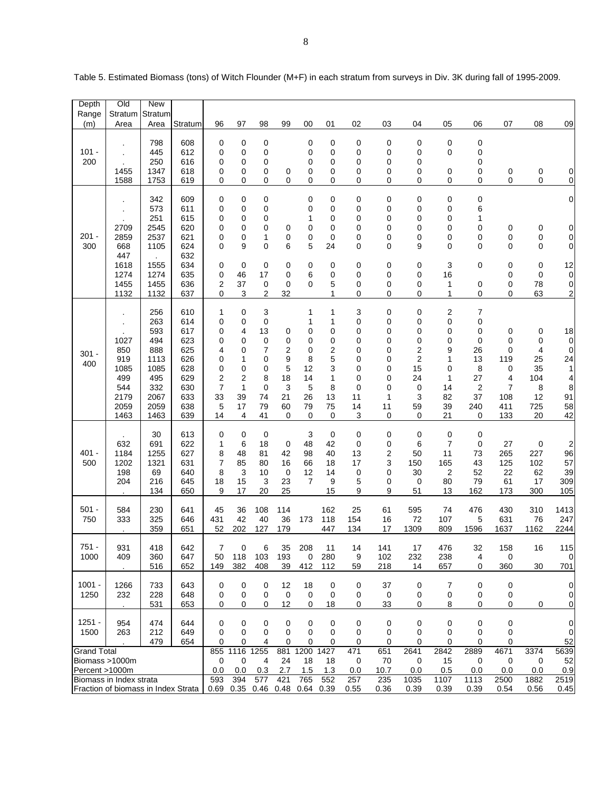| Depth              | Old                                                            | New             |            |                              |            |                  |                    |                  |             |             |             |              |                      |              |                |                   |                                  |
|--------------------|----------------------------------------------------------------|-----------------|------------|------------------------------|------------|------------------|--------------------|------------------|-------------|-------------|-------------|--------------|----------------------|--------------|----------------|-------------------|----------------------------------|
| Range<br>(m)       | Stratum<br>Area                                                | Stratum<br>Area | Stratum    | 96                           | 97         | 98               | 99                 | 00               | 01          | 02          | 03          | 04           | 05                   | 06           | 07             | 08                | 09                               |
|                    |                                                                |                 |            |                              |            |                  |                    |                  |             |             |             |              |                      |              |                |                   |                                  |
|                    |                                                                | 798             | 608        | 0                            | 0          | 0                |                    | 0                | 0           | 0           | 0           | 0            | $\mathbf 0$          | 0            |                |                   |                                  |
| $101 -$<br>200     |                                                                | 445<br>250      | 612<br>616 | 0<br>0                       | 0<br>0     | 0<br>0           |                    | 0<br>0           | 0<br>0      | 0<br>0      | 0<br>0      | 0<br>0       | 0                    | 0<br>0       |                |                   |                                  |
|                    | 1455                                                           | 1347            | 618        | 0                            | 0          | 0                | 0                  | 0                | 0           | 0           | 0           | 0            | 0                    | 0            | 0              | 0                 | $\overline{0}$                   |
|                    | 1588                                                           | 1753            | 619        | 0                            | 0          | 0                | 0                  | 0                | 0           | 0           | 0           | 0            | 0                    | 0            | 0              | 0                 | 0                                |
|                    |                                                                | 342             | 609        |                              | 0          | 0                |                    | $\mathbf 0$      | $\mathbf 0$ | 0           | 0           | 0            | $\mathbf 0$          | 0            |                |                   | $\mathbf 0$                      |
|                    |                                                                | 573             | 611        | 0<br>0                       | 0          | 0                |                    | 0                | 0           | 0           | 0           | 0            | 0                    | 6            |                |                   |                                  |
|                    |                                                                | 251             | 615        | 0                            | 0          | 0                |                    | 1                | 0           | 0           | 0           | 0            | 0                    | 1            |                |                   |                                  |
|                    | 2709                                                           | 2545            | 620        | 0                            | 0          | 0                | 0                  | 0                | 0           | 0           | 0           | 0            | 0                    | 0            | 0              | 0                 | 0                                |
| $201 -$<br>300     | 2859<br>668                                                    | 2537<br>1105    | 621<br>624 | 0<br>0                       | 0<br>9     | 1<br>0           | 0<br>6             | 0<br>5           | 0<br>24     | 0<br>0      | 0<br>0      | 0<br>9       | 0<br>0               | 0<br>0       | 0<br>0         | 0<br>0            | $\overline{0}$<br>$\overline{0}$ |
|                    | 447                                                            |                 | 632        |                              |            |                  |                    |                  |             |             |             |              |                      |              |                |                   |                                  |
|                    | 1618                                                           | 1555            | 634        | 0                            | 0          | 0                | 0                  | 0                | $\mathbf 0$ | 0           | 0           | 0            | 3                    | 0            | 0              | 0                 | 12                               |
|                    | 1274<br>1455                                                   | 1274<br>1455    | 635<br>636 | 0<br>$\overline{\mathbf{c}}$ | 46<br>37   | 17<br>0          | 0<br>0             | 6<br>$\mathbf 0$ | 0<br>5      | 0           | 0           | 0            | 16<br>1              |              | 0<br>0         | $\mathbf 0$<br>78 | 0                                |
|                    | 1132                                                           | 1132            | 637        | 0                            | 3          | 2                | 32                 |                  | 1           | 0<br>0      | 0<br>0      | 0<br>0       | 1                    | 0<br>0       | 0              | 63                | $\overline{0}$<br>2              |
|                    |                                                                |                 |            |                              |            |                  |                    |                  |             |             |             |              |                      |              |                |                   |                                  |
|                    |                                                                | 256             | 610        | 1                            | 0          | 3                |                    | 1                | 1           | 3           | 0           | 0            | 2                    | 7            |                |                   |                                  |
|                    |                                                                | 263<br>593      | 614<br>617 | 0<br>0                       | 0<br>4     | 0<br>13          | 0                  | 1<br>0           | 1<br>0      | 0<br>0      | 0<br>0      | 0<br>0       | 0<br>0               | 0<br>0       | 0              | 0                 | 18                               |
|                    | 1027                                                           | 494             | 623        | 0                            | 0          | $\boldsymbol{0}$ | 0                  | 0                | 0           | 0           | 0           | 0            | 0                    | 0            | 0              | 0                 | 0                                |
| $301 -$            | 850                                                            | 888             | 625        | 4                            | 0          | $\overline{7}$   | 2                  | 0                | 2           | 0           | 0           | 2            | 9                    | 26           | 0              | 4                 | 0                                |
| 400                | 919<br>1085                                                    | 1113<br>1085    | 626<br>628 | 0<br>0                       | 1<br>0     | 0<br>0           | 9<br>5             | 8<br>12          | 5<br>3      | 0<br>0      | 0<br>0      | 2<br>15      | 1<br>0               | 13<br>8      | 119<br>0       | 25<br>35          | 24<br>1                          |
|                    | 499                                                            | 495             | 629        | $\overline{\mathbf{c}}$      | 2          | 8                | 18                 | 14               | 1           | 0           | 0           | 24           | 1                    | 27           | 4              | 104               | 4                                |
|                    | 544                                                            | 332             | 630        | 7                            | 1          | 0                | 3                  | 5                | 8           | 0           | 0           | 0            | 14                   | 2            | $\overline{7}$ | 8                 | 8                                |
|                    | 2179                                                           | 2067            | 633        | 33                           | 39         | 74               | 21                 | 26               | 13          | 11          | 1           | 3            | 82                   | 37           | 108            | 12                | 91                               |
|                    | 2059<br>1463                                                   | 2059<br>1463    | 638<br>639 | 5<br>14                      | 17<br>4    | 79<br>41         | 60<br>0            | 79<br>0          | 75<br>0     | 14<br>3     | 11<br>0     | 59<br>0      | 39<br>21             | 240<br>0     | 411<br>133     | 725<br>20         | 58<br>42                         |
|                    |                                                                |                 |            |                              |            |                  |                    |                  |             |             |             |              |                      |              |                |                   |                                  |
|                    | 632                                                            | 30              | 613<br>622 | 0                            | 0          | $\boldsymbol{0}$ |                    | 3                | $\mathbf 0$ | 0<br>0      | 0           | $\mathbf 0$  | $\mathbf 0$          | 0            |                |                   |                                  |
| $401 -$            | 1184                                                           | 691<br>1255     | 627        | 1<br>8                       | 6<br>48    | 18<br>81         | $\mathbf 0$<br>42  | 48<br>98         | 42<br>40    | 13          | 0<br>2      | 6<br>50      | $\overline{7}$<br>11 | 0<br>73      | 27<br>265      | 0<br>227          | 2<br>96                          |
| 500                | 1202                                                           | 1321            | 631        | 7                            | 85         | 80               | 16                 | 66               | 18          | 17          | 3           | 150          | 165                  | 43           | 125            | 102               | 57                               |
|                    | 198                                                            | 69              | 640        | 8                            | 3          | 10               | 0                  | 12               | 14          | 0           | 0           | 30           | 2                    | 52           | 22             | 62                | 39                               |
|                    | 204                                                            | 216<br>134      | 645<br>650 | 18<br>9                      | 15<br>17   | 3<br>20          | 23<br>25           | 7                | 9<br>15     | 5<br>9      | 0<br>9      | 0<br>51      | 80<br>13             | 79<br>162    | 61<br>173      | 17<br>300         | 309<br>105                       |
|                    |                                                                |                 |            |                              |            |                  |                    |                  |             |             |             |              |                      |              |                |                   |                                  |
| $501 -$            | 584                                                            | 230             | 641        | 45                           | 36         | 108              | 114                |                  | 162         | 25          | 61          | 595          | 74                   | 476          | 430            | 310               | 1413                             |
| 750                | 333                                                            | 325<br>359      | 646<br>651 | 431<br>52                    | 42<br>202  | 40<br>127        | 36<br>179          | 173              | 118<br>447  | 154<br>134  | 16<br>17    | 72<br>1309   | 107<br>809           | 5<br>1596    | 631<br>1637    | 76<br>1162        | 247<br>2244                      |
|                    |                                                                |                 |            |                              |            |                  |                    |                  |             |             |             |              |                      |              |                |                   |                                  |
| 751                | 931                                                            | 418             | 642        | 7                            | 0          | 6                | 35                 | 208              | 11          | 14          | 141         | 17           | 476                  | 32           | 158            | 16                | 115                              |
| 1000               | 409                                                            | 360<br>516      | 647<br>652 | 50<br>149                    | 118<br>382 | 103<br>408       | 193<br>39          | 0<br>412         | 280<br>112  | 9<br>59     | 102<br>218  | 232<br>14    | 238<br>657           | 4<br>0       | 0<br>360       | 30                | $\mathbf 0$<br>701               |
|                    |                                                                |                 |            |                              |            |                  |                    |                  |             |             |             |              |                      |              |                |                   |                                  |
| $1001 -$           | 1266                                                           | 733             | 643        | 0                            | 0          | 0                | 12                 | 18               | 0           | 0           | 37          | 0            | 7                    | 0            | 0              |                   | 0                                |
| 1250               | 232                                                            | 228             | 648        | 0                            | 0          | 0                | $\mathbf 0$        | 0                | $\mathbf 0$ | 0           | 0           | 0            | 0                    | 0            | 0              |                   | 0                                |
|                    |                                                                | 531             | 653        | 0                            | 0          | 0                | 12                 | 0                | 18          | 0           | 33          | 0            | 8                    | 0            | 0              | 0                 | 0                                |
| $1251 -$           | 954                                                            | 474             | 644        | 0                            | 0          | 0                | 0                  | 0                | 0           | 0           | 0           | 0            | $\mathbf 0$          | 0            | 0              |                   | $\mathbf 0$                      |
| 1500               | 263                                                            | 212             | 649        | 0                            | 0          | 0                | 0                  | 0                | $\mathbf 0$ | 0           | $\mathbf 0$ | 0            | 0                    | 0            | 0              |                   | 0                                |
| <b>Grand Total</b> |                                                                | 479             | 654        | 0<br>855 1116                | 0          | 4<br>1255        | 0<br>881           | 0<br>1200        | 0<br>1427   | 0<br>471    | 0<br>651    | 0<br>2641    | 0<br>2842            | 0<br>2889    | 0<br>4671      | 3374              | 52<br>5639                       |
| Biomass >1000m     |                                                                |                 |            | 0                            | 0          | 4                | 24                 | 18               | 18          | 0           | 70          | 0            | 15                   | 0            | 0              | 0                 | 52                               |
| Percent >1000m     |                                                                |                 |            | 0.0                          | 0.0        | 0.3              | 2.7                | 1.5              | 1.3         | 0.0         | 10.7        | 0.0          | 0.5                  | 0.0          | 0.0            | 0.0               | 0.9                              |
|                    | Biomass in Index strata<br>Fraction of biomass in Index Strata |                 |            | 593<br>0.69 0.35             | 394        | 577              | 421<br>$0.46$ 0.48 | 765<br>0.64      | 552<br>0.39 | 257<br>0.55 | 235<br>0.36 | 1035<br>0.39 | 1107<br>0.39         | 1113<br>0.39 | 2500<br>0.54   | 1882<br>0.56      | 2519<br>0.45                     |
|                    |                                                                |                 |            |                              |            |                  |                    |                  |             |             |             |              |                      |              |                |                   |                                  |

Table 5. Estimated Biomass (tons) of Witch Flounder (M+F) in each stratum from surveys in Div. 3K during fall of 1995-2009.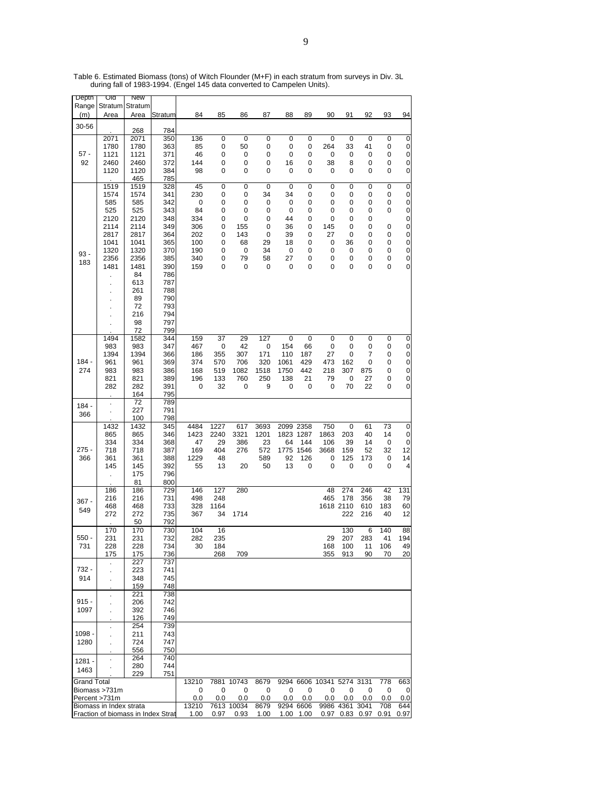| Depth              | Uld                                | <b>New</b>   |            |              |              |             |              |           |           |                           |             |           |           |           |
|--------------------|------------------------------------|--------------|------------|--------------|--------------|-------------|--------------|-----------|-----------|---------------------------|-------------|-----------|-----------|-----------|
| Range              | Stratum                            | Stratum      |            |              |              |             |              |           |           |                           |             |           |           |           |
| (m)                | Area                               | Area         | Stratum    | 84           | 85           | 86          | 87           | 88        | 89        | 90                        | 91          | 92        | 93        | 94        |
| 30-56              |                                    |              |            |              |              |             |              |           |           |                           |             |           |           |           |
|                    | 2071                               | 268<br>2071  | 784<br>350 | 136          | 0            | 0           | $\pmb{0}$    | 0         | 0         | 0                         | 0           | 0         | 0         | 0         |
|                    | 1780                               | 1780         | 363        | 85           | 0            | 50          | 0            | 0         | 0         | 264                       | 33          | 41        | 0         | 0         |
| $57 -$             | 1121                               | 1121         | 371        | 46           | 0            | 0           | 0            | 0         | 0         | 0                         | 0           | 0         | 0         | 0         |
| 92                 | 2460                               | 2460         | 372        | 144          | 0            | 0           | 0            | 16        | 0         | 38                        | 8           | 0         | 0         | 0         |
|                    | 1120                               | 1120         | 384        | 98           | 0            | 0           | 0            | 0         | 0         | 0                         | 0           | 0         | 0         | 0         |
|                    |                                    | 465          | 785        |              |              |             |              |           |           |                           |             |           |           |           |
|                    | 1519                               | 1519         | 328        | 45           | 0            | 0           | $\mathbf 0$  | 0         | 0         | 0                         | $\mathbf 0$ | 0         | 0         | $\pmb{0}$ |
|                    | 1574                               | 1574         | 341        | 230          | 0            | 0           | 34           | 34        | 0         | 0                         | 0           | 0         | 0         | 0         |
|                    | 585                                | 585          | 342        | 0            | 0            | 0           | 0            | 0         | 0         | 0                         | 0           | 0         | 0         | 0         |
|                    | 525                                | 525          | 343        | 84           | 0            | 0           | 0            | 0         | 0         | 0                         | 0           | 0         | 0         | 0         |
|                    | 2120                               | 2120         | 348        | 334          | 0            | 0           | 0            | 44        | 0         | 0                         | 0           | 0         |           | 0         |
|                    | 2114                               | 2114         | 349        | 306          | 0<br>0       | 155<br>143  | 0<br>0       | 36        | 0         | 145<br>27                 | 0<br>0      | 0         | 0         | $\pmb{0}$ |
|                    | 2817<br>1041                       | 2817<br>1041 | 364<br>365 | 202<br>100   | 0            | 68          | 29           | 39<br>18  | 0<br>0    | 0                         | 36          | 0<br>0    | 0<br>0    | 0<br>0    |
|                    | 1320                               | 1320         | 370        | 190          | 0            | 0           | 34           | 0         | 0         | 0                         | 0           | 0         | 0         | $\pmb{0}$ |
| $93 -$             | 2356                               | 2356         | 385        | 340          | 0            | 79          | 58           | 27        | 0         | 0                         | 0           | 0         | 0         | 0         |
| 183                | 1481                               | 1481         | 390        | 159          | 0            | 0           | 0            | 0         | 0         | 0                         | 0           | 0         | 0         | 0         |
|                    |                                    | 84           | 786        |              |              |             |              |           |           |                           |             |           |           |           |
|                    |                                    | 613          | 787        |              |              |             |              |           |           |                           |             |           |           |           |
|                    | $\blacksquare$                     | 261          | 788        |              |              |             |              |           |           |                           |             |           |           |           |
|                    |                                    | 89           | 790        |              |              |             |              |           |           |                           |             |           |           |           |
|                    |                                    | 72           | 793        |              |              |             |              |           |           |                           |             |           |           |           |
|                    | ×,                                 | 216          | 794        |              |              |             |              |           |           |                           |             |           |           |           |
|                    |                                    | 98           | 797        |              |              |             |              |           |           |                           |             |           |           |           |
|                    |                                    | 72           | 799        | 159          |              |             | 127          |           | 0         | 0                         |             | 0         |           |           |
|                    | 1494<br>983                        | 1582<br>983  | 344<br>347 | 467          | 37<br>0      | 29<br>42    | 0            | 0<br>154  | 66        | 0                         | 0<br>0      | 0         | 0<br>0    | 0<br>0    |
|                    | 1394                               | 1394         | 366        | 186          | 355          | 307         | 171          | 110       | 187       | 27                        | 0           | 7         | 0         | 0         |
| $184 -$            | 961                                | 961          | 369        | 374          | 570          | 706         | 320          | 1061      | 429       | 473                       | 162         | 0         | 0         | 0         |
| 274                | 983                                | 983          | 386        | 168          | 519          | 1082        | 1518         | 1750      | 442       | 218                       | 307         | 875       | 0         | 0         |
|                    | 821                                | 821          | 389        | 196          | 133          | 760         | 250          | 138       | 21        | 79                        | 0           | 27        | 0         | 0         |
|                    | 282                                | 282          | 391        | 0            | 32           | 0           | 9            | 0         | 0         | 0                         | 70          | 22        | 0         | 0         |
|                    |                                    | 164          | 795        |              |              |             |              |           |           |                           |             |           |           |           |
| $184 -$            | $\overline{a}$                     | 72           | 789        |              |              |             |              |           |           |                           |             |           |           |           |
| 366                | $\cdot$                            | 227          | 791        |              |              |             |              |           |           |                           |             |           |           |           |
|                    |                                    | 100          | 798        |              |              |             |              |           |           |                           |             |           |           |           |
|                    | 1432                               | 1432<br>865  | 345<br>346 | 4484<br>1423 | 1227<br>2240 | 617<br>3321 | 3693<br>1201 | 2099 2358 | 1823 1287 | 750<br>1863               | 0<br>203    | 61<br>40  | 73<br>14  | 0         |
|                    | 865<br>334                         | 334          | 368        | 47           | 29           | 386         | 23           | 64        | 144       | 106                       | 39          | 14        | 0         | 0<br>0    |
| 275 -              | 718                                | 718          | 387        | 169          | 404          | 276         | 572          |           | 1775 1546 | 3668                      | 159         | 52        | 32        | 12        |
| 366                | 361                                | 361          | 388        | 1229         | 48           |             | 589          | 92        | 126       | 0                         | 125         | 173       | 0         | 14        |
|                    | 145                                | 145          | 392        | 55           | 13           | 20          | 50           | 13        | 0         | 0                         | 0           | 0         | 0         | 4         |
|                    |                                    | 175          | 796        |              |              |             |              |           |           |                           |             |           |           |           |
|                    |                                    | 81           | 800        |              |              |             |              |           |           |                           |             |           |           |           |
|                    | 186                                | 186          | 729        | 146          | 127          | 280         |              |           |           | 48                        | 274         | 246       | 42        | 131       |
| $367 -$            | 216                                | 216          | 731        | 498          | 248          |             |              |           |           | 465                       | 178         | 356       | 38        | 79        |
| 549                | 468                                | 468          | 733        | 328          | 1164         |             |              |           |           |                           | 1618 2110   | 610       | 183       | 60        |
|                    | 272                                | 272          | 735        | 367          | 34           | 1714        |              |           |           |                           | 222         | 216       | 40        | 12        |
|                    |                                    | 50           | 792        |              |              |             |              |           |           |                           |             |           |           |           |
| $550 -$            | 170                                | 170<br>231   | 730        | 104          | 16           |             |              |           |           |                           | 130         | 6         | 140<br>41 | 88        |
| 731                | 231<br>228                         | 228          | 732<br>734 | 282<br>30    | 235<br>184   |             |              |           |           | 29<br>168                 | 207<br>100  | 283<br>11 | 106       | 194<br>49 |
|                    | 175                                | 175          | 736        |              | 268          | 709         |              |           |           | 355                       | 913         | 90        | 70        | 20        |
|                    |                                    | 227          | 737        |              |              |             |              |           |           |                           |             |           |           |           |
| 732 -              |                                    | 223          | 741        |              |              |             |              |           |           |                           |             |           |           |           |
| 914                | $\cdot$                            | 348          | 745        |              |              |             |              |           |           |                           |             |           |           |           |
|                    |                                    | 159          | 748        |              |              |             |              |           |           |                           |             |           |           |           |
|                    |                                    | 221          | 738        |              |              |             |              |           |           |                           |             |           |           |           |
| $915 -$            | k,                                 | 206          | 742        |              |              |             |              |           |           |                           |             |           |           |           |
| 1097               |                                    | 392          | 746        |              |              |             |              |           |           |                           |             |           |           |           |
|                    |                                    | 126          | 749        |              |              |             |              |           |           |                           |             |           |           |           |
| 1098 -             | $\cdot$                            | 254          | 739        |              |              |             |              |           |           |                           |             |           |           |           |
|                    |                                    | 211          | 743        |              |              |             |              |           |           |                           |             |           |           |           |
| 1280               | k,                                 | 724<br>556   | 747<br>750 |              |              |             |              |           |           |                           |             |           |           |           |
|                    |                                    | 264          | 740        |              |              |             |              |           |           |                           |             |           |           |           |
| $1281 -$           | $\cdot$                            | 280          | 744        |              |              |             |              |           |           |                           |             |           |           |           |
| 1463               |                                    | 229          | 751        |              |              |             |              |           |           |                           |             |           |           |           |
| <b>Grand Total</b> |                                    |              |            | 13210        |              | 7881 10743  | 8679         |           |           | 9294 6606 10341 5274 3131 |             |           | 778       | 663       |
|                    | Biomass >731m                      |              |            | 0            | 0            | 0           | 0            | 0         | 0         | 0                         | 0           | 0         | 0         | 0         |
|                    | Percent >731m                      |              |            | 0.0          | 0.0          | 0.0         | 0.0          | 0.0       | 0.0       | 0.0                       | 0.0         | 0.0       | 0.0       | 0.0       |
|                    | Biomass in Index strata            |              |            | 13210        |              | 7613 10034  | 8679         |           | 9294 6606 |                           | 9986 4361   | 3041      | 708       | 644       |
|                    | Fraction of biomass in Index Strat |              |            | 1.00         | 0.97         | 0.93        | 1.00         | 1.00      | 1.00      | 0.97                      |             | 0.83 0.97 | 0.91      | 0.97      |

Table 6. Estimated Biomass (tons) of Witch Flounder (M+F) in each stratum from surveys in Div. 3L during fall of 1983-1994. (Engel 145 data converted to Campelen Units).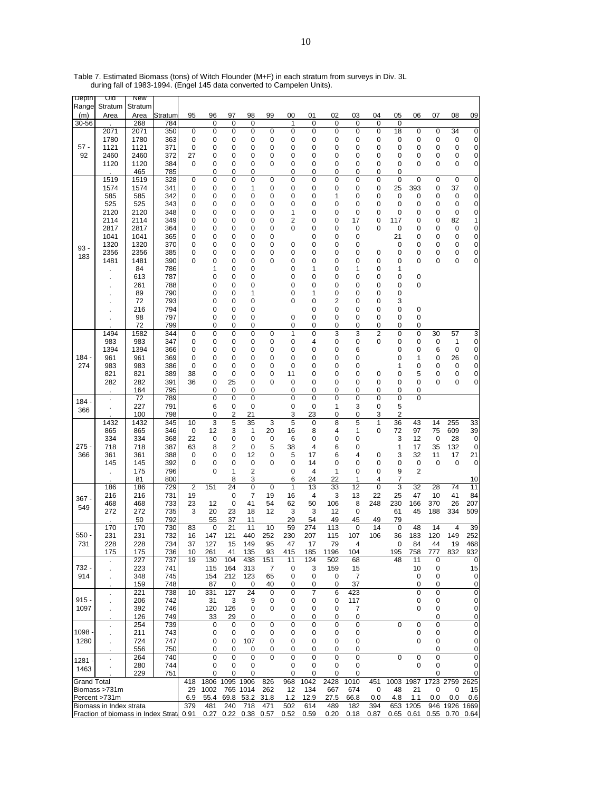| Depth              | णव                                 | <b>New</b>   |            |                      |                |                |          |             |             |         |             |          |                |                         |                |                  |                |                             |
|--------------------|------------------------------------|--------------|------------|----------------------|----------------|----------------|----------|-------------|-------------|---------|-------------|----------|----------------|-------------------------|----------------|------------------|----------------|-----------------------------|
| Range              | Stratum                            | Stratum      |            |                      |                |                |          |             |             |         |             |          |                |                         |                |                  |                |                             |
| (m)                | Area                               | Area         | Stratum    | 95                   | 96             | 97             | 98       | 99          | 00          | 01      | 02          | 03       | 04             | 05                      | 06             | 07               | 08             | 09                          |
| 30-56              |                                    | 268          | 784        |                      | 0              | 0              | 0        |             | 1           | 0       | $\mathbf 0$ | 0        | 0              | 0                       |                |                  |                |                             |
|                    | 2071                               | 2071         | 350        | 0                    | 0              | 0              | 0        | 0           | 0           | 0       | 0           | 0        | 0              | 18                      | 0              | 0                | 34             | $\pmb{0}$                   |
| $57 -$             | 1780<br>1121                       | 1780<br>1121 | 363<br>371 | 0<br>0               | 0<br>0         | 0<br>0         | 0<br>0   | 0<br>0      | 0<br>0      | 0<br>0  | 0<br>0      | 0<br>0   | 0<br>0         | 0<br>0                  | 0<br>0         | 0<br>0           | 0<br>$\pmb{0}$ | 0<br>0                      |
| 92                 | 2460                               | 2460         | 372        | 27                   | 0              | 0              | 0        | 0           | 0           | 0       | 0           | 0        | 0              | 0                       | 0              | 0                | 0              | 0                           |
|                    | 1120                               | 1120         | 384        | 0                    | 0              | 0              | 0        | 0           | 0           | 0       | 0           | 0        | 0              | 0                       | 0              | 0                | 0              | 0                           |
|                    |                                    | 465          | 785        |                      | 0              | 0              | 0        |             | 0           | 0       | 0           | 0        | 0              | 0                       |                |                  |                |                             |
|                    | 1519                               | 1519         | 328        | 0                    | 0              | 0              | 0        | 0           | 0           | 0       | 0           | 0        | 0              | 0                       | $\mathbf 0$    | 0                | 0              | 0                           |
|                    | 1574                               | 1574         | 341        | 0                    | 0              | 0              | 1        | 0           | 0           | 0       | 0           | 0        | 0              | 25                      | 393            | 0                | 37             | 0                           |
|                    | 585                                | 585          | 342        | 0                    | 0              | 0              | 0        | 0           | 0           | 0       | 1           | 0        | 0              | 0                       | 0              | 0                | 0              | 0                           |
|                    | 525                                | 525          | 343        | 0                    | 0              | 0              | 0        | 0           | 0           | 0       | 0           | 0        | 0              | 0                       | 0              | 0                | $\mathbf 0$    | 0                           |
|                    | 2120                               | 2120         | 348        | 0                    | 0              | 0              | 0        | 0           | 1           | 0       | 0           | 0        | 0              | 0                       | 0              | 0                | 0              | 0                           |
|                    | 2114                               | 2114         | 349        | 0                    | 0              | 0              | 0        | 0           | 2           | 0       | 0           | 17       | 0              | 117                     | 0              | 0                | 82             | 1                           |
|                    | 2817                               | 2817         | 364        | 0                    | 0              | 0              | 0        | 0           | 0           | 0       | 0           | 0        | 0              | 0                       | 0              | 0                | $\pmb{0}$      | 0                           |
|                    | 1041                               | 1041         | 365        | 0                    | 0              | 0              | 0        | 0           |             | 0       | 0           | 0        |                | 21                      | 0              | 0                | 0              | 0                           |
| $93 -$             | 1320                               | 1320         | 370        | 0                    | 0              | 0              | 0        | 0           | 0           | 0       | 0           | 0        |                | 0                       | 0              | 0                | 0              | $\pmb{0}$                   |
| 183                | 2356                               | 2356<br>1481 | 385        | 0<br>0               | 0<br>0         | 0<br>0         | 0<br>0   | 0<br>0      | 0<br>0      | 0<br>0  | 0<br>0      | 0<br>0   | 0<br>0         | 0<br>0                  | 0<br>0         | 0<br>0           | 0<br>0         | 0<br>0                      |
|                    | 1481                               | 84           | 390<br>786 |                      | 1              | 0              | 0        |             | 0           | 1       | 0           | 1        | 0              | 1                       |                |                  |                |                             |
|                    |                                    | 613          | 787        |                      | 0              | 0              | 0        |             | 0           | 0       | 0           | 0        | 0              | 0                       | 0              |                  |                |                             |
|                    | $\bullet$                          | 261          | 788        |                      | 0              | 0              | 0        |             | 0           | 0       | 0           | 0        | 0              | 0                       | 0              |                  |                |                             |
|                    |                                    | 89           | 790        |                      | 0              | 0              | 1        |             | 0           | 1       | 0           | 0        | 0              | 0                       |                |                  |                |                             |
|                    |                                    | 72           | 793        |                      | 0              | 0              | 0        |             | 0           | 0       | 2           | 0        | 0              | 3                       |                |                  |                |                             |
|                    |                                    | 216          | 794        |                      | 0              | 0              | 0        |             |             | 0       | 0           | 0        | 0              | 0                       | 0              |                  |                |                             |
|                    |                                    | 98           | 797        |                      | 0              | 0              | 0        |             | 0           | 0       | 0           | 0        | 0              | 0                       | 0              |                  |                |                             |
|                    |                                    | 72           | 799        |                      | 0              | 0              | 0        |             | 0           | 0       | 0           | 0        | 0              | 0                       | 0              |                  |                |                             |
|                    | 1494                               | 1582         | 344        | 0                    | 0              | 0              | 0        | 0           | 1           | 0       | 3           | 3        | $\overline{2}$ | 0                       | 0              | 30               | 57             | 3                           |
|                    | 983                                | 983          | 347        | 0                    | 0              | 0              | 0        | 0           | 0           | 4       | 0           | 0        | 0              | 0                       | 0              | 0                | 1              | 0                           |
|                    | 1394                               | 1394         | 366        | 0                    | 0              | 0              | 0        | 0           | 0           | 0       | 0           | 6        |                | 0                       | 0              | 6                | 0              | 0                           |
| $184 -$            | 961                                | 961          | 369        | 0                    | 0              | 0              | 0        | 0           | 0           | 0       | 0           | 0        |                | 0                       | 1              | 0                | 26             | 0                           |
| 274                | 983                                | 983          | 386        | 0                    | 0              | 0              | 0        | 0           | 0           | 0       | 0           | 0        |                | 1                       | 0              | 0                | 0              | 0                           |
|                    | 821                                | 821          | 389        | 38<br>36             | 0<br>0         | 0<br>25        | 0<br>0   | 0<br>0      | 11<br>0     | 0<br>0  | 0<br>0      | 0<br>0   | 0<br>0         | 0<br>0                  | 5<br>0         | 0<br>0           | 0<br>0         | 0<br>0                      |
|                    | 282                                | 282<br>164   | 391<br>795 |                      | 0              | 0              | 0        |             | 0           | 0       | 0           | 0        | 0              | 0                       | 0              |                  |                |                             |
|                    |                                    | 72           | 789        |                      | $\overline{0}$ | 0              | 0        |             | 0           | 0       | $\mathbf 0$ | 0        | $\overline{0}$ | $\overline{0}$          | 0              |                  |                |                             |
| 184                |                                    | 227          | 791        |                      | 6              | 0              | 0        |             | 0           | 0       | 1           | 3        | 0              | 5                       |                |                  |                |                             |
| 366                |                                    | 100          | 798        |                      | 0              | 2              | 21       |             | 3           | 23      | 0           | 0        | 3              | $\overline{\mathbf{c}}$ |                |                  |                |                             |
|                    | 1432                               | 1432         | 345        | 10                   | 3              | 5              | 35       | 3           | 5           | 0       | 8           | 5        | 1              | 36                      | 43             | 14               | 255            | 33                          |
|                    | 865                                | 865          | 346        | 0                    | 12             | 3              | 1        | 20          | 16          | 8       | 4           | 1        | 0              | 72                      | 97             | 75               | 609            | 39                          |
|                    | 334                                | 334          | 368        | 22                   | 0              | 0              | 0        | 0           | 6           | 0       | 0           | 0        |                | 3                       | 12             | 0                | 28             | 0                           |
| $275 -$            | 718                                | 718          | 387        | 63                   | 8              | 2              | 0        | 5           | 38          | 4       | 6           | 0        |                | 1                       | 17             | 35               | 132            | $\pmb{0}$                   |
| 366                | 361                                | 361          | 388        | 0                    | 0              | 0              | 12       | 0           | 5           | 17      | 6           | 4        | 0              | 3                       | 32             | 11               | 17             | 21                          |
|                    | 145                                | 145          | 392        | 0                    | 0              | 0              | 0        | 0           | 0           | 14      | 0           | 0        | 0              | 0                       | 0              | $\mathbf 0$      | 0              | 0                           |
|                    | l,                                 | 175          | 796        |                      | 0              | 1              | 2        |             | 0           | 4       | 1           | 0        | 0              | 9                       | $\overline{2}$ |                  |                |                             |
|                    |                                    | 81           | 800        |                      |                | 8              | 3        |             | 6           | 24      | 22          | 1        | 4              | 7                       |                |                  |                | 10                          |
|                    | 186<br>216                         | 186          | 729<br>731 | $\overline{2}$<br>19 | 151            | 24<br>0        | 0<br>7   | 0<br>19     | 1<br>16     | 13<br>4 | 33<br>3     | 12<br>13 | 0<br>22        | 3<br>25                 | 32<br>47       | 28<br>10         | 74<br>41       | 11<br>84                    |
| 367 -              | 468                                | 216<br>468   | 733        | 23                   | 12             | 0              | 41       | 54          | 62          | 50      | 106         | 8        | 248            | 230                     | 166            | 370              | 26             | 207                         |
| 549                | 272                                | 272          | 735        | 3                    | 20             | 23             | 18       | 12          | 3           | 3       | 12          | 0        |                | 61                      | 45             | 188              | 334            | 509                         |
|                    |                                    | 50           | 792        |                      | 55             | 37             | 11       |             | 29          | 54      | 49          | 45       | 49             | 79                      |                |                  |                |                             |
|                    | 170                                | 170          | 730        | 83                   | 0              | 21             | 11       | 10          | 59          | 274     | 113         | 0        | 14             | 0                       | 48             | 14               | $\overline{4}$ | 39                          |
| $550 -$            | 231                                | 231          | 732        | 16                   | 147            | 121            | 440      | 252         | 230         | 207     | 115         | 107      | 106            | 36                      | 183            | 120              | 149            | 252                         |
| 731                | 228                                | 228          | 734        | 37                   | 127            | 15             | 149      | 95          | 47          | 17      | 79          | 4        |                | 0                       | 84             | 44               | 19             | 468                         |
|                    | 175                                | 175          | 736        | 10                   | 261            | 41             | 135      | 93          | 415         | 185     | 1196        | 104      |                | 195                     | 758            | 777              | 832            | 932                         |
|                    |                                    | 227          | 737        | 19                   | 130            | 104            | 438      | 151         | 11          | 124     | 502         | 68       |                | 48                      | 11             | 0                |                | 0                           |
| 732 -              |                                    | 223          | 741        |                      | 115            | 164            | 313      | 7           | 0           | 3       | 159         | 15       |                |                         | 10             | 0                |                | 15                          |
| 914                |                                    | 348          | 745        |                      | 154            | 212            | 123      | 65          | 0           | 0       | 0           | 7        |                |                         | 0              | 0                |                | 0                           |
|                    |                                    | 159          | 748        |                      | 87             | 0              | 0        | 40          | 0           | 0       | 0           | 37       |                |                         | 0              | 0                |                | $\mathbf 0$                 |
| $915 -$            | ÷.                                 | 221          | 738        | 10                   | 331            | 127            | 24       | 0           | $\mathbf 0$ | 7       | 6           | 423      |                |                         | $\mathbf 0$    | 0                |                | 0                           |
| 1097               |                                    | 206<br>392   | 742<br>746 |                      | 31<br>120      | 3<br>126       | 9<br>0   | 0<br>0      | 0<br>0      | 0<br>0  | 0<br>0      | 117<br>7 |                |                         | 0<br>0         | 0<br>$\mathbf 0$ |                | $\overline{0}$<br>$\pmb{0}$ |
|                    |                                    | 126          | 749        |                      | 33             | 29             | 0        |             | 0           | 0       | 0           | 0        |                |                         |                | 0                |                | $\pmb{0}$                   |
|                    | ×                                  | 254          | 739        |                      | 0              | 0              | 0        | $\mathbf 0$ | $\mathbf 0$ | 0       | $\mathbf 0$ | 0        |                | $\Omega$                | $\mathbf 0$    | 0                |                | 0                           |
| $1098 -$           |                                    | 211          | 743        |                      | 0              | 0              | 0        | 0           | 0           | 0       | 0           | 0        |                |                         | 0              | 0                |                | $\pmb{0}$                   |
| 1280               |                                    | 724          | 747        |                      | 0              | 0              | 107      | 0           | 0           | 0       | 0           | 0        |                |                         | 0              | 0                |                | 0                           |
|                    |                                    | 556          | 750        |                      | 0              | 0              | 0        | 0           | 0           | 0       | 0           | 0        |                |                         |                | 0                |                | $\pmb{0}$                   |
|                    | ä,                                 | 264          | 740        |                      | 0              | 0              | 0        | $\Omega$    | 0           | 0       | 0           | 0        |                | $\mathbf 0$             | 0              | $\mathbf 0$      |                | $\pmb{0}$                   |
| ۰ 1281             |                                    | 280          | 744        |                      | 0              | 0              | 0        |             | 0           | 0       | 0           | 0        |                |                         | 0              | 0                |                | $\overline{0}$              |
| 1463               |                                    | 229          | 751        |                      | 0              | 0              | 0        |             | 0           | 0       | 0           | 0        |                |                         |                | 0                |                | 0                           |
| <b>Grand Total</b> |                                    |              |            | 418                  | 1806           | 1095 1906      |          | 826         | 968         | 1042    | 2428        | 1010     | 451            |                         | 1003 1987      | 1723             | 2759           | 2625                        |
|                    | Biomass >731m                      |              |            | 29                   | 1002           |                | 765 1014 | 262         | 12          | 134     | 667         | 674      | 0              | 48                      | 21             | 0                | 0              | 15                          |
|                    | Percent >731m                      |              |            | 6.9                  | 55.4           | 69.8           | 53.2     | 31.8        | 1.2         | 12.9    | 27.5        | 66.8     | 0.0            | 4.8                     | 1.1            | 0.0              | 0.0            | 0.6                         |
|                    | Biomass in Index strata            |              |            | 379                  | 481            | 240            | 718      | 471         | 502         | 614     | 489         | 182      | 394            |                         | 653 1205       |                  | 946 1926       | 1669                        |
|                    | Fraction of biomass in Index Strat |              |            | 0.91                 |                | 0.27 0.22 0.38 |          | 0.57        | 0.52        | 0.59    | 0.20        | 0.18     | 0.87           |                         | $0.65$ 0.61    |                  | 0.55 0.70      | 0.64                        |

Table 7. Estimated Biomass (tons) of Witch Flounder (M+F) in each stratum from surveys in Div. 3L during fall of 1983-1994. (Engel 145 data converted to Campelen Units).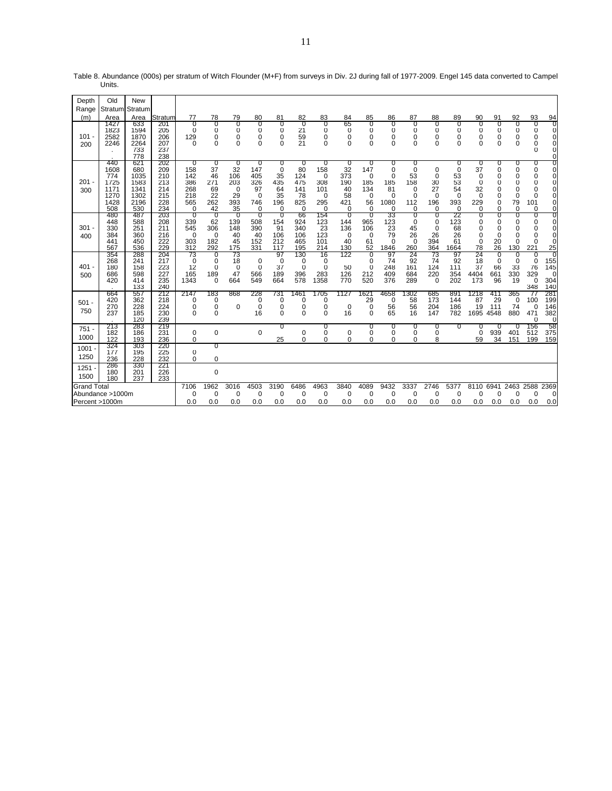| Depth              | Old                                                       | <b>New</b>                                                |                                                      |                                                         |                                                       |                                                      |                                                                |                                                                 |                                                       |                                                            |                                                         |                                                                  |                                                                              |                                                                             |                                            |                                                                      |                                                 |                                                  |                                                        |                                               |                                                                                                      |
|--------------------|-----------------------------------------------------------|-----------------------------------------------------------|------------------------------------------------------|---------------------------------------------------------|-------------------------------------------------------|------------------------------------------------------|----------------------------------------------------------------|-----------------------------------------------------------------|-------------------------------------------------------|------------------------------------------------------------|---------------------------------------------------------|------------------------------------------------------------------|------------------------------------------------------------------------------|-----------------------------------------------------------------------------|--------------------------------------------|----------------------------------------------------------------------|-------------------------------------------------|--------------------------------------------------|--------------------------------------------------------|-----------------------------------------------|------------------------------------------------------------------------------------------------------|
| Range<br>(m)       | Stratum<br>Area                                           | Stratum<br>Area                                           | Stratum                                              | 77                                                      | 78                                                    | 79                                                   | 80                                                             | 81                                                              | 82                                                    | 83                                                         | 84                                                      | 85                                                               | 86                                                                           | 87                                                                          | 88                                         | 89                                                                   | 90                                              | 91                                               | 92                                                     | 93                                            |                                                                                                      |
| $101 -$<br>200     | 1427<br>1823<br>2582<br>2246                              | 633<br>1594<br>1870<br>2264<br>733<br>778                 | 201<br>205<br>206<br>207<br>237<br>238               | $\Omega$<br>$\Omega$<br>129<br>$\Omega$                 | 0<br>0<br>0<br>0                                      | 0<br>0<br>0<br>$\Omega$                              | 0<br>0<br>0<br>0                                               | 0<br>$\Omega$<br>0<br>$\Omega$                                  | 0<br>21<br>59<br>21                                   | 0<br>$\Omega$<br>0<br>$\Omega$                             | 65<br>$\mathbf 0$<br>$\mathbf 0$<br>$\Omega$            | 0<br>0<br>0<br>$\Omega$                                          | 0<br>0<br>0<br>0                                                             | 0<br>$\mathbf 0$<br>0<br>$\Omega$                                           | 0<br>0<br>0<br>$\mathbf 0$                 | 0<br>0<br>0<br>$\Omega$                                              | 0<br>0<br>0<br>$\Omega$                         | 0<br>0<br>0<br>0                                 | 0<br>0<br>0<br>$\Omega$                                | 0<br>0<br>0<br>0<br>$\Omega$                  | $\frac{94}{0}$<br>$\mathbf 0$<br>$\mathbf 0$<br>$\mathbf 0$<br>$\mathbf 0$<br>$\mathbf 0$            |
| $201 -$<br>300     | 440<br>1608<br>774<br>1725<br>1171<br>1270<br>1428<br>508 | 621<br>680<br>1035<br>1583<br>1341<br>1302<br>2196<br>530 | 202<br>209<br>210<br>213<br>214<br>215<br>228<br>234 | 0<br>158<br>142<br>386<br>268<br>218<br>565<br>$\Omega$ | 0<br>37<br>46<br>271<br>69<br>22<br>262<br>42         | 0<br>32<br>106<br>203<br>$\Omega$<br>29<br>393<br>35 | 0<br>147<br>405<br>326<br>97<br>$\Omega$<br>746<br>$\mathbf 0$ | 0<br>$\mathbf 0$<br>35<br>435<br>64<br>35<br>196<br>$\mathbf 0$ | 0<br>80<br>124<br>475<br>141<br>78<br>825<br>$\Omega$ | 0<br>158<br>$\Omega$<br>308<br>101<br>0<br>295<br>$\Omega$ | 0<br>32<br>373<br>190<br>40<br>58<br>421<br>$\mathbf 0$ | 0<br>147<br>$\Omega$<br>185<br>134<br>$\Omega$<br>56<br>$\Omega$ | 0<br>$\mathbf 0$<br>$\mathbf 0$<br>185<br>81<br>$\Omega$<br>1080<br>$\Omega$ | 0<br>$\mathbf 0$<br>53<br>158<br>$\Omega$<br>$\Omega$<br>112<br>$\mathbf 0$ | 0<br>0<br>30<br>27<br>$\Omega$<br>196<br>0 | 0<br>$\mathbf 0$<br>53<br>53<br>54<br>$\Omega$<br>393<br>$\mathbf 0$ | 0<br>37<br>0<br>0<br>32<br>$\Omega$<br>229<br>0 | 0<br>0<br>0<br>0<br>0<br>0<br>0<br>0             | 0<br>0<br>0<br>0<br>0<br>$\Omega$<br>79<br>$\mathbf 0$ | 0<br>0<br>0<br>0<br>0<br>$\Omega$<br>101<br>0 | ण<br>$\mathbf 0$<br>$\mathbf 0$<br>$\mathbf 0$<br>$\Omega$<br>$\Omega$<br>$\mathbf 0$<br>$\mathbf 0$ |
| 301<br>400         | 480<br>448<br>330<br>384<br>441<br>567                    | 487<br>588<br>251<br>360<br>450<br>536                    | 203<br>208<br>211<br>216<br>222<br>229               | $\overline{0}$<br>339<br>545<br>$\Omega$<br>303<br>312  | $\overline{0}$<br>62<br>306<br>$\Omega$<br>182<br>292 | -0<br>139<br>148<br>40<br>45<br>175                  | $\Omega$<br>508<br>390<br>40<br>152<br>331                     | 0<br>154<br>91<br>106<br>212<br>117                             | 66<br>924<br>340<br>106<br>465<br>195                 | 154<br>123<br>23<br>123<br>101<br>214                      | $\Omega$<br>144<br>136<br>$\Omega$<br>40<br>130         | $\Omega$<br>965<br>106<br>$\Omega$<br>61<br>52                   | 33<br>123<br>23<br>79<br>$\Omega$<br>1846                                    | 0<br>$\mathbf 0$<br>45<br>26<br>$\Omega$<br>260                             | 0<br>0<br>$\mathbf 0$<br>26<br>394<br>364  | 22<br>123<br>68<br>26<br>61<br>1664                                  | 0<br>0<br>0<br>0<br>0<br>78                     | 0<br>0<br>$\mathbf 0$<br>$\mathbf 0$<br>20<br>26 | 0<br>0<br>0<br>0<br>0<br>130                           | 0<br>0<br>$\mathbf 0$<br>0<br>$\Omega$<br>221 | $\overline{0}$<br>$\mathbf 0$<br>$\mathbf 0$<br>$\mathbf 0$<br>0<br>25                               |
| $401 -$<br>500     | 354<br>268<br>180<br>686<br>420                           | 288<br>241<br>158<br>598<br>414<br>133                    | 204<br>217<br>223<br>227<br>235<br>240               | 73<br>$\Omega$<br>12<br>165<br>1343                     | ᠊ᢐ<br>$\mathbf 0$<br>$\mathbf 0$<br>189<br>$\Omega$   | 73<br>18<br>$\mathbf 0$<br>47<br>664                 | $\mathbf 0$<br>$\mathbf 0$<br>566<br>549                       | -97<br>$\mathbf 0$<br>37<br>189<br>664                          | 130<br>0<br>$\mathbf 0$<br>396<br>578                 | 16<br>$\mathbf 0$<br>$\mathbf 0$<br>283<br>1358            | 122<br>50<br>126<br>770                                 | 0<br>$\Omega$<br>$\mathbf 0$<br>212<br>520                       | 97<br>74<br>248<br>409<br>376                                                | 24<br>92<br>161<br>684<br>289                                               | 73<br>74<br>124<br>220<br>$\Omega$         | -97<br>92<br>111<br>354<br>202                                       | 24<br>18<br>37<br>4404<br>173                   | ত<br>$\mathbf 0$<br>66<br>661<br>96              | ℧<br>$\mathbf 0$<br>33<br>330<br>19                    | O<br>$\Omega$<br>76<br>329<br>$\Omega$<br>348 | ਾ<br>155<br>145<br>$\mathbf 0$<br>304<br>140                                                         |
| $501 -$<br>750     | 664<br>420<br>270<br>237                                  | 557<br>362<br>228<br>185<br>120                           | 212<br>218<br>224<br>230<br>239                      | 2147<br>0<br>0<br>$\Omega$                              | 183<br>0<br>$\mathbf 0$<br>$\mathbf 0$                | 868<br>$\Omega$                                      | 228<br>0<br>0<br>16                                            | 731<br>$\mathbf 0$<br>0<br>0                                    | 1461<br>0<br>0<br>$\Omega$                            | 1705<br>0<br>0<br>$\Omega$                                 | 1127<br>$\mathbf 0$<br>16                               | 1621<br>29<br>$\mathbf 0$<br>$\Omega$                            | 4658<br>0<br>56<br>65                                                        | 1302<br>58<br>56<br>16                                                      | 685<br>173<br>204<br>147                   | 891<br>144<br>186<br>782                                             | 1218<br>87<br>19<br>1695                        | 411<br>29<br>111<br>4548                         | 365<br>$\mathbf 0$<br>74<br>880                        | 77<br>100<br>$\mathbf 0$<br>471<br>0          | 281<br>199<br>146<br>382<br>$\Omega$                                                                 |
| $751 -$<br>1000    | 213<br>182<br>122                                         | 283<br>186<br>193                                         | 219<br>231<br>236                                    | 0<br>0                                                  | 0                                                     |                                                      | 0                                                              | 0<br>25                                                         | 0<br>0                                                | 0<br>0<br>$\Omega$                                         | 0<br>$\mathbf 0$                                        | 0<br>0<br>0                                                      | 0<br>0<br>$\Omega$                                                           | 0<br>0<br>$\Omega$                                                          | 0<br>0<br>8                                | 0                                                                    | 0<br>0<br>59                                    | 0<br>939<br>34                                   | 0<br>401<br>151                                        | 156<br>512<br>199                             | 58<br>375<br>159                                                                                     |
| $1001 -$<br>1250   | 324<br>177<br>236                                         | 303<br>195<br>228                                         | 220<br>225<br>232                                    | 0<br>0                                                  | 0<br>0                                                |                                                      |                                                                |                                                                 |                                                       |                                                            |                                                         |                                                                  |                                                                              |                                                                             |                                            |                                                                      |                                                 |                                                  |                                                        |                                               |                                                                                                      |
| $1251 -$<br>1500   | 286<br>180<br>180                                         | 330<br>201<br>237                                         | 221<br>226<br>233                                    |                                                         | $\mathbf 0$                                           |                                                      |                                                                |                                                                 |                                                       |                                                            |                                                         |                                                                  |                                                                              |                                                                             |                                            |                                                                      |                                                 |                                                  |                                                        |                                               |                                                                                                      |
| <b>Grand Total</b> |                                                           |                                                           |                                                      | 7106                                                    | 1962                                                  | 3016                                                 | 4503                                                           | 3190                                                            | 6486                                                  | 4963                                                       | 3840                                                    | 4089                                                             | 9432                                                                         | 3337                                                                        | 2746                                       | 5377                                                                 | 8110                                            | 6941                                             | 2463                                                   | 2588                                          | 2369                                                                                                 |
| Percent >1000m     | Abundance >1000m                                          |                                                           |                                                      | $\Omega$<br>0.0                                         | $\mathbf 0$<br>0.0                                    | $\Omega$<br>0.0                                      | $\mathbf 0$<br>0.0                                             | $\Omega$<br>0.0                                                 | $\Omega$<br>0.0                                       | 0<br>0.0                                                   | $\mathbf 0$<br>0.0                                      | $\Omega$<br>0.0                                                  | $\mathbf 0$<br>0.0                                                           | $\Omega$<br>0.0                                                             | 0<br>0.0                                   | $\Omega$<br>0.0                                                      | $\Omega$<br>0.0                                 | $\Omega$<br>0.0                                  | $\Omega$<br>0.0                                        | $\Omega$<br>0.0                               | $\mathbf 0$<br>0.0                                                                                   |

Table 8. Abundance (000s) per stratum of Witch Flounder (M+F) from surveys in Div. 2J during fall of 1977-2009. Engel 145 data converted to Campel Units.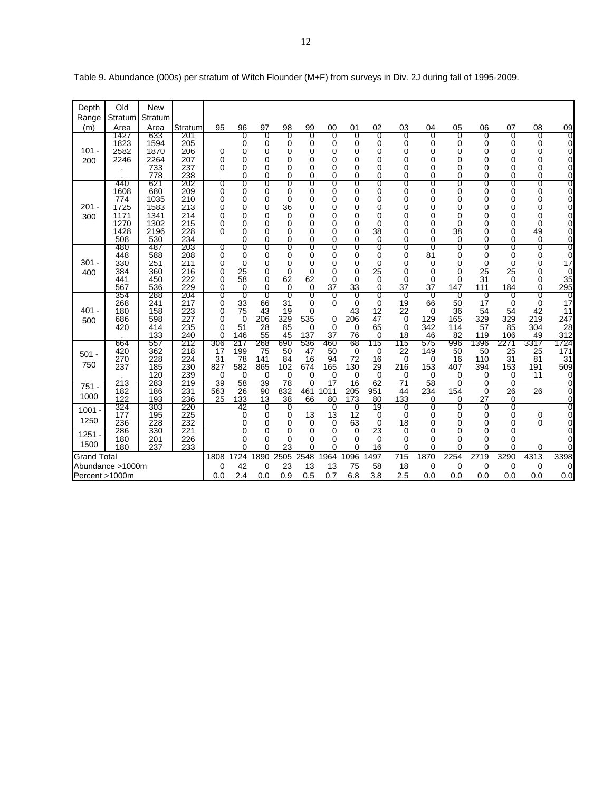| Depth<br>Range     | Old<br>Stratum                                            | <b>New</b><br>Stratum                                     |                                                      |                                                 |                                      |                                                    |                                                 |                                       |                                                           |                                                          |                                       |                                      |                                            |                                                     |                                                    |                                             |                                              |                                                      |
|--------------------|-----------------------------------------------------------|-----------------------------------------------------------|------------------------------------------------------|-------------------------------------------------|--------------------------------------|----------------------------------------------------|-------------------------------------------------|---------------------------------------|-----------------------------------------------------------|----------------------------------------------------------|---------------------------------------|--------------------------------------|--------------------------------------------|-----------------------------------------------------|----------------------------------------------------|---------------------------------------------|----------------------------------------------|------------------------------------------------------|
| (m)                | Area                                                      | Area                                                      | Stratum                                              | 95                                              | 96                                   | 97                                                 | 98                                              | 99                                    | 00                                                        | 01                                                       | 02                                    | 03                                   | 04                                         | 05                                                  | 06                                                 | 07                                          | 08                                           | 09                                                   |
| $101 -$<br>200     | 1427<br>1823<br>2582<br>2246                              | 633<br>1594<br>1870<br>2264<br>733<br>778                 | 201<br>205<br>206<br>207<br>237<br>238               | 0<br>0<br>$\Omega$                              | 0<br>0<br>0<br>0<br>0<br>0           | 0<br>0<br>0<br>0<br>$\Omega$<br>$\Omega$           | 0<br>0<br>0<br>0<br>0<br>0                      | 0<br>0<br>0<br>0<br>0<br>0            | 0<br>0<br>0<br>0<br>$\Omega$<br>$\Omega$                  | 0<br>0<br>0<br>0<br>0<br>0                               | 0<br>0<br>0<br>0<br>0<br>0            | 0<br>0<br>0<br>0<br>0<br>0           | 0<br>0<br>0<br>0<br>0<br>0                 | O<br>0<br>0<br>0<br>0<br>0                          | 0<br>0<br>0<br>0<br>0<br>$\Omega$                  | 0<br>0<br>0<br>0<br>0<br>0                  | O<br>0<br>0<br>0<br>$\Omega$<br>$\Omega$     | O<br>0<br>0<br>$\overline{0}$<br>0<br>$\overline{0}$ |
| $201 -$<br>300     | 440<br>1608<br>774<br>1725<br>1171<br>1270<br>1428<br>508 | 621<br>680<br>1035<br>1583<br>1341<br>1302<br>2196<br>530 | 202<br>209<br>210<br>213<br>214<br>215<br>228<br>234 | 0<br>0<br>0<br>0<br>0<br>0<br>0                 | 0<br>0<br>0<br>0<br>0<br>0<br>0<br>0 | 0<br>$\Omega$<br>0<br>0<br>0<br>0<br>$\Omega$<br>0 | 0<br>0<br>0<br>36<br>$\mathbf 0$<br>0<br>0<br>0 | 0<br>0<br>0<br>0<br>0<br>0<br>0<br>0  | 0<br>$\Omega$<br>0<br>$\Omega$<br>0<br>0<br>$\Omega$<br>0 | 0<br>0<br>0<br>0<br>0<br>0<br>$\mathbf 0$<br>$\mathbf 0$ | 0<br>0<br>0<br>0<br>0<br>0<br>38<br>0 | 0<br>0<br>0<br>0<br>0<br>0<br>0<br>0 | 0<br>0<br>0<br>0<br>0<br>0<br>0<br>0       | 0<br>$\Omega$<br>0<br>0<br>0<br>0<br>38<br>$\Omega$ | 0<br>$\Omega$<br>0<br>0<br>0<br>0<br>$\Omega$<br>0 | 0<br>0<br>0<br>0<br>0<br>0<br>0<br>0        | 0<br>0<br>0<br>$\Omega$<br>0<br>0<br>49<br>0 | 0<br>0<br>0<br>0<br>0<br>0<br>0<br>0                 |
| $301 -$<br>400     | 480<br>448<br>330<br>384<br>441<br>567                    | 487<br>588<br>251<br>360<br>450<br>536                    | 203<br>208<br>211<br>216<br>222<br>229               | 0<br>0<br>0<br>0<br>$\Omega$<br>0               | 0<br>0<br>0<br>25<br>58<br>0         | 0<br>$\Omega$<br>0<br>0<br>$\Omega$<br>$\Omega$    | 0<br>0<br>0<br>$\mathbf 0$<br>62<br>$\mathbf 0$ | 0<br>0<br>0<br>0<br>62<br>0           | 0<br>$\Omega$<br>0<br>$\Omega$<br>0<br>37                 | 0<br>0<br>0<br>0<br>$\Omega$<br>33                       | 0<br>0<br>0<br>25<br>0<br>0           | 0<br>0<br>0<br>0<br>$\Omega$<br>37   | 0<br>81<br>0<br>0<br>$\Omega$<br>37        | 0<br>0<br>0<br>$\Omega$<br>$\Omega$<br>147          | 0<br>0<br>0<br>25<br>31<br>111                     | 0<br>0<br>$\Omega$<br>25<br>$\Omega$<br>184 | 0<br>0<br>0<br>0<br>$\Omega$<br>$\Omega$     | 0<br>0<br>17<br>0<br>35<br>295                       |
| $401 -$<br>500     | 354<br>268<br>180<br>686<br>420                           | 288<br>241<br>158<br>598<br>414<br>133                    | 204<br>217<br>223<br>227<br>235<br>240               | 0<br>0<br>$\Omega$<br>0<br>$\Omega$<br>$\Omega$ | 0<br>33<br>75<br>0<br>51<br>146      | 0<br>66<br>43<br>206<br>28<br>55                   | 0<br>31<br>19<br>329<br>85<br>45                | 0<br>0<br>0<br>535<br>$\Omega$<br>137 | 0<br>$\Omega$<br>0<br>$\Omega$<br>37                      | 0<br>0<br>43<br>206<br>0<br>76                           | 0<br>0<br>12<br>47<br>65<br>0         | O<br>19<br>22<br>0<br>$\Omega$<br>18 | O<br>66<br>$\mathbf 0$<br>129<br>342<br>46 | O<br>50<br>36<br>165<br>114<br>82                   | 0<br>17<br>54<br>329<br>57<br>119                  | 0<br>0<br>54<br>329<br>85<br>106            | 0<br>$\Omega$<br>42<br>219<br>304<br>49      | 17<br>11<br>247<br>28<br>312                         |
| $501 -$<br>750     | 664<br>420<br>270<br>237                                  | 557<br>362<br>228<br>185<br>120                           | 212<br>218<br>224<br>230<br>239                      | 306<br>17<br>31<br>827<br>0                     | 217<br>199<br>78<br>582<br>0         | 268<br>75<br>141<br>865<br>$\mathbf 0$             | 690<br>50<br>84<br>102<br>0                     | 536<br>47<br>16<br>674<br>0           | 460<br>50<br>94<br>165<br>0                               | 68<br>0<br>72<br>130<br>0                                | 115<br>0<br>16<br>29<br>0             | 115<br>22<br>$\mathbf 0$<br>216<br>0 | 575<br>149<br>$\Omega$<br>153<br>$\Omega$  | 996<br>50<br>16<br>407<br>0                         | 1396<br>50<br>110<br>394<br>0                      | 2271<br>25<br>31<br>153<br>0                | 3317<br>25<br>81<br>191<br>11                | 1724<br>171<br>31<br>509<br>0                        |
| $751 -$<br>1000    | 213<br>182<br>122                                         | 283<br>186<br>193                                         | 219<br>231<br>236                                    | 39<br>563<br>25                                 | 58<br>26<br>133                      | 39<br>90<br>13                                     | 78<br>832<br>38                                 | 0<br>461<br>66                        | 17<br>1011<br>80                                          | 16<br>205<br>173                                         | 62<br>951<br>80                       | 71<br>44<br>133                      | 58<br>234<br>$\Omega$                      | O<br>154<br>0                                       | O<br>$\Omega$<br>27                                | O<br>26<br>0                                | 26                                           | 0<br>0<br>0                                          |
| $1001 -$<br>1250   | 324<br>177<br>236                                         | 303<br>195<br>228                                         | 220<br>225<br>232                                    |                                                 | -42<br>0<br>0                        | 0<br>0<br>0                                        | 0<br>0<br>0                                     | 13<br>0                               | 0<br>13<br>$\Omega$                                       | 0<br>12<br>63                                            | 19<br>0<br>0                          | 0<br>0<br>18                         | 0<br>0<br>0                                | 0<br>0<br>0                                         | 0<br>0<br>0                                        | 0<br>0<br>0                                 | 0<br>0                                       | 0<br>0<br>0                                          |
| $1251 -$<br>1500   | 286<br>180<br>180                                         | 330<br>201<br>237                                         | 221<br>226<br>233                                    |                                                 | σ<br>0<br>0                          | 0<br>0<br>0                                        | 0<br>$\mathbf 0$<br>23                          | σ<br>0<br>0                           | σ<br>0<br>$\Omega$                                        | ℧<br>0<br>0                                              | 23<br>0<br>16                         | 0<br>0<br>0                          | 0<br>0<br>0                                | 0<br>0<br>0                                         | 0<br>0<br>0                                        | 0<br>0<br>0                                 | 0                                            | 0<br>0<br>0                                          |
| <b>Grand Total</b> | Abundance >1000m<br>Percent >1000m                        |                                                           |                                                      | 1808<br>$\Omega$<br>0.0                         | 1724<br>42<br>2.4                    | 890<br>$\Omega$<br>0.0                             | 2505<br>23<br>0.9                               | 2548<br>13<br>0.5                     | 964<br>13<br>0.7                                          | 1096<br>75<br>6.8                                        | 497<br>58<br>3.8                      | $\overline{715}$<br>18<br>2.5        | 1870<br>$\mathbf 0$<br>0.0                 | 2254<br>$\mathbf 0$<br>0.0                          | 2719<br>0<br>0.0                                   | 3290<br>0<br>0.0                            | 4313<br>0<br>0.0                             | 3398<br>0<br>0.0                                     |

Table 9. Abundance (000s) per stratum of Witch Flounder (M+F) from surveys in Div. 2J during fall of 1995-2009.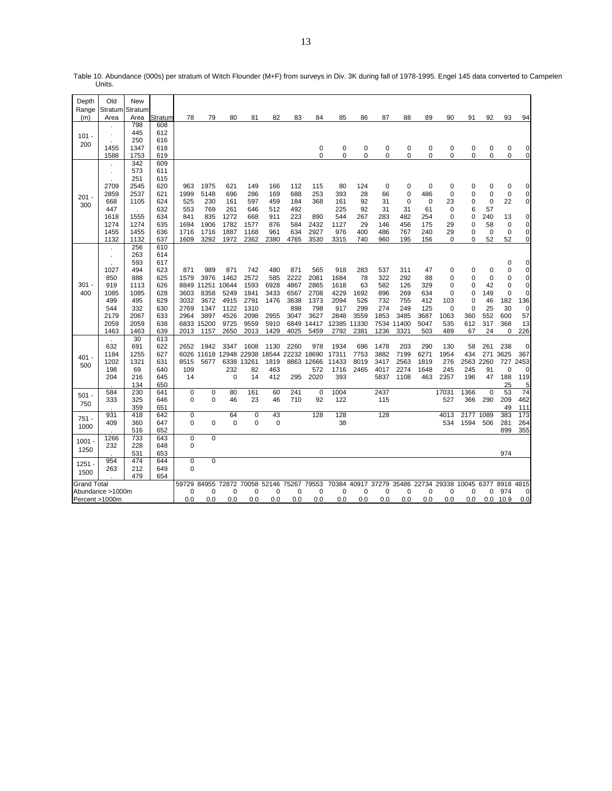| Depth          | Old              | New             |            |                  |              |              |              |              |              |              |              |             |             |                  |                    |               |                         |                            |                   |                               |
|----------------|------------------|-----------------|------------|------------------|--------------|--------------|--------------|--------------|--------------|--------------|--------------|-------------|-------------|------------------|--------------------|---------------|-------------------------|----------------------------|-------------------|-------------------------------|
| Range<br>(m)   | Stratum<br>Area  | Stratum<br>Area | Stratum    | 78               | 79           | 80           | 81           | 82           | 83           | 84           | 85           | 86          | 87          | 88               | 89                 | 90            | 91                      | 92                         | 93                | 94                            |
|                |                  | 798             | 608        |                  |              |              |              |              |              |              |              |             |             |                  |                    |               |                         |                            |                   |                               |
|                | ×                | 445             | 612        |                  |              |              |              |              |              |              |              |             |             |                  |                    |               |                         |                            |                   |                               |
| $101 -$        |                  | 250             | 616        |                  |              |              |              |              |              |              |              |             |             |                  |                    |               |                         |                            |                   |                               |
| 200            | 1455             | 1347            | 618        |                  |              |              |              |              |              | 0            | 0            | 0           | 0           | 0                | $\pmb{0}$          | 0             | $\mathbf 0$             | $\mathbf 0$                | 0                 | 0                             |
|                | 1588             | 1753            | 619        |                  |              |              |              |              |              | $\Omega$     | $\mathbf 0$  | $\Omega$    | $\Omega$    | $\Omega$         | 0                  | 0             | $\Omega$                | $\mathbf 0$                | 0                 | $\mathbf 0$                   |
|                |                  | 342             | 609        |                  |              |              |              |              |              |              |              |             |             |                  |                    |               |                         |                            |                   |                               |
|                | ×                | 573             | 611        |                  |              |              |              |              |              |              |              |             |             |                  |                    |               |                         |                            |                   |                               |
|                |                  | 251             | 615        |                  |              |              |              |              |              |              |              |             |             |                  |                    |               |                         |                            |                   |                               |
|                | 2709             | 2545            | 620        | 963              | 1975         | 621          | 149          | 166          | 112          | 115          | 80           | 124         | $\mathbf 0$ | 0<br>$\mathbf 0$ | $\mathbf 0$        | 0<br>$\Omega$ | 0                       | 0                          | 0                 | 0                             |
| $201 -$        | 2859<br>668      | 2537<br>1105    | 621<br>624 | 1999<br>525      | 5148<br>230  | 696<br>161   | 286<br>597   | 169<br>459   | 688<br>184   | 253<br>368   | 393<br>161   | 28<br>92    | 66<br>31    | 0                | 486<br>$\mathbf 0$ | 23            | $\Omega$<br>$\Omega$    | $\mathbf 0$<br>$\mathbf 0$ | $\mathbf 0$<br>22 | $\mathbf 0$<br>$\overline{0}$ |
| 300            | 447              |                 | 632        | 553              | 769          | 261          | 646          | 512          | 492          |              | 225          | 92          | 31          | 31               | 61                 | $\mathbf 0$   | 6                       | 57                         |                   |                               |
|                | 1618             | 1555            | 634        | 841              | 835          | 1272         | 668          | 911          | 223          | 890          | 544          | 267         | 283         | 482              | 254                | $\Omega$      | $\Omega$                | 240                        | 13                | $\mathbf 0$                   |
|                | 1274             | 1274            | 635        | 1694             | 1906         | 1782         | 1577         | 876          | 584          | 2432         | 1127         | 29          | 146         | 456              | 175                | 29            | 0                       | 58                         | 0                 | $\mathbf 0$                   |
|                | 1455             | 1455            | 636        | 1716             | 1716         | 1887         | 1168         | 961          | 634          | 2927         | 976          | 400         | 486         | 767              | 240                | 29            | 0                       | $\mathbf 0$                | $\mathbf 0$       | $\mathbf 0$                   |
|                | 1132             | 1132            | 637        | 1609             | 3292         | 1972         | 2362         | 2380         | 4765         | 3530         | 3315         | 740         | 960         | 195              | 156                | 0             | $\Omega$                | 52                         | 52                | $\mathbf 0$                   |
|                |                  | 256             | 610        |                  |              |              |              |              |              |              |              |             |             |                  |                    |               |                         |                            |                   |                               |
|                | ×                | 263             | 614        |                  |              |              |              |              |              |              |              |             |             |                  |                    |               |                         |                            |                   |                               |
|                |                  | 593             | 617        |                  |              |              |              |              |              |              |              |             |             |                  |                    |               |                         |                            | 0                 | 0                             |
|                | 1027             | 494             | 623        | 871              | 989          | 871          | 742          | 480          | 871          | 565          | 918          | 283         | 537         | 311              | 47                 | 0             | $\Omega$                | $\mathbf 0$                | 0                 | 0                             |
|                | 850              | 888             | 625        | 1579             | 3976         | 1462         | 2572         | 585          | 2222         | 2081         | 1684         | 78          | 322         | 292              | 88                 | 0             | $\Omega$                | $\mathbf 0$                | 0                 | $\mathbf 0$                   |
| $301 -$        | 919              | 1113            | 626        | 8849<br>3603     | 11251        | 10644        | 1593         | 6928         | 4867         | 2865<br>2708 | 1618         | 63          | 582         | 126              | 329                | 0<br>0        | $\Omega$<br>$\mathbf 0$ | 42<br>149                  | $\mathbf 0$<br>0  | 0<br>0                        |
| 400            | 1085<br>499      | 1085<br>495     | 628<br>629 | 3032             | 8358<br>3672 | 5249<br>4915 | 1841<br>2791 | 3433<br>1476 | 6567<br>3638 | 1373         | 4229<br>2094 | 1692<br>526 | 896<br>732  | 269<br>755       | 634<br>412         | 103           | $\mathbf 0$             | 46                         | 182               | 136                           |
|                | 544              | 332             | 630        | 2769             | 1347         | 1122         | 1310         |              | 898          | 798          | 917          | 299         | 274         | 249              | 125                | $\mathbf 0$   | 0                       | 25                         | 30                | 0                             |
|                | 2179             | 2067            | 633        | 2964             | 3897         | 4526         | 2098         | 2955         | 3047         | 3627         | 2848         | 3559        | 1853        | 3485             | 3687               | 1063          | 360                     | 552                        | 600               | 57                            |
|                | 2059             | 2059            | 638        | 6833             | 15200        | 9725         | 9559         | 5910         | 6849         | 14417        | 12385        | 11330       |             | 7534 11400       | 5047               | 535           | 612                     | 317                        | 368               | 13                            |
|                | 1463             | 1463            | 639        | 2013             | 1157         | 2650         | 2013         | 1429         | 4025         | 5459         | 2792         | 2381        | 1236        | 3321             | 503                | 489           | 67                      | 24                         | 0                 | 226                           |
|                | $\mathbf{r}$     | 30              | 613        |                  |              |              |              |              |              |              |              |             |             |                  |                    |               |                         |                            |                   |                               |
|                | 632              | 691             | 622        | 2652             | 1942         | 3347         | 1608         | 1130         | 2260         | 978          | 1934         | 696         | 1478        | 203              | 290                | 130           | 58                      | 261                        | 238               | 0                             |
| $401 -$        | 1184             | 1255            | 627        | 6026             | 11618        | 12948 22938  |              | 18544        | 22232        | 18690        | 17311        | 7753        | 3882        | 7199             | 6271               | 1954          | 434                     | 271                        | 3625              | 367                           |
| 500            | 1202             | 1321            | 631        | 8515             | 5677         |              | 6338 13261   | 1819         |              | 8863 12666   | 11433        | 8019        | 3417        | 2563             | 1819               | 276           | 2563                    | 2260                       | 727               | 2453                          |
|                | 198              | 69              | 640        | 109              |              | 232          | 82           | 463          |              | 572          | 1716         | 2465        | 4017        | 2274             | 1648               | 245           | 245                     | 91                         | $\Omega$          | $\Omega$                      |
|                | 204              | 216<br>134      | 645<br>650 | 14               |              | $\mathbf 0$  | 14           | 412          | 295          | 2020         | 393          |             | 5837        | 1108             | 463                | 2357          | 196                     | 47                         | 188<br>25         | 119<br>5                      |
|                | 584              | 230             | 641        | 0                | $\mathbf 0$  | 80           | 161          | 60           | 241          | $\mathbf 0$  | 1004         |             | 2437        |                  |                    | 17031         | 1366                    | $\mathbf 0$                | 53                | $\overline{74}$               |
| $501 -$        | 333              | 325             | 646        | $\Omega$         | 0            | 46           | 23           | 46           | 710          | 92           | 122          |             | 115         |                  |                    | 527           | 366                     | 290                        | 209               | 462                           |
| 750            |                  | 359             | 651        |                  |              |              |              |              |              |              |              |             |             |                  |                    |               |                         |                            | 49                | 111                           |
| $751 -$        | 931              | 418             | 642        | $\mathbf 0$      |              | 64           | 0            | 43           |              | 128          | 128          |             | 128         |                  |                    | 4013          | 2177                    | 1089                       | 383               | 173                           |
| 1000           | 409              | 360             | 647        | $\Omega$         | 0            | 0            | 0            | $\mathbf 0$  |              |              | 38           |             |             |                  |                    | 534           | 1594                    | 506                        | 281               | 264                           |
|                |                  | 516             | 652        |                  |              |              |              |              |              |              |              |             |             |                  |                    |               |                         |                            | 899               | 355                           |
| $1001 -$       | 1266             | 733             | 643        | 0                | 0            |              |              |              |              |              |              |             |             |                  |                    |               |                         |                            |                   |                               |
| 1250           | 232              | 228             | 648        | 0                |              |              |              |              |              |              |              |             |             |                  |                    |               |                         |                            |                   |                               |
|                |                  | 531             | 653        |                  |              |              |              |              |              |              |              |             |             |                  |                    |               |                         |                            | 974               |                               |
| $1251 -$       | 954<br>263       | 474             | 644<br>649 | $\mathbf 0$<br>0 | 0            |              |              |              |              |              |              |             |             |                  |                    |               |                         |                            |                   |                               |
| 1500           |                  | 212<br>479      | 654        |                  |              |              |              |              |              |              |              |             |             |                  |                    |               |                         |                            |                   |                               |
| Grand Total    |                  |                 |            | 59729            | 84955        | 72872        | 70058        | 52146        | 75267        | 79553        | 70384        | 40917       | 37279       | 35486            | 22734              | 29338         | 10045                   | 6377                       | 8918              | 4815                          |
|                | Abundance >1000m |                 |            | 0                | 0            | 0            | 0            | 0            | 0            | 0            | 0            | 0           | 0           | 0                | 0                  | 0             | 0                       | 0                          | 974               | 0                             |
| Percent >1000m |                  |                 |            | 0.0              | 0.0          | 0.0          | 0.0          | 0.0          | 0.0          | 0.0          | 0.0          | 0.0         | 0.0         | 0.0              | 0.0                | 0.0           | 0.0                     |                            | $0.0$ 10.9        | 0.0                           |
|                |                  |                 |            |                  |              |              |              |              |              |              |              |             |             |                  |                    |               |                         |                            |                   |                               |

Table 10. Abundance (000s) per stratum of Witch Flounder (M+F) from surveys in Div. 3K during fall of 1978-1995. Engel 145 data converted to Campelen Units.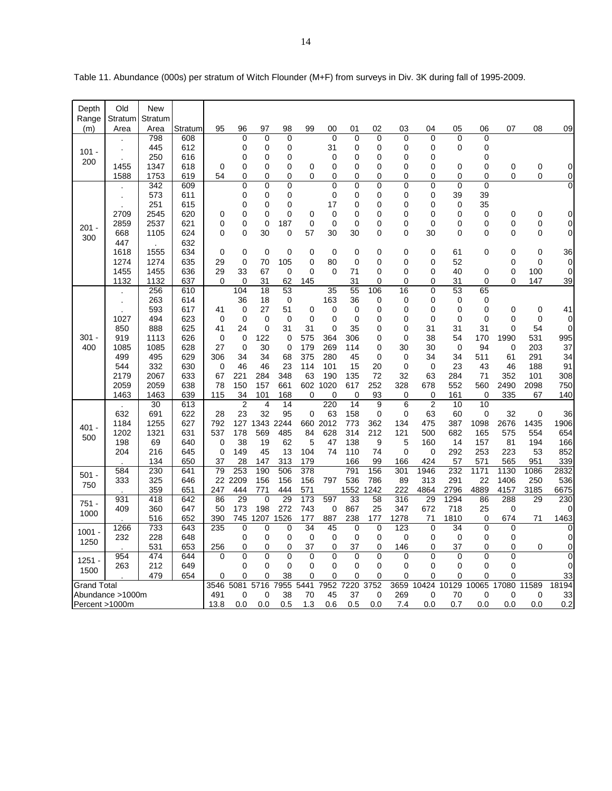| Depth              | Old              | <b>New</b>   |                        |         |                         |                   |                   |                               |                   |                 |                            |                   |                     |                   |             |                         |                            |                     |
|--------------------|------------------|--------------|------------------------|---------|-------------------------|-------------------|-------------------|-------------------------------|-------------------|-----------------|----------------------------|-------------------|---------------------|-------------------|-------------|-------------------------|----------------------------|---------------------|
| Range              | Stratum          | Stratum      |                        |         |                         |                   |                   |                               |                   |                 |                            |                   |                     |                   |             |                         |                            |                     |
| (m)                | Area             | Area<br>798  | Stra <u>tum</u><br>608 | 95      | 96<br>$\mathbf 0$       | 97<br>0           | 98<br>$\mathbf 0$ | 99                            | 00<br>$\mathbf 0$ | 01<br>0         | 02<br>$\mathbf 0$          | 03<br>$\mathbf 0$ | 04<br>0             | 05<br>$\mathbf 0$ | 06<br>0     | 07                      | 08                         | 09                  |
|                    |                  | 445          | 612                    |         | 0                       | 0                 | 0                 |                               | 31                | 0               | 0                          | 0                 | 0                   | 0                 | 0           |                         |                            |                     |
| $101 -$            |                  | 250          | 616                    |         | 0                       | 0                 | $\mathbf 0$       |                               | 0                 | 0               | 0                          | 0                 | 0                   |                   | 0           |                         |                            |                     |
| 200                | 1455             | 1347         | 618                    | 0       | 0                       | 0                 | 0                 | 0                             | 0                 | 0               | 0                          | 0                 | 0                   | 0                 | 0           | $\mathbf 0$             | 0                          | 0                   |
|                    | 1588             | 1753         | 619                    | 54      | 0                       | 0                 | 0                 | $\Omega$                      | 0                 | 0               | 0                          | 0                 | 0                   | 0                 | $\Omega$    | 0                       | 0                          | 0                   |
|                    |                  | 342          | 609                    |         | 0                       | 0                 | $\mathbf 0$       |                               | 0                 | 0               | $\mathbf 0$                | $\mathbf 0$       | 0                   | 0                 | 0           |                         |                            | 0                   |
|                    |                  | 573          | 611                    |         | 0                       | 0                 | 0                 |                               | 0                 | 0               | 0                          | 0                 | 0                   | 39                | 39          |                         |                            |                     |
|                    |                  | 251          | 615                    |         | 0                       | 0                 | 0                 |                               | 17                | $\mathbf 0$     | 0                          | 0                 | 0                   | 0                 | 35          |                         |                            |                     |
|                    | 2709             | 2545         | 620                    | 0       | 0                       | 0                 | 0                 | 0                             | 0                 | 0               | 0                          | 0                 | 0                   | 0                 | 0           | $\mathbf 0$             | $\mathbf 0$                | 0                   |
| $201 -$            | 2859             | 2537         | 621                    | 0       | 0                       | $\mathbf 0$       | 187               | $\mathbf 0$                   | 0                 | $\mathbf 0$     | $\mathbf 0$                | $\mathbf 0$       | 0                   | 0                 | 0           | 0                       | 0                          | $\mathbf 0$         |
| 300                | 668              | 1105         | 624                    | 0       | 0                       | 30                | 0                 | 57                            | 30                | 30              | $\Omega$                   | $\Omega$          | 30                  | 0                 | $\Omega$    | 0                       | $\Omega$                   | $\mathbf 0$         |
|                    | 447              |              | 632                    |         |                         |                   |                   |                               |                   |                 |                            |                   |                     |                   |             |                         |                            |                     |
|                    | 1618             | 1555<br>1274 | 634                    | 0<br>29 | $\mathbf 0$<br>$\Omega$ | $\mathbf 0$<br>70 | 0                 | $\mathbf 0$<br>$\overline{0}$ | $\mathbf 0$       | 0               | $\mathbf 0$<br>$\mathbf 0$ | $\mathbf 0$<br>0  | 0<br>0              | 61<br>52          | 0           | $\mathbf 0$<br>$\Omega$ | $\mathbf 0$<br>$\mathbf 0$ | 36<br>$\mathbf 0$   |
|                    | 1274<br>1455     | 1455         | 635<br>636             | 29      | 33                      | 67                | 105<br>0          | 0                             | 80<br>$\mathbf 0$ | $\pmb{0}$<br>71 | $\mathbf 0$                | 0                 | 0                   | 40                | 0           | $\mathbf 0$             | 100                        | $\mathbf 0$         |
|                    | 1132             | 1132         | 637                    | 0       | $\Omega$                | 31                | 62                | 145                           |                   | 31              | $\mathbf 0$                | $\mathbf 0$       | $\Omega$            | 31                | 0           | $\Omega$                | 147                        | <u>39</u>           |
|                    |                  | 256          | 610                    |         | 104                     | 18                | 53                |                               | 35                | 55              | 106                        | 16                | $\Omega$            | 53                | 65          |                         |                            |                     |
|                    |                  | 263          | 614                    |         | 36                      | 18                | 0                 |                               | 163               | 36              | 0                          | 0                 | 0                   | 0                 | 0           |                         |                            |                     |
|                    |                  | 593          | 617                    | 41      | 0                       | 27                | 51                | 0                             | 0                 | 0               | 0                          | 0                 | 0                   | 0                 | 0           | $\Omega$                | 0                          | 41                  |
|                    | 1027             | 494          | 623                    | 0       | 0                       | 0                 | 0                 | $\mathbf 0$                   | 0                 | $\mathbf 0$     | 0                          | 0                 | 0                   | 0                 | 0           | 0                       | $\mathbf 0$                | $\Omega$            |
|                    | 850              | 888          | 625                    | 41      | 24                      | 0                 | 31                | 31                            | 0                 | 35              | 0                          | 0                 | 31                  | 31                | 31          | $\Omega$                | 54                         | $\Omega$            |
| $301 -$            | 919              | 1113         | 626                    | 0       | 0                       | 122               | $\mathbf 0$       | 575                           | 364               | 306             | 0                          | $\Omega$          | 38                  | 54                | 170         | 1990                    | 531                        | 995                 |
| 400                | 1085             | 1085         | 628                    | 27      | 0                       | 30                | 0                 | 179                           | 269               | 114             | 0                          | 30                | 30                  | 0                 | 94          | 0                       | 203                        | 37                  |
|                    | 499              | 495          | 629                    | 306     | 34                      | 34                | 68                | 375                           | 280               | 45              | 0                          | 0                 | 34                  | 34                | 511         | 61                      | 291                        | 34                  |
|                    | 544              | 332          | 630                    | 0       | 46                      | 46                | 23                | 114                           | 101               | 15              | 20                         | 0                 | 0                   | 23                | 43          | 46                      | 188                        | 91                  |
|                    | 2179             | 2067         | 633                    | 67      | 221                     | 284               | 348               | 63                            | 190               | 135             | 72                         | 32                | 63                  | 284               | 71          | 352                     | 101                        | 308                 |
|                    | 2059             | 2059         | 638                    | 78      | 150                     | 157               | 661               | 602                           | 1020              | 617             | 252                        | 328               | 678                 | 552               | 560         | 2490                    | 2098                       | 750                 |
|                    | 1463             | 1463<br>30   | 639<br>613             | 115     | 34<br>$\overline{2}$    | 101<br>4          | 168<br>14         | 0                             | 0<br>220          | 0<br>14         | 93<br>9                    | 0<br>6            | 0<br>$\overline{c}$ | 161<br>10         | 0<br>10     | 335                     | 67                         | 140                 |
|                    | 632              | 691          | 622                    | 28      | 23                      | 32                | 95                | 0                             | 63                | 158             | 0                          | 0                 | 63                  | 60                | 0           | 32                      | 0                          | 36                  |
|                    | 1184             | 1255         | 627                    | 792     | 127                     | 1343              | 2244              | 660                           | 2012              | 773             | 362                        | 134               | 475                 | 387               | 1098        | 2676                    | 1435                       | 1906                |
| $401 -$            | 1202             | 1321         | 631                    | 537     | 178                     | 569               | 485               | 84                            | 628               | 314             | 212                        | 121               | 500                 | 682               | 165         | 575                     | 554                        | 654                 |
| 500                | 198              | 69           | 640                    | 0       | 38                      | 19                | 62                | 5                             | 47                | 138             | 9                          | 5                 | 160                 | 14                | 157         | 81                      | 194                        | 166                 |
|                    | 204              | 216          | 645                    | 0       | 149                     | 45                | 13                | 104                           | 74                | 110             | 74                         | 0                 | 0                   | 292               | 253         | 223                     | 53                         | 852                 |
|                    |                  | 134          | 650                    | 37      | 28                      | 147               | 313               | 179                           |                   | 166             | 99                         | 166               | 424                 | 57                | 571         | 565                     | 951                        | 339                 |
| $501 -$            | 584              | 230          | 641                    | 79      | 253                     | 190               | 506               | 378                           |                   | 791             | 156                        | 301               | 1946                | 232               | 1171        | 1130                    | 1086                       | 2832                |
| 750                | 333              | 325          | 646                    | 22      | 2209                    | 156               | 156               | 156                           | 797               | 536             | 786                        | 89                | 313                 | 291               | 22          | 1406                    | 250                        | 536                 |
|                    |                  | 359          | 651                    | 247     | 444                     | 771               | 444               | 571                           |                   | 1552            | 1242                       | 222               | 4864                | 2796              | 4889        | 4157                    | 3185                       | 6675                |
| $751 -$            | 931              | 418          | 642                    | 86      | 29                      | 0                 | 29                | 173                           | 597               | 33              | 58                         | 316               | 29                  | 1294              | 86          | 288                     | 29                         | 230                 |
| 1000               | 409              | 360          | 647                    | 50      | 173                     | 198               | 272               | 743                           | 0                 | 867             | 25                         | 347               | 672                 | 718               | 25          | 0                       |                            | 0                   |
|                    |                  | 516          | 652                    | 390     | 745                     | 1207              | 1526              | 177                           | 887               | 238             | 177                        | 1278              | 71                  | 1810              | $\mathbf 0$ | 674                     | 71                         | 1463                |
| $1001 -$           | 1266             | 733          | 643                    | 235     | $\mathbf 0$             | 0                 | 0                 | 34                            | 45                | $\mathbf 0$     | $\mathbf 0$                | 123               | $\mathbf 0$         | 34                | 0           | $\Omega$                |                            | $\mathbf 0$         |
| 1250               | 232              | 228<br>531   | 648<br>653             | 256     | 0<br>0                  | 0<br>0            | 0<br>0            | 0<br>37                       | 0<br>0            | 0<br>37         | 0<br>$\mathbf 0$           | 0<br>146          | 0<br>0              | 0<br>37           | 0<br>0      | 0<br>0                  | 0                          | 0<br>$\overline{0}$ |
|                    | 954              | 474          | 644                    | 0       | 0                       | 0                 | 0                 | $\mathbf 0$                   | 0                 | 0               | $\mathbf 0$                | $\mathbf 0$       | 0                   | $\mathbf 0$       | 0           | $\mathbf 0$             |                            | $\mathbf 0$         |
| $1251 -$           | 263              | 212          | 649                    |         | 0                       | 0                 | 0                 | 0                             | 0                 | 0               | $\mathbf 0$                | 0                 | 0                   | 0                 | 0           | 0                       |                            | 0                   |
| 1500               |                  | 479          | 654                    | 0       | 0                       | 0                 | 38                | 0                             | 0                 | 0               | 0                          | 0                 | 0                   | 0                 | 0           | 0                       |                            | 33                  |
| <b>Grand Total</b> |                  |              |                        | 3546    | 5081                    | 5716              | 7955              | 5441                          | 7952              | 7220            | 3752                       | 3659              | 10424               | 10129             | 10065       | 17080                   | 11589                      | 18194               |
|                    | Abundance >1000m |              |                        | 491     | 0                       | 0                 | 38                | 70                            | 45                | 37              | 0                          | 269               | 0                   | 70                | 0           | 0                       | 0                          | 33                  |
| Percent >1000m     |                  |              |                        | 13.8    | 0.0                     | 0.0               | 0.5               | 1.3                           | 0.6               | 0.5             | 0.0                        | 7.4               | 0.0                 | 0.7               | 0.0         | 0.0                     | 0.0                        | 0.2                 |

Table 11. Abundance (000s) per stratum of Witch Flounder (M+F) from surveys in Div. 3K during fall of 1995-2009.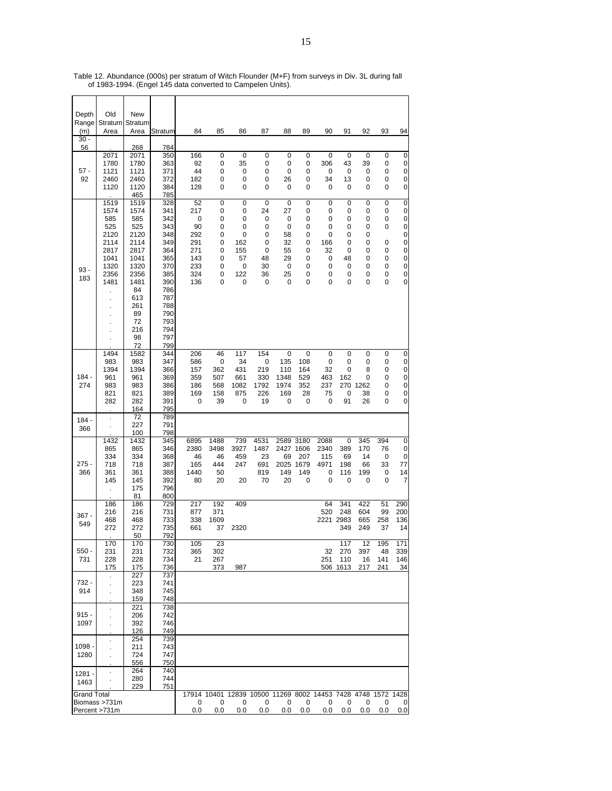| Depth                    | Old                                                                                                       | New                                                                                                                                   |                                                                                                                                   |                                                                                   |                                                               |                                                            |                                                         |                                                                     |                                                     |                                                                          |                                                                |                                                     |                                                          |                                                                                                            |
|--------------------------|-----------------------------------------------------------------------------------------------------------|---------------------------------------------------------------------------------------------------------------------------------------|-----------------------------------------------------------------------------------------------------------------------------------|-----------------------------------------------------------------------------------|---------------------------------------------------------------|------------------------------------------------------------|---------------------------------------------------------|---------------------------------------------------------------------|-----------------------------------------------------|--------------------------------------------------------------------------|----------------------------------------------------------------|-----------------------------------------------------|----------------------------------------------------------|------------------------------------------------------------------------------------------------------------|
| Range<br>(m)             | Stratum Stratum<br>Area                                                                                   | Area                                                                                                                                  | Stratum                                                                                                                           | 84                                                                                | 85                                                            | 86                                                         | 87                                                      | 88                                                                  | 89                                                  | 90                                                                       | 91                                                             | 92                                                  | 93                                                       | 94                                                                                                         |
| $30 -$<br>56             |                                                                                                           | 268                                                                                                                                   | 784                                                                                                                               |                                                                                   |                                                               |                                                            |                                                         |                                                                     |                                                     |                                                                          |                                                                |                                                     |                                                          |                                                                                                            |
| $57 -$<br>92             | 2071<br>1780<br>1121<br>2460<br>1120                                                                      | 2071<br>1780<br>1121<br>2460<br>1120<br>465                                                                                           | 350<br>363<br>371<br>372<br>384<br>785                                                                                            | 166<br>92<br>44<br>182<br>128                                                     | 0<br>0<br>0<br>0<br>0                                         | 0<br>35<br>0<br>0<br>0                                     | 0<br>0<br>0<br>0<br>0                                   | 0<br>0<br>0<br>26<br>0                                              | 0<br>0<br>0<br>0<br>0                               | 0<br>306<br>0<br>34<br>0                                                 | 0<br>43<br>0<br>13<br>$\mathbf 0$                              | 0<br>39<br>0<br>0<br>0                              | 0<br>0<br>0<br>0<br>0                                    | 0<br>0<br>0<br>0<br>0                                                                                      |
| $93 -$<br>183            | 1519<br>1574<br>585<br>525<br>2120<br>2114<br>2817<br>1041<br>1320<br>2356<br>1481<br>$\blacksquare$<br>× | 1519<br>1574<br>585<br>525<br>2120<br>2114<br>2817<br>1041<br>1320<br>2356<br>1481<br>84<br>613<br>261<br>89<br>72<br>216<br>98<br>72 | 328<br>341<br>342<br>343<br>348<br>349<br>364<br>365<br>370<br>385<br>390<br>786<br>787<br>788<br>790<br>793<br>794<br>797<br>799 | 52<br>217<br>$\mathbf 0$<br>90<br>292<br>291<br>271<br>143<br>233<br>324<br>136   | $\mathbf 0$<br>0<br>0<br>0<br>0<br>0<br>0<br>0<br>0<br>0<br>0 | 0<br>0<br>0<br>0<br>0<br>162<br>155<br>57<br>0<br>122<br>0 | 0<br>24<br>0<br>0<br>0<br>0<br>0<br>48<br>30<br>36<br>0 | $\mathbf 0$<br>27<br>0<br>0<br>58<br>32<br>55<br>29<br>0<br>25<br>0 | 0<br>0<br>0<br>0<br>0<br>0<br>0<br>0<br>0<br>0<br>0 | 0<br>0<br>0<br>0<br>0<br>166<br>32<br>0<br>0<br>0<br>0                   | $\mathbf 0$<br>0<br>0<br>0<br>0<br>0<br>0<br>48<br>0<br>0<br>0 | 0<br>0<br>0<br>0<br>0<br>0<br>0<br>0<br>0<br>0<br>0 | $\mathbf 0$<br>0<br>0<br>0<br>0<br>0<br>0<br>0<br>0<br>0 | 0<br>0<br>$\mathbf 0$<br>$\mathbf 0$<br>$\mathbf 0$<br>$\mathbf 0$<br>0<br>$\boldsymbol{0}$<br>0<br>0<br>0 |
| $184 -$<br>274           | 1494<br>983<br>1394<br>961<br>983<br>821<br>282                                                           | 1582<br>983<br>1394<br>961<br>983<br>821<br>282<br>164                                                                                | 344<br>347<br>366<br>369<br>386<br>389<br>391<br>795                                                                              | 206<br>586<br>157<br>359<br>186<br>169<br>0                                       | 46<br>0<br>362<br>507<br>568<br>158<br>39                     | 117<br>34<br>431<br>661<br>1082<br>875<br>0                | 154<br>0<br>219<br>330<br>1792<br>226<br>19             | 0<br>135<br>110<br>1348<br>1974<br>169<br>0                         | 0<br>108<br>164<br>529<br>352<br>28<br>0            | 0<br>0<br>32<br>463<br>237<br>75<br>0                                    | 0<br>0<br>$\mathbf 0$<br>162<br>0<br>91                        | 0<br>0<br>8<br>0<br>270 1262<br>38<br>26            | 0<br>0<br>0<br>0<br>0<br>0<br>0                          | 0<br>0<br>0<br>$\mathbf 0$<br>0<br>0<br>0                                                                  |
| $184 -$<br>366           |                                                                                                           | 72<br>227<br>100                                                                                                                      | 789<br>791<br>798                                                                                                                 |                                                                                   |                                                               |                                                            |                                                         |                                                                     |                                                     |                                                                          |                                                                |                                                     |                                                          |                                                                                                            |
| $275 -$<br>366           | 1432<br>865<br>334<br>718<br>361<br>145<br>$\ddot{\phantom{0}}$                                           | 1432<br>865<br>334<br>718<br>361<br>145<br>175<br>81                                                                                  | 345<br>346<br>368<br>387<br>388<br>392<br>796<br>800                                                                              | 6895<br>2380<br>46<br>165<br>1440<br>80                                           | 1488<br>3498<br>46<br>444<br>50<br>20                         | 739<br>3927<br>459<br>247<br>20                            | 4531<br>1487<br>23<br>691<br>819<br>70                  | 2589 3180<br>2427 1606<br>69<br>2025<br>149<br>20                   | 207<br>1679<br>149<br>0                             | 2088<br>2340<br>115<br>4971<br>0<br>0                                    | 0<br>389<br>69<br>198<br>116<br>$\mathbf 0$                    | 345<br>170<br>14<br>66<br>199<br>0                  | 394<br>76<br>0<br>33<br>0<br>$\mathbf 0$                 | 0<br>0<br>0<br>77<br>14<br>$\overline{7}$                                                                  |
| $367 -$<br>549           | 186<br>216<br>468<br>272                                                                                  | 186<br>216<br>468<br>272<br>50                                                                                                        | 729<br>731<br>733<br>735<br>792                                                                                                   | 217<br>877<br>338<br>661                                                          | 192<br>371<br>1609<br>37                                      | 409<br>2320                                                |                                                         |                                                                     |                                                     | 64<br>520<br>2221 2983                                                   | 341<br>248<br>349                                              | 422<br>604<br>665<br>249                            | 51<br>99<br>258<br>37                                    | 290<br>200<br>136<br>14                                                                                    |
| $550 -$<br>731           | 170<br>231<br>228<br>175                                                                                  | 170<br>231<br>228<br>175                                                                                                              | 730<br>732<br>734<br>736                                                                                                          | 105<br>365<br>21                                                                  | 23<br>302<br>267<br>373                                       | 987                                                        |                                                         |                                                                     |                                                     | 251                                                                      | 117<br>32 270<br>110<br>506 1613                               | 397<br>16<br>217                                    | 12 195<br>- 48<br>141<br>241                             | 171<br>339<br>146<br>34                                                                                    |
| 732 -<br>914             | $\mathcal{L}^{\pm}$<br>$\cdot$                                                                            | 227<br>223<br>348<br>159                                                                                                              | 737<br>741<br>745<br>748                                                                                                          |                                                                                   |                                                               |                                                            |                                                         |                                                                     |                                                     |                                                                          |                                                                |                                                     |                                                          |                                                                                                            |
| $915 -$<br>1097          | $\mathbf{r}$                                                                                              | 221<br>206<br>392<br>126<br>254                                                                                                       | 738<br>742<br>746<br>749<br>739                                                                                                   |                                                                                   |                                                               |                                                            |                                                         |                                                                     |                                                     |                                                                          |                                                                |                                                     |                                                          |                                                                                                            |
| 1098 -<br>1280<br>1281 - | $\cdot$                                                                                                   | 211<br>724<br>556<br>264                                                                                                              | 743<br>747<br>750<br>740                                                                                                          |                                                                                   |                                                               |                                                            |                                                         |                                                                     |                                                     |                                                                          |                                                                |                                                     |                                                          |                                                                                                            |
| 1463                     |                                                                                                           | 280<br>229                                                                                                                            | 744<br>751                                                                                                                        |                                                                                   |                                                               |                                                            |                                                         |                                                                     |                                                     |                                                                          |                                                                |                                                     |                                                          |                                                                                                            |
| <b>Grand Total</b>       | Biomass >731m<br>Percent >731m                                                                            |                                                                                                                                       |                                                                                                                                   | 17914 10401 12839 10500 11269 8002 14453 7428 4748 1572 1428<br>$^{\circ}$<br>0.0 | $\overline{\mathbf{0}}$<br>0.0                                |                                                            | $0\qquad 0$                                             |                                                                     |                                                     | $0\quad 0\quad 0\quad 0\quad 0$<br>$0.0$ 0.0 0.0 0.0 0.0 0.0 0.0 0.0 0.0 |                                                                |                                                     | 0                                                        | $\overline{0}$                                                                                             |

Table 12. Abundance (000s) per stratum of Witch Flounder (M+F) from surveys in Div. 3L during fall of 1983-1994. (Engel 145 data converted to Campelen Units).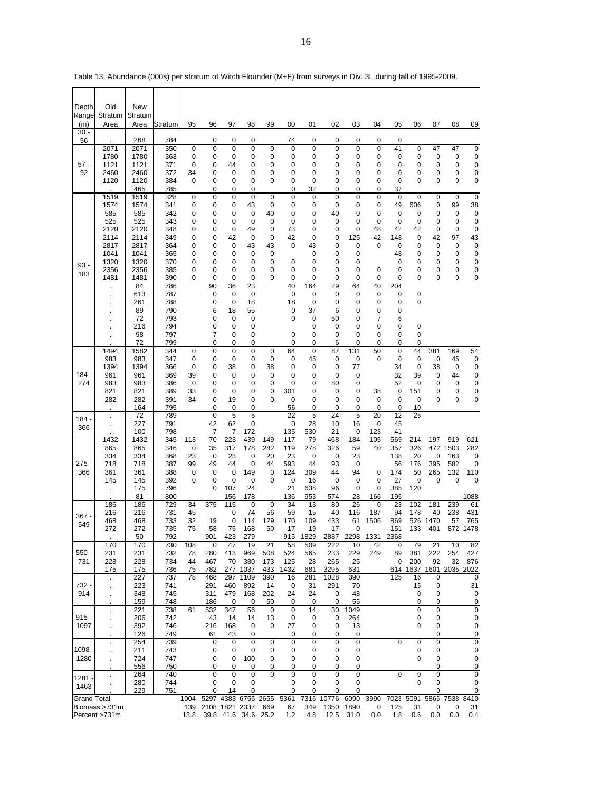| Depth<br>Range     | Old<br>Stratum                 | <b>New</b><br>Stratum |            |          |                    |                  |                     |             |             |             |                  |              |            |            |                                |           |                   |                                  |
|--------------------|--------------------------------|-----------------------|------------|----------|--------------------|------------------|---------------------|-------------|-------------|-------------|------------------|--------------|------------|------------|--------------------------------|-----------|-------------------|----------------------------------|
| (m)<br>30          | Area                           | Area                  | Stratum    | 95       | 96                 | 97               | 98                  | 99          | 00          | 01          | 02               | 03           | 04         | 05         | 06                             | 07        | 08                | 09                               |
| 56                 | 2071                           | 268<br>2071           | 784<br>350 | 0        | 0<br>0             | 0<br>0           | 0<br>0              | 0           | 74<br>0     | 0<br>0      | 0<br>0           | 0<br>0       | 0<br>0     | 0<br>41    | 0                              | 47        | 47                | 0                                |
|                    | 1780                           | 1780                  | 363        | 0        | 0                  | 0                | 0                   | 0           | 0           | 0           | 0                | 0            | 0          | 0          | 0                              | 0         | 0                 | $\pmb{0}$                        |
| $57 -$             | 1121                           | 1121                  | 371        | 0        | 0                  | 44               | 0                   | 0           | 0           | 0           | 0                | 0            | 0          | 0          | 0                              | 0         | 0                 | 0                                |
| 92                 | 2460<br>1120                   | 2460<br>1120          | 372<br>384 | 34<br>0  | 0<br>0             | 0<br>0           | 0<br>0              | 0<br>0      | 0<br>0      | 0<br>0      | 0<br>0           | 0<br>0       | 0<br>0     | 0<br>0     | 0<br>0                         | 0<br>0    | 0<br>0            | 0<br>0                           |
|                    |                                | 465                   | 785        |          | 0                  | 0                | 0                   |             | 0           | 32          | 0                | 0            | 0          | 37         |                                |           |                   |                                  |
|                    | 1519<br>1574                   | 1519<br>1574          | 328<br>341 | 0<br>0   | 0<br>0             | 0<br>0           | 0<br>43             | 0<br>0      | 0<br>0      | 0<br>0      | 0<br>0           | 0<br>0       | 0<br>0     | 0<br>49    | 0<br>606                       | 0<br>0    | $\mathbf 0$<br>99 | $\mathbf 0$<br>38                |
|                    | 585                            | 585                   | 342        | 0        | 0                  | 0                | 0                   | 40          | 0           | 0           | 40               | 0            | 0          | 0          | 0                              | 0         | 0                 | $\mathbf 0$                      |
|                    | 525                            | 525                   | 343        | 0        | 0                  | 0                | 0                   | 0           | 0           | 0           | 0                | 0            | 0          | 0          | 0                              | 0         | 0                 | 0                                |
|                    | 2120<br>2114                   | 2120<br>2114          | 348<br>349 | 0<br>0   | 0<br>0             | 0<br>42          | 49<br>0             | 0<br>0      | 73<br>42    | 0<br>0      | 0<br>0           | 0<br>125     | 48<br>42   | 42<br>148  | 42<br>0                        | 0<br>42   | 0<br>97           | 0<br>43                          |
|                    | 2817                           | 2817                  | 364        | 0        | 0                  | 0                | 43                  | 43          | 0           | 43          | 0                | 0            | 0          | 0          | 0                              | 0         | 0                 | 0                                |
|                    | 1041                           | 1041                  | 365        | 0        | 0                  | 0                | 0                   | 0           |             | 0           | 0                | 0            |            | 48         | 0                              | 0         | 0                 | 0                                |
| $93 -$             | 1320<br>2356                   | 1320<br>2356          | 370<br>385 | 0<br>0   | 0<br>0             | 0<br>0           | 0<br>0              | 0<br>0      | 0<br>0      | 0<br>0      | 0<br>0           | 0<br>0       | 0          | 0<br>0     | 0<br>0                         | 0<br>0    | 0<br>0            | 0<br>0                           |
| 183                | 1481                           | 1481                  | 390        | 0        | 0                  | 0                | 0                   | 0           | 0           | 0           | 0                | 0            | 0          | 0          | 0                              | 0         | 0                 | 0                                |
|                    |                                | 84<br>613             | 786<br>787 |          | 90<br>0            | 36<br>0          | 23<br>0             |             | 40<br>0     | 164<br>0    | 29<br>0          | 64<br>0      | 40<br>0    | 204<br>0   | 0                              |           |                   |                                  |
|                    |                                | 261                   | 788        |          | 0                  | 0                | 18                  |             | 18          | 0           | 0                | 0            | 0          | 0          | 0                              |           |                   |                                  |
|                    |                                | 89                    | 790        |          | 6                  | 18               | 55                  |             | 0           | 37          | 6                | 0            | 0          | 0          |                                |           |                   |                                  |
|                    |                                | 72<br>216             | 793<br>794 |          | 0<br>0             | 0<br>0           | 0<br>0              |             | 0           | 0<br>0      | 50<br>0          | 0<br>0       | 7<br>0     | 6<br>0     | 0                              |           |                   |                                  |
|                    |                                | 98                    | 797        |          | 7                  | 0                | 0                   |             | 0           | 0           | 0                | 0            | 0          | 0          | 0                              |           |                   |                                  |
|                    | 1494                           | 72<br>1582            | 799<br>344 | 0        | 0<br>0             | 0<br>0           | 0<br>0              | 0           | 0<br>64     | 0<br>0      | 6<br>87          | 0<br>131     | 0<br>50    | 0<br>0     | 0<br>44                        | 381       | 169               | 54                               |
|                    | 983                            | 983                   | 347        | 0        | 0                  | 0                | 0                   | 0           | 0           | 45          | 0                | 0            | 0          | 0          | 0                              | 0         | 45                | $\mathbf 0$                      |
| $184 -$            | 1394                           | 1394                  | 366        | 0        | 0<br>0             | 38               | 0                   | 38          | 0           | 0           | 0<br>$\mathbf 0$ | 77           |            | 34         | 0                              | 38        | 0<br>44           | 0                                |
| 274                | 961<br>983                     | 961<br>983            | 369<br>386 | 39<br>0  | 0                  | 0<br>0           | 0<br>0              | 0<br>0      | 0<br>0      | 0<br>0      | 80               | 0<br>0       |            | 32<br>52   | 39<br>0                        | 0<br>0    | 0                 | 0<br>0                           |
|                    | 821                            | 821                   | 389        | 33       | 0                  | 0                | 0                   | 0           | 301         | 0           | 0                | 0            | 38         | 0          | 151                            | 0         | 0                 | 0                                |
|                    | 282                            | 282<br>164            | 391<br>795 | 34       | 0<br>0             | 19<br>0          | 0<br>0              | 0           | 0<br>56     | 0<br>0      | 0<br>0           | 0<br>0       | 0<br>0     | 0<br>0     | 0<br>10                        | 0         | 0                 | 0                                |
| $184 -$            | $\blacksquare$                 | 72                    | 789        |          | 0                  | 5                | 5                   |             | 22          | 5           | 24               | 5            | 20         | 12         | 25                             |           |                   |                                  |
| 366                |                                | 227<br>100            | 791<br>798 |          | 42<br>7            | 62<br>7          | 0<br>172            |             | 0<br>135    | 28<br>530   | 10<br>21         | 16<br>0      | 0<br>123   | 45<br>41   |                                |           |                   |                                  |
|                    | 1432                           | 1432                  | 345        | 113      | 70                 | 223              | 439                 | 149         | 117         | 79          | 468              | 184          | 105        | 569        | 214                            | 197       | 919               | 621                              |
|                    | 865<br>334                     | 865<br>334            | 346<br>368 | 0<br>23  | 35<br>0            | 317<br>23        | 178<br>0            | 282<br>20   | 119<br>23   | 278<br>0    | 326<br>0         | 59<br>23     | 40         | 357<br>138 | 326<br>20                      | 472<br>0  | 1503<br>163       | 282<br>0                         |
| $275 -$            | 718                            | 718                   | 387        | 99       | 49                 | 44               | 0                   | 44          | 593         | 44          | 93               | 0            |            | 56         | 176                            | 395       | 582               | 0                                |
| 366                | 361                            | 361                   | 388        | 0        | 0                  | 0                | 149                 | 0           | 124         | 309         | 44               | 94           | 0          | 174        | 50                             | 265       | 132               | 110                              |
|                    | 145<br>ä,                      | 145<br>175            | 392<br>796 | 0        | 0<br>0             | 0<br>107         | 0<br>24             | 0           | 0<br>21     | 16<br>638   | 0<br>96          | 0<br>0       | 0<br>0     | 27<br>385  | $\mathbf 0$<br>120             | 0         | 0                 | 0                                |
|                    |                                | 81                    | 800        |          |                    | 156              | 178                 |             | 136         | 953         | 574              | 28           | 166        | 195        |                                |           |                   | 1088                             |
|                    | 186<br>216                     | 186<br>216            | 729<br>731 | 34<br>45 | 375                | 115<br>0         | 0<br>74             | 0<br>56     | 34<br>59    | 13<br>15    | 80<br>40         | 26<br>116    | 0<br>187   | 23<br>94   | 102<br>178                     | 181<br>40 | 239<br>238        | 61<br>431                        |
| $367 -$<br>549     | 468                            | 468                   | 733        | 32       | 19                 | 0                | 114                 | 129         | 170         | 109         | 433              | 61           | 1506       | 869        |                                | 526 1470  | 57                | 765                              |
|                    | 272                            | 272                   | 735        | 75       | 58                 | 75               | 168                 | 50          | 17          | 19          | 17               | 0            |            | 151        | 133                            | 401       | 872               | 1478                             |
|                    | 170                            | 50<br>170             | 792<br>730 | 108      | 901<br>0           | 423<br>47        | 279<br>19           | 21          | 915<br>58   | 1829<br>509 | 2887<br>222      | 2298<br>10   | 1331<br>42 | 2368<br>0  | 79                             | 21        | 10                | 82                               |
| $550 -$            | 231                            | 231                   | 732        | 78       | 280                | 413              | 969                 | 508         | 524         | 565         | 233              | 229          | 249        | 89         | 381                            | 222       | 254               | 427                              |
| 731                | 228<br>175                     | 228<br>175            | 734<br>736 | 44<br>75 | 467<br>782         | 70<br>277        | 380<br>1037         | 173<br>433  | 125<br>1432 | 28<br>681   | 265<br>3295      | 25<br>631    |            | 0          | 200<br>614 1637 1601 2035 2022 | 92        | 32                | 876                              |
|                    | $\cdot$                        | 227                   | 737        | 78       | 468                | 297              | 1109                | 390         | 16          | 281         | 1028             | 390          |            | 125        | 16                             | 0         |                   | 0                                |
| 732 -              |                                | 223                   | 741        |          | 291                | 460              | 892                 | 14          | 0           | 31          | 291              | 70<br>48     |            |            | 15                             | 0         |                   | 31                               |
| 914                |                                | 348<br>159            | 745<br>748 |          | 311<br>186         | 479<br>0         | 168<br>0            | 202<br>50   | 24<br>0     | 24<br>0     | 0<br>0           | 55           |            |            | $\mathbf 0$<br>0               | 0<br>0    |                   | 0<br>0                           |
|                    | ä,                             | 221                   | 738        | 61       | 532                | 347              | 56                  | 0           | 0           | 14          | 30               | 1049         |            |            | 0                              | 0         |                   | $\mathbf 0$                      |
| $915 -$<br>1097    |                                | 206<br>392            | 742<br>746 |          | 43<br>216          | 14<br>168        | 14<br>0             | 13<br>0     | 0<br>27     | 0<br>0      | 0<br>0           | 264<br>13    |            |            | 0<br>0                         | 0<br>0    |                   | $\overline{0}$<br>$\overline{0}$ |
|                    |                                | 126                   | 749        |          | 61                 | 43               | 0                   |             | 0           | 0           | 0                | 0            |            |            |                                | 0         |                   | $\pmb{0}$                        |
| $1098 -$           |                                | 254                   | 739        |          | 0                  | 0                | 0                   | 0           | 0           | 0           | 0                | 0            |            | 0          | $\mathbf 0$                    | 0         |                   | 0                                |
| 1280               |                                | 211<br>724            | 743<br>747 |          | 0<br>0             | 0<br>0           | 0<br>100            | 0<br>0      | 0<br>0      | 0<br>0      | 0<br>0           | 0<br>0       |            |            | 0<br>$\Omega$                  | 0<br>0    |                   | 0<br>0                           |
|                    |                                | 556                   | 750        |          | 0                  | 0                | 0                   | 0           | 0           | 0           | 0                | 0            |            |            |                                | 0         |                   | 0                                |
| $1281 -$           | $\ddot{\phantom{0}}$           | 264<br>280            | 740<br>744 |          | 0<br>0             | $\mathbf 0$<br>0 | $\mathbf 0$<br>0    | 0           | 0<br>0      | 0<br>0      | 0<br>0           | 0<br>0       |            | 0          | $\mathbf 0$<br>0               | 0<br>0    |                   | $\overline{0}$<br>0              |
| 1463               |                                | 229                   | 751        |          | 0                  | 14               | 0                   |             | 0           | 0           | 0                | 0            |            |            |                                | 0         |                   | 0                                |
| <b>Grand Total</b> |                                |                       |            | 1004     | 139 2108 1821 2337 |                  | 5297 4383 6755 2655 |             | 5361        | 7316        | 10776            | 6090         | 3990       |            | 7023 5091<br>31                |           | 5865 7538 8410    | 31                               |
|                    | Biomass >731m<br>Percent >731m |                       |            | 13.8     | 39.8               | 41.6 34.6        |                     | 669<br>25.2 | 67<br>1.2   | 349<br>4.8  | 1350<br>12.5     | 1890<br>31.0 | 0<br>0.0   | 125<br>1.8 | 0.6                            | 0<br>0.0  | 0<br>0.0          | 0.4                              |

Table 13. Abundance (000s) per stratum of Witch Flounder (M+F) from surveys in Div. 3L during fall of 1995-2009.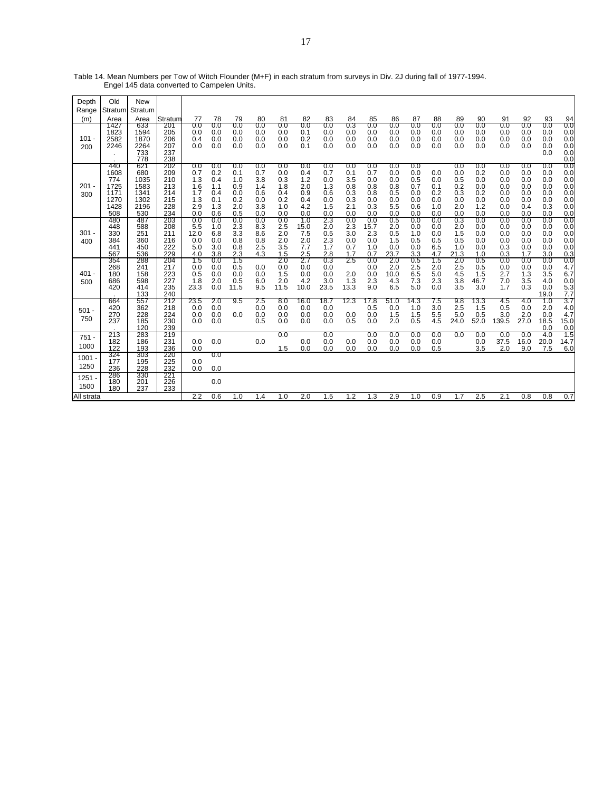| Depth<br>Range   | Old<br>Stratum                                            | New<br>Stratum                                            |                                                      |                                                      |                                                      |                                                      |                                                      |                                                      |                                                      |                                                      |                                                      |                                                      |                                                      |                                                      |                                               |                                                      |                                                      |                                                      |                                                      |                                                      |                                                      |
|------------------|-----------------------------------------------------------|-----------------------------------------------------------|------------------------------------------------------|------------------------------------------------------|------------------------------------------------------|------------------------------------------------------|------------------------------------------------------|------------------------------------------------------|------------------------------------------------------|------------------------------------------------------|------------------------------------------------------|------------------------------------------------------|------------------------------------------------------|------------------------------------------------------|-----------------------------------------------|------------------------------------------------------|------------------------------------------------------|------------------------------------------------------|------------------------------------------------------|------------------------------------------------------|------------------------------------------------------|
| (m)              | Area                                                      | Area                                                      | Stratum                                              | 77                                                   | 78                                                   | 79                                                   | 80                                                   | 81                                                   | 82                                                   | 83                                                   | 84                                                   | 85                                                   | 86                                                   | 87                                                   | 88                                            | 89                                                   | 90                                                   | 91                                                   | 92                                                   | 93                                                   | 94                                                   |
| $101 -$<br>200   | 1427<br>1823<br>2582<br>2246                              | 633<br>1594<br>1870<br>2264<br>733<br>778                 | 201<br>205<br>206<br>207<br>237<br>238               | 0.0<br>0.0<br>0.4<br>0.0                             | 0.0<br>0.0<br>0.0<br>0.0                             | 0.0<br>0.0<br>0.0<br>0.0                             | 0.0<br>0.0<br>0.0<br>0.0                             | 0.0<br>0.0<br>0.0<br>0.0                             | 0.0<br>0.1<br>0.2<br>0.1                             | 0.0<br>0.0<br>0.0<br>0.0                             | 0.3<br>0.0<br>0.0<br>0.0                             | 0.0<br>0.0<br>0.0<br>0.0                             | 0.0<br>0.0<br>0.0<br>0.0                             | 0.0<br>0.0<br>0.0<br>0.0                             | 0.0<br>0.0<br>0.0<br>0.0                      | 0.0<br>0.0<br>0.0<br>0.0                             | 0.0<br>0.0<br>0.0<br>0.0                             | 0.0<br>0.0<br>0.0<br>0.0                             | 0.0<br>0.0<br>0.0<br>0.0                             | 0.0<br>0.0<br>0.0<br>0.0<br>0.0                      | 0.0<br>0.0<br>0.0<br>0.0<br>0.0<br>0.0               |
| $201 -$<br>300   | 440<br>1608<br>774<br>1725<br>1171<br>1270<br>1428<br>508 | 621<br>680<br>1035<br>1583<br>1341<br>1302<br>2196<br>530 | 202<br>209<br>210<br>213<br>214<br>215<br>228<br>234 | 0.0<br>0.7<br>1.3<br>1.6<br>1.7<br>1.3<br>2.9<br>0.0 | 0.0<br>0.2<br>0.4<br>1.1<br>0.4<br>0.1<br>1.3<br>0.6 | 0.0<br>0.1<br>1.0<br>0.9<br>0.0<br>0.2<br>2.0<br>0.5 | 0.0<br>0.7<br>3.8<br>1.4<br>0.6<br>0.0<br>3.8<br>0.0 | 0.0<br>0.0<br>0.3<br>1.8<br>0.4<br>0.2<br>1.0<br>0.0 | 0.0<br>0.4<br>1.2<br>2.0<br>0.9<br>0.4<br>4.2<br>0.0 | 0.0<br>0.7<br>0.0<br>1.3<br>0.6<br>0.0<br>1.5<br>0.0 | 0.0<br>0.1<br>3.5<br>0.8<br>0.3<br>0.3<br>2.1<br>0.0 | 0.0<br>0.7<br>0.0<br>0.8<br>0.8<br>0.0<br>0.3<br>0.0 | 0.0<br>0.0<br>0.0<br>0.8<br>0.5<br>0.0<br>5.5<br>0.0 | 0.0<br>0.0<br>0.5<br>0.7<br>0.0<br>0.0<br>0.6<br>0.0 | 0.0<br>0.0<br>0.1<br>0.2<br>0.0<br>1.0<br>0.0 | 0.0<br>0.0<br>0.5<br>0.2<br>0.3<br>0.0<br>2.0<br>0.0 | 0.0<br>0.2<br>0.0<br>0.0<br>0.2<br>0.0<br>1.2<br>0.0 | 0.0<br>0.0<br>0.0<br>0.0<br>0.0<br>0.0<br>0.0<br>0.0 | 0.0<br>0.0<br>0.0<br>0.0<br>0.0<br>0.0<br>0.4<br>0.0 | 0.0<br>0.0<br>0.0<br>0.0<br>0.0<br>0.0<br>0.3<br>0.0 | 0.0<br>0.0<br>0.0<br>0.0<br>0.0<br>0.0<br>0.0<br>0.0 |
| $301 -$<br>400   | 480<br>448<br>330<br>384<br>441<br>567                    | 487<br>588<br>251<br>360<br>450<br>536                    | 203<br>208<br>211<br>216<br>222<br>229               | 0.0<br>5.5<br>12.0<br>0.0<br>5.0<br>4.0              | 0.0<br>1.0<br>6.8<br>0.0<br>3.0<br>3.8               | 0.0<br>2.3<br>3.3<br>0.8<br>0.8<br>2.3               | 0.0<br>8.3<br>8.6<br>0.8<br>2.5<br>4.3               | 0.0<br>2.5<br>2.0<br>2.0<br>3.5<br>1.5               | 1.0<br>15.0<br>7.5<br>2.0<br>7.7<br>2.5              | 2.3<br>2.0<br>0.5<br>2.3<br>1.7<br>2.8               | 0.0<br>2.3<br>3.0<br>0.0<br>0.7<br>1.7               | 0.0<br>15.7<br>2.3<br>0.0<br>1.0<br>0.7              | 0.5<br>2.0<br>0.5<br>1.5<br>0.0<br>23.7              | 0.0<br>0.0<br>1.0<br>0.5<br>0.0<br>3.3               | 0.0<br>0.0<br>0.0<br>0.5<br>6.5<br>4.7        | 0.3<br>2.0<br>1.5<br>0.5<br>1.0<br>21.3              | 0.0<br>0.0<br>0.0<br>0.0<br>0.0<br>1.0               | 0.0<br>0.0<br>0.0<br>0.0<br>0.3<br>0.3               | 0.0<br>0.0<br>0.0<br>0.0<br>0.0<br>1.7               | 0.0<br>0.0<br>0.0<br>0.0<br>0.0<br>3.0               | 0.0<br>0.0<br>0.0<br>0.0<br>0.0<br>0.3               |
| $401 -$<br>500   | 354<br>268<br>180<br>686<br>420                           | 288<br>241<br>158<br>598<br>414<br>133                    | 204<br>217<br>223<br>227<br>235<br>240               | 1.5<br>0.0<br>0.5<br>1.8<br>23.3                     | $_{0.0}$<br>0.0<br>0.0<br>2.0<br>0.0                 | 1.5<br>0.5<br>0.0<br>0.5<br>11.5                     | 0.0<br>0.0<br>6.0<br>9.5                             | 2.0<br>0.0<br>1.5<br>2.0<br>11.5                     | 2.7<br>0.0<br>0.0<br>4.2<br>10.0                     | 0.3<br>0.0<br>0.0<br>3.0<br>23.5                     | 25<br>2.0<br>1.3<br>13.3                             | 0.0<br>0.0<br>0.0<br>2.3<br>9.0                      | 2.0<br>2.0<br>10.0<br>4.3<br>6.5                     | 0.5<br>2.5<br>6.5<br>7.3<br>5.0                      | 15<br>2.0<br>5.0<br>2.3<br>0.0                | 2.0<br>2.5<br>4.5<br>3.8<br>3.5                      | 0.5<br>0.5<br>1.5<br>46.7<br>3.0                     | 0.0<br>0.0<br>2.7<br>7.0<br>1.7                      | 0.0<br>0.0<br>1.3<br>3.5<br>0.3                      | 0.0<br>0.0<br>3.5<br>4.0<br>0.0<br>19.0              | 0.0<br>4.7<br>6.7<br>0.0<br>5.3<br>7.7               |
| $501 -$<br>750   | 664<br>420<br>270<br>237                                  | 557<br>362<br>228<br>185<br>120                           | 212<br>218<br>224<br>230<br>239                      | 23.5<br>0.0<br>0.0<br>0.0                            | 2.0<br>0.0<br>0.0<br>0.0                             | 9.5<br>0.0                                           | 2.5<br>0.0<br>0.0<br>0.5                             | 8.0<br>0.0<br>0.0<br>0.0                             | 16.0<br>0.0<br>0.0<br>0.0                            | 18.7<br>0.0<br>0.0<br>0.0                            | 12.3<br>0.0<br>0.5                                   | 17.8<br>0.5<br>0.0<br>0.0                            | 51.0<br>0.0<br>1.5<br>2.0                            | 14.3<br>1.0<br>1.5<br>0.5                            | 7.5<br>3.0<br>5.5<br>4.5                      | 9.8<br>2.5<br>5.0<br>24.0                            | 13.3<br>1.5<br>0.5<br>52.0                           | 4.5<br>0.5<br>3.0<br>139.5                           | 4.0<br>0.0<br>2.0<br>27.0                            | 1.0<br>2.0<br>0.0<br>18.5<br>0.0                     | 3.7<br>4.0<br>4.7<br>15.0<br>0.0                     |
| $751 -$<br>1000  | 213<br>182<br>122                                         | 283<br>186<br>193                                         | 219<br>231<br>236                                    | 0.0<br>0.0                                           | 0.0                                                  |                                                      | 0.0                                                  | 0.0<br>1.5                                           | 0.0<br>0.0                                           | 0.0<br>0.0<br>0.0                                    | 0.0<br>0.0                                           | $_{0.0}$<br>0.0<br>0.0                               | 0.0<br>0.0<br>0.0                                    | 0.0<br>0.0<br>0.0                                    | 0.0<br>0.0<br>0.5                             | 0.0                                                  | 0.0<br>0.0<br>3.5                                    | 0.0<br>37.5<br>2.0                                   | 0.0<br>16.0<br>9.0                                   | 4.0<br>20.0<br>7.5                                   | 1.5<br>14.7<br>6.0                                   |
| $1001 -$<br>1250 | 324<br>177<br>236                                         | 303<br>195<br>228                                         | 220<br>225<br>232                                    | 0.0<br>0.0                                           | 0.0<br>0.0                                           |                                                      |                                                      |                                                      |                                                      |                                                      |                                                      |                                                      |                                                      |                                                      |                                               |                                                      |                                                      |                                                      |                                                      |                                                      |                                                      |
| $1251 -$<br>1500 | 286<br>180<br>180                                         | 330<br>201<br>237                                         | 221<br>226<br>233                                    |                                                      | 0.0                                                  |                                                      |                                                      |                                                      |                                                      |                                                      |                                                      |                                                      |                                                      |                                                      |                                               |                                                      |                                                      |                                                      |                                                      |                                                      |                                                      |
| All strata       |                                                           |                                                           |                                                      | 2.2                                                  | 0.6                                                  | 1.0                                                  | 1.4                                                  | 1.0                                                  | 2.0                                                  | 1.5                                                  | 1.2                                                  | 1.3                                                  | 2.9                                                  | 1.0                                                  | 0.9                                           | 1.7                                                  | 2.5                                                  | 2.1                                                  | 0.8                                                  | 0.8                                                  | 0.7                                                  |

Table 14. Mean Numbers per Tow of Witch Flounder (M+F) in each stratum from surveys in Div. 2J during fall of 1977-1994. Engel 145 data converted to Campelen Units.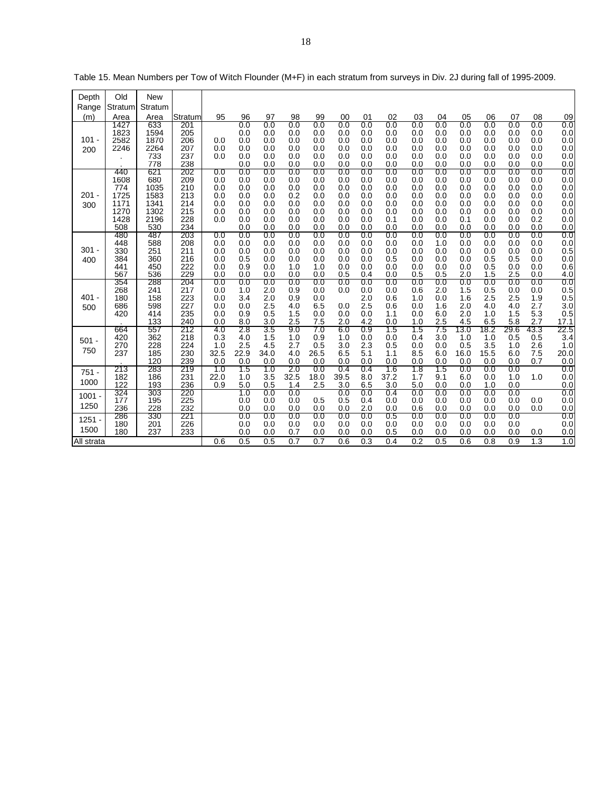| Depth<br>Range   | Old<br>Stratum                                            | <b>New</b><br>Stratum                                     |                                                      |                                               |                                                      |                                                      |                                                      |                                                      |                                                      |                                                      |                                                      |                                                      |                                                      |                                                      |                                                      |                                                      |                                                      |                                                      |
|------------------|-----------------------------------------------------------|-----------------------------------------------------------|------------------------------------------------------|-----------------------------------------------|------------------------------------------------------|------------------------------------------------------|------------------------------------------------------|------------------------------------------------------|------------------------------------------------------|------------------------------------------------------|------------------------------------------------------|------------------------------------------------------|------------------------------------------------------|------------------------------------------------------|------------------------------------------------------|------------------------------------------------------|------------------------------------------------------|------------------------------------------------------|
| (m)              | Area                                                      | Area                                                      | Stratum                                              | 95                                            | 96                                                   | 97                                                   | 98                                                   | 99                                                   | 00                                                   | 01                                                   | 02                                                   | 03                                                   | 04                                                   | 05                                                   | 06                                                   | 07                                                   | 08                                                   | 09                                                   |
| $101 -$<br>200   | 1427<br>1823<br>2582<br>2246                              | 633<br>1594<br>1870<br>2264<br>733<br>778                 | 201<br>205<br>206<br>207<br>237<br>238               | 0.0<br>0.0<br>0.0                             | 0.0<br>0.0<br>0.0<br>0.0<br>0.0<br>0.0               | 0.0<br>0.0<br>0.0<br>0.0<br>0.0<br>0.0               | 0.0<br>0.0<br>0.0<br>0.0<br>0.0<br>0.0               | 0.0<br>0.0<br>0.0<br>0.0<br>0.0<br>0.0               | 0.0<br>0.0<br>0.0<br>0.0<br>0.0<br>0.0               | 0.0<br>0.0<br>0.0<br>0.0<br>0.0<br>0.0               | 0.0<br>0.0<br>0.0<br>0.0<br>0.0<br>0.0               | 0.0<br>0.0<br>0.0<br>0.0<br>0.0<br>0.0               | 0.0<br>0.0<br>0.0<br>0.0<br>0.0<br>0.0               | 0.0<br>0.0<br>0.0<br>0.0<br>0.0<br>0.0               | 0.0<br>0.0<br>0.0<br>0.0<br>0.0<br>0.0               | 0.0<br>0.0<br>0.0<br>0.0<br>0.0<br>0.0               | 0.0<br>0.0<br>0.0<br>0.0<br>0.0<br>0.0               | 0.0<br>0.0<br>0.0<br>0.0<br>0.0<br>0.0               |
| 201 -<br>300     | 440<br>1608<br>774<br>1725<br>1171<br>1270<br>1428<br>508 | 621<br>680<br>1035<br>1583<br>1341<br>1302<br>2196<br>530 | 202<br>209<br>210<br>213<br>214<br>215<br>228<br>234 | 0.0<br>0.0<br>0.0<br>0.0<br>0.0<br>0.0<br>0.0 | 0.0<br>0.0<br>0.0<br>0.0<br>0.0<br>0.0<br>0.0<br>0.0 | 0.0<br>0.0<br>0.0<br>0.0<br>0.0<br>0.0<br>0.0<br>0.0 | 0.0<br>0.0<br>0.0<br>0.2<br>0.0<br>0.0<br>0.0<br>0.0 | 0.0<br>0.0<br>0.0<br>0.0<br>0.0<br>0.0<br>0.0<br>0.0 | 0.0<br>0.0<br>0.0<br>0.0<br>0.0<br>0.0<br>0.0<br>0.0 | 0.0<br>0.0<br>0.0<br>0.0<br>0.0<br>0.0<br>0.0<br>0.0 | 0.0<br>0.0<br>0.0<br>0.0<br>0.0<br>0.0<br>0.1<br>0.0 | 0.0<br>0.0<br>0.0<br>0.0<br>0.0<br>0.0<br>0.0<br>0.0 | 0.0<br>0.0<br>0.0<br>0.0<br>0.0<br>0.0<br>0.0<br>0.0 | 0.0<br>0.0<br>0.0<br>0.0<br>0.0<br>0.0<br>0.1<br>0.0 | 0.0<br>0.0<br>0.0<br>0.0<br>0.0<br>0.0<br>0.0<br>0.0 | 0.0<br>0.0<br>0.0<br>0.0<br>0.0<br>0.0<br>0.0<br>0.0 | 0.0<br>0.0<br>0.0<br>0.0<br>0.0<br>0.0<br>0.2<br>0.0 | 0.0<br>0.0<br>0.0<br>0.0<br>0.0<br>0.0<br>0.0<br>0.0 |
| $301 -$<br>400   | 480<br>448<br>330<br>384<br>441<br>567                    | 487<br>588<br>251<br>360<br>450<br>536                    | 203<br>208<br>211<br>216<br>222<br>229               | 0.0<br>0.0<br>0.0<br>0.0<br>0.0<br>0.0        | 0.0<br>0.0<br>0.0<br>0.5<br>0.9<br>0.0               | 0.0<br>0.0<br>0.0<br>0.0<br>0.0<br>0.0               | 0.0<br>0.0<br>0.0<br>0.0<br>1.0<br>0.0               | 0.0<br>0.0<br>0.0<br>0.0<br>1.0<br>0.0               | 0.0<br>0.0<br>0.0<br>0.0<br>0.0<br>0.5               | 0.0<br>0.0<br>0.0<br>0.0<br>0.0<br>0.4               | 0.0<br>0.0<br>0.0<br>0.5<br>0.0<br>0.0               | 0.0<br>0.0<br>0.0<br>0.0<br>0.0<br>0.5               | 0.0<br>1.0<br>0.0<br>0.0<br>0.0<br>0.5               | 0.0<br>0.0<br>0.0<br>0.0<br>0.0<br>2.0               | 0.0<br>0.0<br>0.0<br>0.5<br>0.5<br>1.5               | 0.0<br>0.0<br>0.0<br>0.5<br>0.0<br>2.5               | 0.0<br>0.0<br>0.0<br>0.0<br>0.0<br>0.0               | 0.0<br>0.0<br>0.5<br>0.0<br>0.6<br>4.0               |
| 401 -<br>500     | 354<br>268<br>180<br>686<br>420                           | 288<br>241<br>158<br>598<br>414<br>133                    | 204<br>217<br>223<br>227<br>235<br>240               | $_{0.0}$<br>0.0<br>0.0<br>0.0<br>0.0<br>0.0   | 0.0<br>1.0<br>3.4<br>0.0<br>0.9<br>8.0               | 0.0<br>2.0<br>2.0<br>2.5<br>0.5<br>3.0               | 0.0<br>0.9<br>0.9<br>4.0<br>1.5<br>2.5               | 0.0<br>0.0<br>0.0<br>6.5<br>0.0<br>7.5               | 0.0<br>0.0<br>0.0<br>0.0<br>2.0                      | 0.0<br>0.0<br>2.0<br>2.5<br>0.0<br>4.2               | 0.0<br>0.0<br>0.6<br>0.6<br>1.1<br>0.0               | 0.0<br>0.6<br>1.0<br>0.0<br>0.0<br>1.0               | 0.0<br>2.0<br>0.0<br>1.6<br>6.0<br>2.5               | 0.0<br>1.5<br>1.6<br>2.0<br>2.0<br>4.5               | $_{0.0}$<br>0.5<br>2.5<br>4.0<br>1.0<br>6.5          | 0.0<br>0.0<br>2.5<br>4.0<br>1.5<br>5.8               | 0.0<br>0.0<br>1.9<br>2.7<br>5.3<br>2.7               | 0.0<br>$0.5 \\ 0.5$<br>3.0<br>0.5<br>17.1            |
| $501 -$<br>750   | 664<br>420<br>270<br>237                                  | 557<br>362<br>228<br>185<br>120                           | 212<br>218<br>224<br>230<br>239                      | 4.0<br>0.3<br>1.0<br>32.5<br>0.0              | 2.8<br>4.0<br>2.5<br>22.9<br>0.0                     | 3.5<br>1.5<br>4.5<br>34.0<br>0.0                     | 9.0<br>1.0<br>2.7<br>4.0<br>0.0                      | 7.0<br>0.9<br>0.5<br>26.5<br>0.0                     | 6.0<br>1.0<br>3.0<br>6.5<br>0.0                      | 0.9<br>0.0<br>2.3<br>5.1<br>0.0                      | 1.5<br>0.0<br>0.5<br>1.1<br>0.0                      | 1.5<br>0.4<br>0.0<br>8.5<br>0.0                      | 7.5<br>3.0<br>0.0<br>6.0<br>0.0                      | 13.0<br>1.0<br>0.5<br>16.0<br>0.0                    | 18.2<br>1.0<br>3.5<br>15.5<br>0.0                    | 29.6<br>0.5<br>1.0<br>6.0<br>0.0                     | 43.3<br>0.5<br>2.6<br>7.5<br>0.7                     | 22.5<br>3.4<br>1.0<br>20.0<br>0.0                    |
| $751 -$<br>1000  | 213<br>182<br>122                                         | 283<br>186<br>193                                         | 219<br>231<br>236                                    | 1.0<br>22.0<br>0.9                            | 1.5<br>1.0<br>5.0                                    | 1.0<br>3.5<br>0.5                                    | 2.0<br>32.5<br>1.4                                   | 0.0<br>18.0<br>2.5                                   | 0.4<br>39.5<br>3.0                                   | 0.4<br>8.0<br>6.5                                    | 1.6<br>37.2<br>3.0                                   | 1.8<br>1.7<br>5.0                                    | 1.5<br>9.1<br>0.0                                    | 0.0<br>6.0<br>0.0                                    | 0.0<br>0.0<br>1.0                                    | 0.0<br>1.0<br>0.0                                    | 1.0                                                  | 0.0<br>0.0<br>0.0                                    |
| $1001 -$<br>1250 | 324<br>177<br>236                                         | 303<br>195<br>228                                         | 220<br>225<br>232                                    |                                               | 1.0<br>0.0<br>0.0                                    | 0.0<br>0.0<br>0.0                                    | 0.0<br>0.0<br>0.0                                    | 0.5<br>0.0                                           | 0.0<br>0.5<br>0.0                                    | 0.0<br>0.4<br>2.0                                    | 0.4<br>0.0<br>0.0                                    | 0.0<br>0.0<br>0.6                                    | 0.0<br>0.0<br>0.0                                    | 0.0<br>0.0<br>0.0                                    | 0.0<br>0.0<br>0.0                                    | 0.0<br>0.0<br>0.0                                    | 0.0<br>0.0                                           | 0.0<br>0.0<br>0.0                                    |
| $1251 -$<br>1500 | 286<br>180<br>180                                         | 330<br>201<br>237                                         | 221<br>226<br>233                                    |                                               | 0.0<br>0.0<br>0.0                                    | 0.0<br>0.0<br>0.0                                    | 0.0<br>0.0<br>0.7                                    | 0.0<br>0.0<br>0.0                                    | 0.0<br>0.0<br>0.0                                    | 0.0<br>0.0<br>0.0                                    | 0.5<br>0.0<br>0.5                                    | 0.0<br>0.0<br>0.0                                    | 0.0<br>0.0<br>0.0                                    | 0.0<br>0.0<br>0.0                                    | 0.0<br>0.0<br>0.0                                    | 0.0<br>0.0<br>0.0                                    | 0.0                                                  | 0.0<br>0.0<br>0.0                                    |
| All strata       |                                                           |                                                           |                                                      | 0.6                                           | 0.5                                                  | 0.5                                                  | $\overline{0.7}$                                     | 0.7                                                  | 0.6                                                  | 0.3                                                  | 0.4                                                  | 0.2                                                  | 0.5                                                  | 0.6                                                  | 0.8                                                  | 0.9                                                  | 1.3                                                  | 1.0                                                  |

Table 15. Mean Numbers per Tow of Witch Flounder (M+F) in each stratum from surveys in Div. 2J during fall of 1995-2009.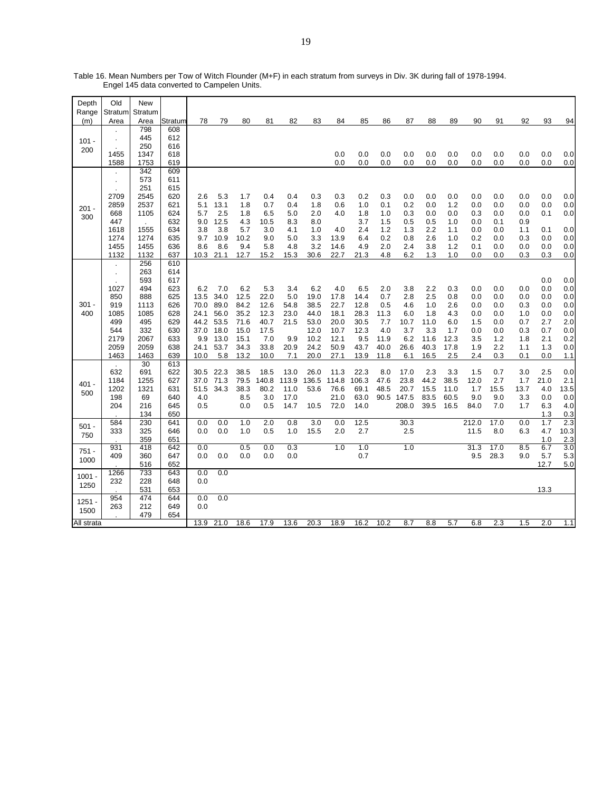| Depth      | Old        | New        |            |            |             |            |             |            |                  |       |            |            |            |            |            |            |            |            |            |             |
|------------|------------|------------|------------|------------|-------------|------------|-------------|------------|------------------|-------|------------|------------|------------|------------|------------|------------|------------|------------|------------|-------------|
| Range      | Stratum    | Stratum    |            |            |             |            |             |            |                  |       |            |            |            |            |            |            |            |            |            |             |
| (m)        | Area       | Area       | Stratum    | 78         | 79          | 80         | 81          | 82         | 83               | 84    | 85         | 86         | 87         | 88         | 89         | 90         | 91         | 92         | 93         | 94          |
|            |            | 798        | 608        |            |             |            |             |            |                  |       |            |            |            |            |            |            |            |            |            |             |
| $101 -$    |            | 445        | 612        |            |             |            |             |            |                  |       |            |            |            |            |            |            |            |            |            |             |
| 200        |            | 250        | 616        |            |             |            |             |            |                  |       |            |            |            |            |            |            |            |            |            |             |
|            | 1455       | 1347       | 618        |            |             |            |             |            |                  | 0.0   | 0.0        | 0.0        | 0.0        | 0.0        | 0.0        | 0.0        | 0.0        | 0.0        | 0.0        | 0.0         |
|            | 1588       | 1753       | 619        |            |             |            |             |            |                  | 0.0   | 0.0        | 0.0        | 0.0        | 0.0        | 0.0        | 0.0        | 0.0        | 0.0        | 0.0        | 0.0         |
|            |            | 342        | 609        |            |             |            |             |            |                  |       |            |            |            |            |            |            |            |            |            |             |
|            |            | 573        | 611        |            |             |            |             |            |                  |       |            |            |            |            |            |            |            |            |            |             |
|            |            | 251        | 615        |            |             |            |             |            |                  |       |            |            |            |            |            |            |            |            |            |             |
|            | 2709       | 2545       | 620        | 2.6        | 5.3         | 1.7        | 0.4         | 0.4        | 0.3              | 0.3   | 0.2        | 0.3        | 0.0        | 0.0        | 0.0        | 0.0        | 0.0        | 0.0        | 0.0        | 0.0         |
| $201 -$    | 2859       | 2537       | 621<br>624 | 5.1        | 13.1<br>2.5 | 1.8        | 0.7         | 0.4        | 1.8              | 0.6   | 1.0        | 0.1        | 0.2        | 0.0        | 1.2        | 0.0        | 0.0        | 0.0        | 0.0        | 0.0         |
| 300        | 668<br>447 | 1105       | 632        | 5.7<br>9.0 | 12.5        | 1.8<br>4.3 | 6.5<br>10.5 | 5.0<br>8.3 | 2.0<br>8.0       | 4.0   | 1.8<br>3.7 | 1.0<br>1.5 | 0.3<br>0.5 | 0.0<br>0.5 | 0.0<br>1.0 | 0.3<br>0.0 | 0.0<br>0.1 | 0.0<br>0.9 | 0.1        | 0.0         |
|            | 1618       | 1555       | 634        | 3.8        | 3.8         | 5.7        | 3.0         | 4.1        | 1.0              | 4.0   | 2.4        | 1.2        | 1.3        | 2.2        | 1.1        | 0.0        | 0.0        | 1.1        | 0.1        | 0.0         |
|            | 1274       | 1274       | 635        | 9.7        | 10.9        | 10.2       | 9.0         | 5.0        | 3.3              | 13.9  | 6.4        | 0.2        | 0.8        | 2.6        | 1.0        | 0.2        | 0.0        | 0.3        | 0.0        | 0.0         |
|            | 1455       | 1455       | 636        | 8.6        | 8.6         | 9.4        | 5.8         | 4.8        | 3.2              | 14.6  | 4.9        | 2.0        | 2.4        | 3.8        | 1.2        | 0.1        | 0.0        | 0.0        | 0.0        | 0.0         |
|            | 1132       | 1132       | 637        | 10.3       | 21.1        | 12.7       | 15.2        | 15.3       | 30.6             | 22.7  | 21.3       | 4.8        | 6.2        | 1.3        | 1.0        | 0.0        | 0.0        | 0.3        | 0.3        | 0.0         |
|            |            | 256        | 610        |            |             |            |             |            |                  |       |            |            |            |            |            |            |            |            |            |             |
|            |            | 263        | 614        |            |             |            |             |            |                  |       |            |            |            |            |            |            |            |            |            |             |
|            |            | 593        | 617        |            |             |            |             |            |                  |       |            |            |            |            |            |            |            |            | 0.0        | 0.0         |
|            | 1027       | 494        | 623        | 6.2        | 7.0         | 6.2        | 5.3         | 3.4        | 6.2              | 4.0   | 6.5        | 2.0        | 3.8        | 2.2        | 0.3        | 0.0        | 0.0        | 0.0        | 0.0        | 0.0         |
|            | 850        | 888        | 625        | 13.5       | 34.0        | 12.5       | 22.0        | 5.0        | 19.0             | 17.8  | 14.4       | 0.7        | 2.8        | 2.5        | 0.8        | 0.0        | 0.0        | 0.0        | 0.0        | 0.0         |
| $301 -$    | 919        | 1113       | 626        | 70.0       | 89.0        | 84.2       | 12.6        | 54.8       | 38.5             | 22.7  | 12.8       | 0.5        | 4.6        | 1.0        | 2.6        | 0.0        | 0.0        | 0.3        | 0.0        | 0.0         |
| 400        | 1085       | 1085       | 628        | 24.1       | 56.0        | 35.2       | 12.3        | 23.0       | 44.0             | 18.1  | 28.3       | 11.3       | 6.0        | 1.8        | 4.3        | 0.0        | 0.0        | 1.0        | 0.0        | 0.0         |
|            | 499        | 495        | 629        | 44.2       | 53.5        | 71.6       | 40.7        | 21.5       | 53.0             | 20.0  | 30.5       | 7.7        | 10.7       | 11.0       | 6.0        | 1.5        | 0.0        | 0.7        | 2.7        | 2.0         |
|            | 544        | 332        | 630        | 37.0       | 18.0        | 15.0       | 17.5        |            | 12.0             | 10.7  | 12.3       | 4.0        | 3.7        | 3.3        | 1.7        | 0.0        | 0.0        | 0.3        | 0.7        | 0.0         |
|            | 2179       | 2067       | 633        | 9.9        | 13.0        | 15.1       | 7.0         | 9.9        | 10.2             | 12.1  | 9.5        | 11.9       | 6.2        | 11.6       | 12.3       | 3.5        | 1.2        | 1.8        | 2.1        | 0.2         |
|            | 2059       | 2059       | 638        | 24.1       | 53.7        | 34.3       | 33.8        | 20.9       | 24.2             | 50.9  | 43.7       | 40.0       | 26.6       | 40.3       | 17.8       | 1.9        | 2.2        | 1.1        | 1.3        | 0.0         |
|            | 1463       | 1463       | 639        | 10.0       | 5.8         | 13.2       | 10.0        | 7.1        | 20.0             | 27.1  | 13.9       | 11.8       | 6.1        | 16.5       | 2.5        | 2.4        | 0.3        | 0.1        | 0.0        | 1.1         |
|            |            | 30         | 613        |            |             |            |             |            |                  |       |            |            |            |            |            |            |            |            |            |             |
|            | 632        | 691        | 622        | 30.5       | 22.3        | 38.5       | 18.5        | 13.0       | 26.0             | 11.3  | 22.3       | 8.0        | 17.0       | 2.3        | 3.3        | 1.5        | 0.7        | 3.0        | 2.5        | 0.0         |
| $401 -$    | 1184       | 1255       | 627        | 37.0       | 71.3        | 79.5       | 140.8       | 113.9      | 136.5            | 114.8 | 106.3      | 47.6       | 23.8       | 44.2       | 38.5       | 12.0       | 2.7        | 1.7        | 21.0       | 2.1         |
| 500        | 1202       | 1321       | 631        | 51.5       | 34.3        | 38.3       | 80.2        | 11.0       | 53.6             | 76.6  | 69.1       | 48.5       | 20.7       | 15.5       | 11.0       | 1.7        | 15.5       | 13.7       | 4.0        | 13.5        |
|            | 198        | 69         | 640        | 4.0        |             | 8.5        | 3.0         | 17.0       |                  | 21.0  | 63.0       | 90.5       | 147.5      | 83.5       | 60.5       | 9.0        | 9.0        | 3.3        | 0.0        | 0.0         |
|            | 204        | 216        | 645        | 0.5        |             | 0.0        | 0.5         | 14.7       | 10.5             | 72.0  | 14.0       |            | 208.0      | 39.5       | 16.5       | 84.0       | 7.0        | 1.7        | 6.3        | 4.0         |
|            |            | 134        | 650        |            |             |            |             |            |                  |       |            |            |            |            |            |            |            |            | 1.3        | 0.3         |
| $501 -$    | 584        | 230        | 641        | 0.0        | 0.0         | 1.0        | 2.0         | 0.8        | $\overline{3.0}$ | 0.0   | 12.5       |            | 30.3       |            |            | 212.0      | 17.0       | 0.0        | 1.7        | 2.3         |
| 750        | 333        | 325<br>359 | 646        | 0.0        | 0.0         | 1.0        | 0.5         | 1.0        | 15.5             | 2.0   | 2.7        |            | 2.5        |            |            | 11.5       | 8.0        | 6.3        | 4.7        | 10.3<br>2.3 |
|            | 931        | 418        | 651<br>642 | 0.0        |             | 0.5        | 0.0         | 0.3        |                  | 1.0   | 1.0        |            | 1.0        |            |            | 31.3       | 17.0       | 8.5        | 1.0<br>6.7 | 3.0         |
| $751 -$    | 409        | 360        | 647        | 0.0        | 0.0         | 0.0        | 0.0         | 0.0        |                  |       | 0.7        |            |            |            |            | 9.5        | 28.3       | 9.0        | 5.7        | 5.3         |
| 1000       |            | 516        | 652        |            |             |            |             |            |                  |       |            |            |            |            |            |            |            |            | 12.7       | 5.0         |
|            | 1266       | 733        | 643        | 0.0        | 0.0         |            |             |            |                  |       |            |            |            |            |            |            |            |            |            |             |
| $1001 -$   | 232        | 228        | 648        | 0.0        |             |            |             |            |                  |       |            |            |            |            |            |            |            |            |            |             |
| 1250       |            | 531        | 653        |            |             |            |             |            |                  |       |            |            |            |            |            |            |            |            | 13.3       |             |
|            | 954        | 474        | 644        | 0.0        | 0.0         |            |             |            |                  |       |            |            |            |            |            |            |            |            |            |             |
| 1251 -     | 263        | 212        | 649        | 0.0        |             |            |             |            |                  |       |            |            |            |            |            |            |            |            |            |             |
| 1500       |            | 479        | 654        |            |             |            |             |            |                  |       |            |            |            |            |            |            |            |            |            |             |
| All strata |            |            |            | 13.9       | 21.0        | 18.6       | 17.9        | 13.6       | 20.3             | 18.9  | 16.2       | 10.2       | 8.7        | 8.8        | 5.7        | 6.8        | 2.3        | 1.5        | 2.0        | 1.1         |

Table 16. Mean Numbers per Tow of Witch Flounder (M+F) in each stratum from surveys in Div. 3K during fall of 1978-1994. Engel 145 data converted to Campelen Units.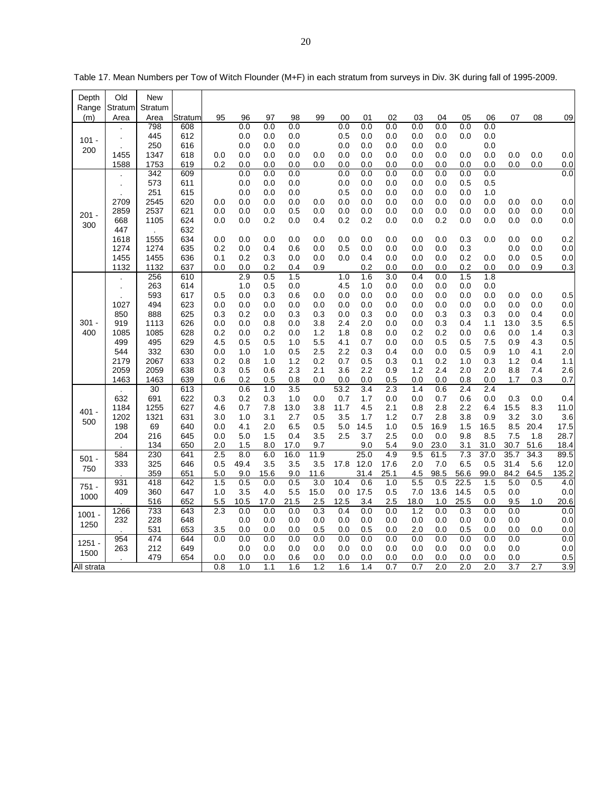| Depth      | Old         | New         |            |            |             |             |             |             |             |             |            |             |             |              |            |             |            |             |
|------------|-------------|-------------|------------|------------|-------------|-------------|-------------|-------------|-------------|-------------|------------|-------------|-------------|--------------|------------|-------------|------------|-------------|
| Range      | Stratum     | Stratum     |            |            |             |             |             |             |             |             |            |             |             |              |            |             |            |             |
| (m)        | Area        | Area        | Stratum    | 95         | 96          | 97          | 98          | 99          | 00          | 01          | 02         | 03          | 04          | 05           | 06         | 07          | 08         | 09          |
|            |             | 798<br>445  | 608<br>612 |            | 0.0<br>0.0  | 0.0<br>0.0  | 0.0<br>0.0  |             | 0.0<br>0.5  | 0.0<br>0.0  | 0.0<br>0.0 | 0.0<br>0.0  | 0.0<br>0.0  | 0.0<br>0.0   | 0.0<br>0.0 |             |            |             |
| $101 -$    |             | 250         | 616        |            | 0.0         | 0.0         | 0.0         |             | 0.0         | 0.0         | 0.0        | 0.0         | 0.0         |              | 0.0        |             |            |             |
| 200        | 1455        | 1347        | 618        | 0.0        | 0.0         | 0.0         | 0.0         | 0.0         | 0.0         | 0.0         | 0.0        | 0.0         | 0.0         | 0.0          | 0.0        | 0.0         | 0.0        | 0.0         |
|            | 1588        | 1753        | 619        | 0.2        | 0.0         | 0.0         | 0.0         | 0.0         | 0.0         | 0.0         | 0.0        | 0.0         | 0.0         | 0.0          | 0.0        | 0.0         | 0.0        | 0.0         |
|            |             | 342         | 609        |            | 0.0         | 0.0         | 0.0         |             | 0.0         | 0.0         | 0.0        | 0.0         | 0.0         | 0.0          | 0.0        |             |            | 0.0         |
|            |             | 573         | 611        |            | 0.0         | 0.0         | 0.0         |             | 0.0         | 0.0         | 0.0        | 0.0         | 0.0         | 0.5          | 0.5        |             |            |             |
|            |             | 251         | 615        |            | 0.0         | 0.0         | 0.0         |             | 0.5         | 0.0         | 0.0        | 0.0         | 0.0         | 0.0          | 1.0        |             |            |             |
|            | 2709        | 2545        | 620        | 0.0        | 0.0         | 0.0         | 0.0         | 0.0         | 0.0         | 0.0         | 0.0        | 0.0         | 0.0         | 0.0          | 0.0        | 0.0         | 0.0        | 0.0         |
| 201 -      | 2859<br>668 | 2537        | 621        | 0.0        | 0.0<br>0.0  | 0.0         | 0.5<br>0.0  | 0.0<br>0.4  | 0.0         | 0.0<br>0.2  | 0.0<br>0.0 | 0.0<br>0.0  | 0.0<br>0.2  | 0.0          | 0.0        | 0.0<br>0.0  | 0.0<br>0.0 | 0.0         |
| 300        | 447         | 1105        | 624<br>632 | 0.0        |             | 0.2         |             |             | 0.2         |             |            |             |             | 0.0          | 0.0        |             |            | 0.0         |
|            | 1618        | 1555        | 634        | 0.0        | 0.0         | 0.0         | 0.0         | 0.0         | 0.0         | 0.0         | 0.0        | 0.0         | 0.0         | 0.3          | 0.0        | 0.0         | 0.0        | 0.2         |
|            | 1274        | 1274        | 635        | 0.2        | 0.0         | 0.4         | 0.6         | 0.0         | 0.5         | 0.0         | 0.0        | 0.0         | 0.0         | 0.3          |            | 0.0         | 0.0        | 0.0         |
|            | 1455        | 1455        | 636        | 0.1        | 0.2         | 0.3         | 0.0         | 0.0         | 0.0         | 0.4         | 0.0        | 0.0         | 0.0         | 0.2          | 0.0        | 0.0         | 0.5        | 0.0         |
|            | 1132        | 1132        | 637        | 0.0        | 0.0         | 0.2         | 0.4         | 0.9         |             | 0.2         | 0.0        | 0.0         | 0.0         | 0.2          | 0.0        | 0.0         | 0.9        | 0.3         |
|            |             | 256         | 610        |            | 2.9         | 0.5         | 1.5         |             | 1.0         | 1.6         | 3.0        | 0.4         | 0.0         | 1.5          | 1.8        |             |            |             |
|            |             | 263         | 614        |            | 1.0         | 0.5         | 0.0         |             | 4.5         | 1.0         | 0.0        | 0.0         | 0.0         | 0.0          | 0.0        |             |            |             |
|            |             | 593         | 617        | 0.5        | 0.0         | 0.3         | 0.6         | 0.0         | 0.0         | 0.0         | 0.0        | 0.0         | 0.0         | 0.0          | 0.0        | 0.0         | 0.0        | 0.5         |
|            | 1027<br>850 | 494<br>888  | 623<br>625 | 0.0<br>0.3 | 0.0<br>0.2  | 0.0<br>0.0  | 0.0<br>0.3  | 0.0<br>0.3  | 0.0<br>0.0  | 0.0<br>0.3  | 0.0<br>0.0 | 0.0<br>0.0  | 0.0<br>0.3  | 0.0<br>0.3   | 0.0<br>0.3 | 0.0<br>0.0  | 0.0<br>0.4 | 0.0<br>0.0  |
| 301 -      | 919         | 1113        | 626        | 0.0        | 0.0         | 0.8         | 0.0         | 3.8         | 2.4         | 2.0         | 0.0        | 0.0         | 0.3         | 0.4          | 1.1        | 13.0        | 3.5        | 6.5         |
| 400        | 1085        | 1085        | 628        | 0.2        | 0.0         | 0.2         | 0.0         | 1.2         | 1.8         | 0.8         | 0.0        | 0.2         | 0.2         | 0.0          | 0.6        | 0.0         | 1.4        | 0.3         |
|            | 499         | 495         | 629        | 4.5        | 0.5         | 0.5         | 1.0         | 5.5         | 4.1         | 0.7         | 0.0        | 0.0         | 0.5         | 0.5          | 7.5        | 0.9         | 4.3        | 0.5         |
|            | 544         | 332         | 630        | 0.0        | 1.0         | 1.0         | 0.5         | 2.5         | 2.2         | 0.3         | 0.4        | 0.0         | 0.0         | 0.5          | 0.9        | 1.0         | 4.1        | 2.0         |
|            | 2179        | 2067        | 633        | 0.2        | 0.8         | 1.0         | 1.2         | 0.2         | 0.7         | 0.5         | 0.3        | 0.1         | 0.2         | 1.0          | 0.3        | 1.2         | 0.4        | 1.1         |
|            | 2059        | 2059        | 638        | 0.3        | 0.5         | 0.6         | 2.3         | 2.1         | 3.6         | 2.2         | 0.9        | 1.2         | 2.4         | 2.0          | 2.0        | 8.8         | 7.4        | 2.6         |
|            | 1463        | 1463        | 639        | 0.6        | 0.2         | 0.5         | 0.8         | 0.0         | 0.0         | 0.0         | 0.5        | 0.0         | 0.0         | 0.8          | 0.0        | 1.7         | 0.3        | 0.7         |
|            |             | 30          | 613        |            | 0.6         | 1.0         | 3.5         |             | 53.2        | 3.4         | 2.3        | 1.4         | 0.6         | 2.4          | 2.4        |             |            |             |
|            | 632<br>1184 | 691<br>1255 | 622<br>627 | 0.3<br>4.6 | 0.2<br>0.7  | 0.3<br>7.8  | 1.0<br>13.0 | 0.0<br>3.8  | 0.7<br>11.7 | 1.7<br>4.5  | 0.0<br>2.1 | 0.0<br>0.8  | 0.7<br>2.8  | 0.6<br>2.2   | 0.0<br>6.4 | 0.3<br>15.5 | 0.0<br>8.3 | 0.4<br>11.0 |
| $401 -$    | 1202        | 1321        | 631        | 3.0        | 1.0         | 3.1         | 2.7         | 0.5         | 3.5         | 1.7         | 1.2        | 0.7         | 2.8         | 3.8          | 0.9        | 3.2         | 3.0        | 3.6         |
| 500        | 198         | 69          | 640        | 0.0        | 4.1         | 2.0         | 6.5         | 0.5         | 5.0         | 14.5        | 1.0        | 0.5         | 16.9        | 1.5          | 16.5       | 8.5         | 20.4       | 17.5        |
|            | 204         | 216         | 645        | 0.0        | 5.0         | 1.5         | 0.4         | 3.5         | 2.5         | 3.7         | 2.5        | 0.0         | 0.0         | 9.8          | 8.5        | 7.5         | 1.8        | 28.7        |
|            |             | 134         | 650        | 2.0        | 1.5         | 8.0         | 17.0        | 9.7         |             | 9.0         | 5.4        | 9.0         | 23.0        | 3.1          | 31.0       | 30.7        | 51.6       | 18.4        |
| $501 -$    | 584         | 230         | 641        | 2.5        | 8.0         | 6.0         | 16.0        | 11.9        |             | 25.0        | 4.9        | 9.5         | 61.5        | 7.3          | 37.0       | 35.7        | 34.3       | 89.5        |
| 750        | 333         | 325         | 646        | 0.5        | 49.4        | 3.5         | 3.5         | 3.5         | 17.8        | 12.0        | 17.6       | 2.0         | 7.0         | 6.5          | 0.5        | 31.4        | 5.6        | 12.0        |
|            |             | 359         | 651        | 5.0        | 9.0         | 15.6        | 9.0         | 11.6        |             | 31.4        | 25.1       | 4.5         | 98.5        | 56.6         | 99.0       | 84.2        | 64.5       | 135.2       |
| 751 -      | 931         | 418         | 642        | 1.5        | 0.5         | 0.0         | 0.5         | 3.0         | 10.4        | 0.6         | 1.0        | 5.5         | 0.5         | 22.5         | 1.5        | 5.0         | 0.5        | 4.0         |
| 1000       | 409         | 360<br>516  | 647<br>652 | 1.0<br>5.5 | 3.5<br>10.5 | 4.0<br>17.0 | 5.5<br>21.5 | 15.0<br>2.5 | 0.0<br>12.5 | 17.5<br>3.4 | 0.5<br>2.5 | 7.0<br>18.0 | 13.6<br>1.0 | 14.5<br>25.5 | 0.5<br>0.0 | 0.0<br>9.5  | 1.0        | 0.0<br>20.6 |
|            | 1266        | 733         | 643        | 2.3        | 0.0         | 0.0         | 0.0         | 0.3         | 0.4         | 0.0         | 0.0        | 1.2         | 0.0         | 0.3          | 0.0        | 0.0         |            | 0.0         |
| $1001 -$   | 232         | 228         | 648        |            | 0.0         | 0.0         | 0.0         | 0.0         | 0.0         | 0.0         | 0.0        | 0.0         | 0.0         | 0.0          | 0.0        | 0.0         |            | 0.0         |
| 1250       |             | 531         | 653        | 3.5        | 0.0         | 0.0         | 0.0         | 0.5         | 0.0         | 0.5         | 0.0        | 2.0         | 0.0         | 0.5          | 0.0        | 0.0         | 0.0        | 0.0         |
| $1251 -$   | 954         | 474         | 644        | 0.0        | 0.0         | 0.0         | 0.0         | 0.0         | 0.0         | 0.0         | 0.0        | 0.0         | 0.0         | 0.0          | 0.0        | 0.0         |            | 0.0         |
| 1500       | 263         | 212         | 649        |            | 0.0         | 0.0         | 0.0         | 0.0         | 0.0         | 0.0         | 0.0        | 0.0         | 0.0         | 0.0          | 0.0        | 0.0         |            | 0.0         |
|            |             | 479         | 654        | 0.0        | 0.0         | 0.0         | 0.6         | 0.0         | 0.0         | 0.0         | 0.0        | 0.0         | 0.0         | 0.0          | 0.0        | 0.0         |            | 0.5         |
| All strata |             |             |            | 0.8        | 1.0         | 1.1         | 1.6         | 1.2         | 1.6         | 1.4         | 0.7        | 0.7         | 2.0         | 2.0          | 2.0        | 3.7         | 2.7        | 3.9         |

Table 17. Mean Numbers per Tow of Witch Flounder (M+F) in each stratum from surveys in Div. 3K during fall of 1995-2009.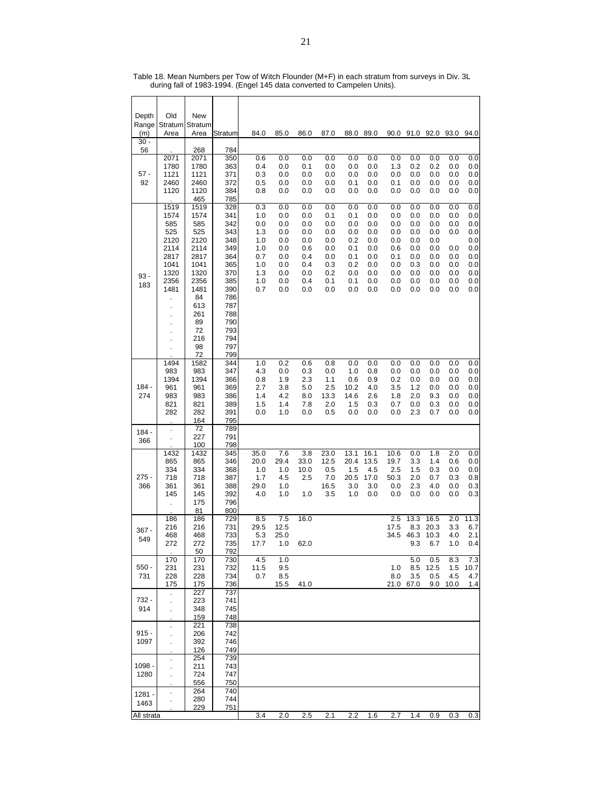| Depth<br>Range  | Old<br>Stratum Stratum                                                                               | New                                                                                                                                   |                                                                                                                                   |                                                                           |                                                                           |                                                                           |                                                                           |                                                                           |                                                                           |                                                                           |                                                                           |                                                                           |                                                                    |                                                                           |
|-----------------|------------------------------------------------------------------------------------------------------|---------------------------------------------------------------------------------------------------------------------------------------|-----------------------------------------------------------------------------------------------------------------------------------|---------------------------------------------------------------------------|---------------------------------------------------------------------------|---------------------------------------------------------------------------|---------------------------------------------------------------------------|---------------------------------------------------------------------------|---------------------------------------------------------------------------|---------------------------------------------------------------------------|---------------------------------------------------------------------------|---------------------------------------------------------------------------|--------------------------------------------------------------------|---------------------------------------------------------------------------|
| (m)<br>$30 -$   | Area                                                                                                 | Area                                                                                                                                  | Stratum                                                                                                                           | 84.0                                                                      | 85.0                                                                      | 86.0                                                                      | 87.0                                                                      | 88.0                                                                      | 89.0                                                                      |                                                                           | 90.0 91.0 92.0                                                            |                                                                           | 93.0                                                               | 94.0                                                                      |
| 56              |                                                                                                      | 268                                                                                                                                   | 784                                                                                                                               |                                                                           |                                                                           |                                                                           |                                                                           |                                                                           |                                                                           |                                                                           |                                                                           |                                                                           |                                                                    |                                                                           |
| 57 -<br>92      | 2071<br>1780<br>1121<br>2460<br>1120                                                                 | 2071<br>1780<br>1121<br>2460<br>1120<br>465                                                                                           | 350<br>363<br>371<br>372<br>384<br>785                                                                                            | 0.6<br>0.4<br>0.3<br>0.5<br>0.8                                           | 0.0<br>0.0<br>0.0<br>0.0<br>0.0                                           | 0.0<br>0.1<br>0.0<br>0.0<br>0.0                                           | 0.0<br>0.0<br>0.0<br>0.0<br>0.0                                           | 0.0<br>0.0<br>0.0<br>0.1<br>0.0                                           | 0.0<br>0.0<br>0.0<br>0.0<br>0.0                                           | 0.0<br>1.3<br>0.0<br>0.1<br>0.0                                           | 0.0<br>0.2<br>0.0<br>0.0<br>0.0                                           | 0.0<br>0.2<br>0.0<br>0.0<br>0.0                                           | 0.0<br>0.0<br>0.0<br>0.0<br>0.0                                    | 0.0<br>0.0<br>0.0<br>0.0<br>0.0                                           |
| $93 -$<br>183   | 1519<br>1574<br>585<br>525<br>2120<br>2114<br>2817<br>1041<br>1320<br>2356<br>1481<br>$\blacksquare$ | 1519<br>1574<br>585<br>525<br>2120<br>2114<br>2817<br>1041<br>1320<br>2356<br>1481<br>84<br>613<br>261<br>89<br>72<br>216<br>98<br>72 | 328<br>341<br>342<br>343<br>348<br>349<br>364<br>365<br>370<br>385<br>390<br>786<br>787<br>788<br>790<br>793<br>794<br>797<br>799 | 0.3<br>1.0<br>0.0<br>1.3<br>1.0<br>1.0<br>0.7<br>1.0<br>1.3<br>1.0<br>0.7 | 0.0<br>0.0<br>0.0<br>0.0<br>0.0<br>0.0<br>0.0<br>0.0<br>0.0<br>0.0<br>0.0 | 0.0<br>0.0<br>0.0<br>0.0<br>0.0<br>0.6<br>0.4<br>0.4<br>0.0<br>0.4<br>0.0 | 0.0<br>0.1<br>0.0<br>0.0<br>0.0<br>0.0<br>0.0<br>0.3<br>0.2<br>0.1<br>0.0 | 0.0<br>0.1<br>0.0<br>0.0<br>0.2<br>0.1<br>0.1<br>0.2<br>0.0<br>0.1<br>0.0 | 0.0<br>0.0<br>0.0<br>0.0<br>0.0<br>0.0<br>0.0<br>0.0<br>0.0<br>0.0<br>0.0 | 0.0<br>0.0<br>0.0<br>0.0<br>0.0<br>0.6<br>0.1<br>0.0<br>0.0<br>0.0<br>0.0 | 0.0<br>0.0<br>0.0<br>0.0<br>0.0<br>0.0<br>0.0<br>0.3<br>0.0<br>0.0<br>0.0 | 0.0<br>0.0<br>0.0<br>0.0<br>0.0<br>0.0<br>0.0<br>0.0<br>0.0<br>0.0<br>0.0 | 0.0<br>0.0<br>0.0<br>0.0<br>0.0<br>0.0<br>0.0<br>0.0<br>0.0<br>0.0 | 0.0<br>0.0<br>0.0<br>0.0<br>0.0<br>0.0<br>0.0<br>0.0<br>0.0<br>0.0<br>0.0 |
| $184 -$<br>274  | 1494<br>983<br>1394<br>961<br>983<br>821<br>282                                                      | 1582<br>983<br>1394<br>961<br>983<br>821<br>282<br>164                                                                                | 344<br>347<br>366<br>369<br>386<br>389<br>391<br>795                                                                              | 1.0<br>4.3<br>0.8<br>2.7<br>1.4<br>1.5<br>0.0                             | 0.2<br>0.0<br>1.9<br>3.8<br>4.2<br>1.4<br>1.0                             | 0.6<br>0.3<br>2.3<br>5.0<br>8.0<br>7.8<br>0.0                             | 0.8<br>0.0<br>1.1<br>2.5<br>13.3<br>2.0<br>0.5                            | 0.0<br>1.0<br>0.6<br>10.2<br>14.6<br>1.5<br>0.0                           | 0.0<br>0.8<br>0.9<br>4.0<br>2.6<br>0.3<br>0.0                             | 0.0<br>0.0<br>0.2<br>3.5<br>1.8<br>0.7<br>0.0                             | 0.0<br>0.0<br>0.0<br>1.2<br>2.0<br>0.0<br>2.3                             | 0.0<br>0.0<br>0.0<br>0.0<br>9.3<br>0.3<br>0.7                             | 0.0<br>0.0<br>0.0<br>0.0<br>0.0<br>0.0<br>0.0                      | 0.0<br>0.0<br>0.0<br>0.0<br>0.0<br>0.0<br>0.0                             |
| $184 -$         | $\ddot{\phantom{0}}$                                                                                 | 72                                                                                                                                    | 789                                                                                                                               |                                                                           |                                                                           |                                                                           |                                                                           |                                                                           |                                                                           |                                                                           |                                                                           |                                                                           |                                                                    |                                                                           |
| 366             |                                                                                                      | 227<br>100                                                                                                                            | 791<br>798                                                                                                                        |                                                                           |                                                                           |                                                                           |                                                                           |                                                                           |                                                                           |                                                                           |                                                                           |                                                                           |                                                                    |                                                                           |
| $275 -$<br>366  | 1432<br>865<br>334<br>718<br>361<br>145                                                              | 1432<br>865<br>334<br>718<br>361<br>145<br>175<br>81                                                                                  | 345<br>346<br>368<br>387<br>388<br>392<br>796<br>800                                                                              | 35.0<br>20.0<br>1.0<br>1.7<br>29.0<br>4.0                                 | 7.6<br>29.4<br>1.0<br>4.5<br>1.0<br>1.0                                   | 3.8<br>33.0<br>10.0<br>2.5<br>1.0                                         | 23.0<br>12.5<br>0.5<br>7.0<br>16.5<br>3.5                                 | 13.1<br>20.4<br>1.5<br>20.5<br>3.0<br>1.0                                 | 16.1<br>13.5<br>4.5<br>17.0<br>3.0<br>0.0                                 | 10.6<br>19.7<br>2.5<br>50.3<br>0.0<br>0.0                                 | 0.0<br>3.3<br>1.5<br>2.0<br>2.3<br>0.0                                    | 1.8<br>1.4<br>0.3<br>0.7<br>4.0<br>0.0                                    | $\overline{2.0}$<br>0.6<br>0.0<br>0.3<br>0.0<br>0.0                | $0.0\,$<br>0.0<br>0.0<br>0.8<br>0.3<br>0.3                                |
| $367 -$<br>549  | 186<br>216<br>468<br>272                                                                             | 186<br>216<br>468<br>272<br>50                                                                                                        | 729<br>731<br>733<br>735<br>792                                                                                                   | 8.5<br>29.5<br>5.3<br>17.7                                                | 7.5<br>12.5<br>25.0<br>1.0                                                | 16.0<br>62.0                                                              |                                                                           |                                                                           |                                                                           | 2.5<br>17.5<br>34.5                                                       | 13.3<br>8.3<br>46.3<br>9.3                                                | 16.5<br>20.3<br>10.3<br>6.7                                               | 2.0<br>3.3<br>4.0<br>1.0                                           | 11.3<br>6.7<br>2.1<br>0.4                                                 |
| $550 -$<br>731  | 170<br>231<br>228<br>175                                                                             | 170<br>231<br>228<br>175                                                                                                              | 730<br>732<br>734<br>736                                                                                                          | 4.5<br>11.5<br>0.7                                                        | 1.0<br>9.5<br>8.5<br>15.5                                                 | 41.0                                                                      |                                                                           |                                                                           |                                                                           | 1.0<br>8.0                                                                | 5.0<br>8.5<br>3.5<br>21.0 67.0                                            | 0.5<br>12.5<br>0.5                                                        | 8.3<br>1.5<br>4.5<br>9.0 10.0                                      | 7.3<br>10.7<br>4.7<br>1.4                                                 |
| 732 -<br>914    |                                                                                                      | 227<br>223<br>348<br>159                                                                                                              | 737<br>741<br>745<br>748                                                                                                          |                                                                           |                                                                           |                                                                           |                                                                           |                                                                           |                                                                           |                                                                           |                                                                           |                                                                           |                                                                    |                                                                           |
| $915 -$<br>1097 | ä,                                                                                                   | 221<br>206<br>392<br>126                                                                                                              | 738<br>742<br>746<br>749                                                                                                          |                                                                           |                                                                           |                                                                           |                                                                           |                                                                           |                                                                           |                                                                           |                                                                           |                                                                           |                                                                    |                                                                           |
| 1098 -<br>1280  |                                                                                                      | 254<br>211<br>724<br>556                                                                                                              | 739<br>743<br>747<br>750                                                                                                          |                                                                           |                                                                           |                                                                           |                                                                           |                                                                           |                                                                           |                                                                           |                                                                           |                                                                           |                                                                    |                                                                           |
| 1281 -<br>1463  | $\ddot{\phantom{0}}$                                                                                 | 264<br>280<br>229                                                                                                                     | 740<br>744<br>751                                                                                                                 |                                                                           |                                                                           |                                                                           |                                                                           |                                                                           |                                                                           |                                                                           |                                                                           |                                                                           |                                                                    |                                                                           |
| All strata      |                                                                                                      |                                                                                                                                       |                                                                                                                                   | 3.4                                                                       | 2.0                                                                       | 2.5                                                                       | 2.1                                                                       | 2.2                                                                       | 1.6                                                                       | 2.7                                                                       | 1.4                                                                       | 0.9                                                                       | 0.3                                                                | 0.3                                                                       |

Table 18. Mean Numbers per Tow of Witch Flounder (M+F) in each stratum from surveys in Div. 3L during fall of 1983-1994. (Engel 145 data converted to Campelen Units).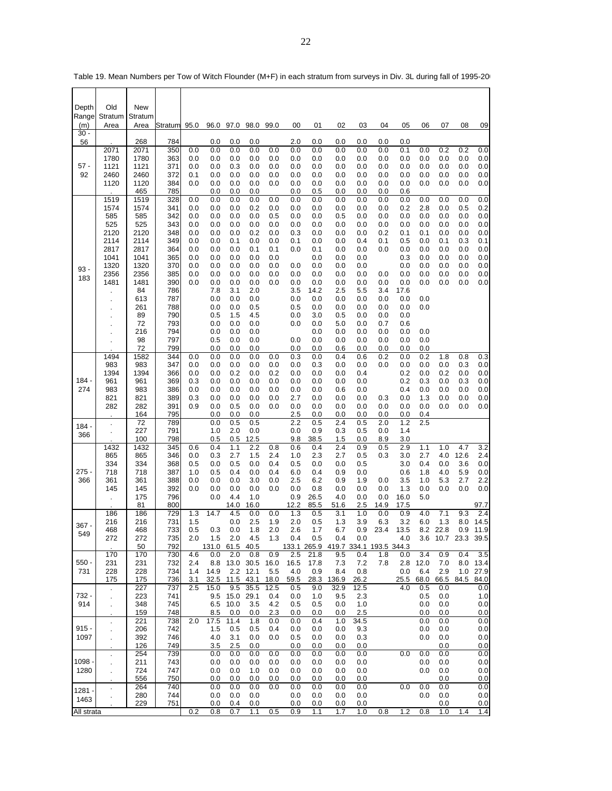| Depth           | Old                                | New             |            |            |                        |                  |              |              |             |              |                                            |              |            |             |                 |             |            |                  |
|-----------------|------------------------------------|-----------------|------------|------------|------------------------|------------------|--------------|--------------|-------------|--------------|--------------------------------------------|--------------|------------|-------------|-----------------|-------------|------------|------------------|
| Range<br>(m)    | Stratum<br>Area                    | Stratum<br>Area | Stratum    | 95.0       | 96.0                   | 97.0             | 98.0         | 99.0         | 00          | 01           | 02                                         | 03           | 04         | 05          | 06              | 07          | 08         | 09               |
| $30 -$<br>56    |                                    | 268             | 784        |            | 0.0                    | 0.0              | 0.0          |              | 2.0         | 0.0          | 0.0                                        | 0.0          | 0.0        | 0.0         |                 |             |            |                  |
|                 | 2071<br>1780                       | 2071<br>1780    | 350<br>363 | 0.0<br>0.0 | 0.0<br>0.0             | 0.0<br>0.0       | 0.0<br>0.0   | 0.0<br>0.0   | 0.0<br>0.0  | 0.0<br>0.0   | 0.0<br>0.0                                 | 0.0<br>0.0   | 0.0<br>0.0 | 0.1<br>0.0  | 0.0<br>0.0      | 0.2<br>0.0  | 0.2<br>0.0 | 0.0<br>0.0       |
| $57 -$          | 1121                               | 1121            | 371        | 0.0        | 0.0                    | 0.3              | 0.0          | 0.0          | 0.0         | 0.0          | 0.0                                        | 0.0          | 0.0        | 0.0         | 0.0             | 0.0         | 0.0        | 0.0              |
| 92              | 2460<br>1120                       | 2460<br>1120    | 372<br>384 | 0.1<br>0.0 | 0.0<br>0.0             | 0.0<br>0.0       | 0.0<br>0.0   | 0.0<br>0.0   | 0.0<br>0.0  | 0.0<br>0.0   | 0.0<br>0.0                                 | 0.0<br>0.0   | 0.0<br>0.0 | 0.0<br>0.0  | 0.0<br>0.0      | 0.0<br>0.0  | 0.0<br>0.0 | 0.0<br>0.0       |
|                 |                                    | 465             | 785        |            | 0.0                    | 0.0              | 0.0          |              | 0.0         | 0.5          | 0.0                                        | 0.0          | 0.0        | 0.6         |                 |             |            |                  |
|                 | 1519<br>1574                       | 1519<br>1574    | 328<br>341 | 0.0<br>0.0 | 0.0<br>0.0             | 0.0<br>0.0       | 0.0<br>0.2   | 0.0<br>0.0   | 0.0<br>0.0  | 0.0<br>0.0   | 0.0<br>0.0                                 | 0.0<br>0.0   | 0.0<br>0.0 | 0.0<br>0.2  | 0.0<br>2.8      | 0.0<br>0.0  | 0.0<br>0.5 | 0.0<br>0.2       |
|                 | 585                                | 585             | 342        | 0.0        | 0.0                    | 0.0              | 0.0          | 0.5          | 0.0         | 0.0          | 0.5                                        | 0.0          | 0.0        | 0.0         | 0.0             | 0.0         | 0.0        | 0.0              |
|                 | 525<br>2120                        | 525<br>2120     | 343<br>348 | 0.0<br>0.0 | 0.0<br>0.0             | 0.0<br>0.0       | 0.0<br>0.2   | 0.0<br>0.0   | 0.0<br>0.3  | 0.0<br>0.0   | 0.0<br>0.0                                 | 0.0<br>0.0   | 0.0<br>0.2 | 0.0<br>0.1  | 0.0<br>0.1      | 0.0<br>0.0  | 0.0<br>0.0 | 0.0<br>0.0       |
|                 | 2114                               | 2114            | 349        | 0.0        | 0.0                    | 0.1              | 0.0          | 0.0          | 0.1         | 0.0          | 0.0                                        | 0.4          | 0.1        | 0.5         | 0.0             | 0.1         | 0.3        | 0.1              |
|                 | 2817<br>1041                       | 2817<br>1041    | 364<br>365 | 0.0<br>0.0 | 0.0<br>0.0             | 0.0<br>0.0       | 0.1<br>0.0   | 0.1<br>0.0   | 0.0         | 0.1<br>0.0   | 0.0<br>0.0                                 | 0.0<br>0.0   | 0.0        | 0.0<br>0.3  | 0.0<br>0.0      | 0.0<br>0.0  | 0.0<br>0.0 | 0.0<br>0.0       |
| $93 -$          | 1320                               | 1320            | 370        | 0.0        | 0.0                    | 0.0              | 0.0          | 0.0          | 0.0         | 0.0          | 0.0                                        | 0.0          |            | 0.0         | 0.0             | 0.0         | 0.0        | 0.0              |
| 183             | 2356<br>1481                       | 2356<br>1481    | 385<br>390 | 0.0<br>0.0 | 0.0<br>0.0             | 0.0<br>0.0       | 0.0<br>0.0   | 0.0<br>0.0   | 0.0<br>0.0  | 0.0<br>0.0   | 0.0<br>0.0                                 | 0.0<br>0.0   | 0.0<br>0.0 | 0.0<br>0.0  | 0.0<br>0.0      | 0.0<br>0.0  | 0.0<br>0.0 | 0.0<br>0.0       |
|                 |                                    | 84              | 786        |            | 7.8<br>0.0             | 3.1<br>0.0       | 2.0<br>0.0   |              | 3.5<br>0.0  | 14.2         | 2.5<br>0.0                                 | 5.5<br>0.0   | 3.4<br>0.0 | 17.6<br>0.0 | 0.0             |             |            |                  |
|                 |                                    | 613<br>261      | 787<br>788 |            | 0.0                    | 0.0              | 0.5          |              | 0.5         | 0.0<br>0.0   | 0.0                                        | 0.0          | 0.0        | 0.0         | 0.0             |             |            |                  |
|                 |                                    | 89<br>72        | 790        |            | 0.5<br>0.0             | 1.5<br>0.0       | 45<br>0.0    |              | 0.0<br>0.0  | 3.0<br>0.0   | 0.5<br>5.0                                 | 0.0<br>0.0   | 0.0<br>0.7 | 0.0         |                 |             |            |                  |
|                 |                                    | 216             | 793<br>794 |            | 0.0                    | 0.0              | 0.0          |              |             | 0.0          | 0.0                                        | 0.0          | 0.0        | 0.6<br>0.0  | 0.0             |             |            |                  |
|                 |                                    | 98              | 797        |            | 0.5                    | 0.0              | 0.0          |              | 0.0<br>0.0  | 0.0<br>0.0   | 0.0                                        | 0.0          | 0.0        | 0.0         | 0.0             |             |            |                  |
|                 | 1494                               | 72<br>1582      | 799<br>344 | 0.0        | 0.0<br>0.0             | 0.0<br>0.0       | 0.0<br>0.0   | 0.0          | 0.3         | 0.0          | 0.6<br>0.4                                 | 0.0<br>0.6   | 0.0<br>0.2 | 0.0<br>0.0  | 0.0<br>0.2      | 1.8         | 0.8        | 0.3              |
|                 | 983<br>1394                        | 983<br>1394     | 347<br>366 | 0.0<br>0.0 | 0.0<br>0.0             | 0.0<br>0.2       | 0.0<br>0.0   | 0.0<br>0.2   | 0.0<br>0.0  | 0.3<br>0.0   | 0.0<br>0.0                                 | 0.0<br>0.4   | 0.0        | 0.0<br>0.2  | 0.0<br>0.0      | 0.0<br>0.2  | 0.3<br>0.0 | 0.0<br>0.0       |
| 184 -           | 961                                | 961             | 369        | 0.3        | 0.0                    | 0.0              | 0.0          | 0.0          | 0.0         | 0.0          | 0.0                                        | 0.0          |            | 0.2         | 0.3             | 0.0         | 0.3        | 0.0              |
| 274             | 983<br>821                         | 983<br>821      | 386<br>389 | 0.0<br>0.3 | 0.0<br>0.0             | 0.0<br>0.0       | 0.0<br>0.0   | 0.0<br>0.0   | 0.0<br>2.7  | 0.0<br>0.0   | 0.6<br>0.0                                 | 0.0<br>0.0   | 0.3        | 0.4<br>0.0  | 0.0<br>1.3      | 0.0<br>0.0  | 0.0<br>0.0 | 0.0<br>0.0       |
|                 | 282                                | 282             | 391        | 0.9        | 0.0                    | 0.5              | 0.0          | 0.0          | 0.0         | 0.0          | 0.0                                        | 0.0          | 0.0        | 0.0         | 0.0             | 0.0         | 0.0        | 0.0              |
|                 | $\blacksquare$                     | 164<br>72       | 795<br>789 |            | 0.0<br>0.0             | 0.0<br>0.5       | 0.0<br>0.5   |              | 2.5<br>2.2  | 0.0<br>0.5   | 0.0<br>2.4                                 | 0.0<br>0.5   | 0.0<br>2.0 | 0.0<br>1.2  | 0.4<br>2.5      |             |            |                  |
| 184 -<br>366    | $\ddot{\phantom{a}}$               | 227             | 791        |            | 1.0                    | 2.0              | 0.0          |              | 0.0         | 0.9          | 0.3                                        | 0.5          | 0.0        | 1.4         |                 |             |            |                  |
|                 | 1432                               | 100<br>1432     | 798<br>345 | 0.6        | 0.5<br>0.4             | 0.5<br>1.1       | 12.5<br>2.2  | 0.8          | 9.8<br>0.6  | 38.5<br>0.4  | 1.5<br>2.4                                 | 0.0<br>0.9   | 8.9<br>0.5 | 3.0<br>2.9  | 1.1             | 1.0         | 4.7        | 3.2              |
|                 | 865                                | 865             | 346        | 0.0        | 0.3                    | 2.7              | 1.5          | 2.4          | 1.0         | 2.3          | 2.7                                        | 0.5          | 0.3        | 3.0         | 2.7             | 4.0         | 12.6       | 2.4              |
| 275 -           | 334<br>718                         | 334<br>718      | 368<br>387 | 0.5<br>1.0 | 0.0<br>0.5             | 0.5<br>0.4       | 0.0<br>0.0   | 0.4<br>0.4   | 0.5<br>6.0  | 0.0<br>0.4   | 0.0<br>0.9                                 | 0.5<br>0.0   |            | 3.0<br>0.6  | 0.4<br>1.8      | 0.0<br>4.0  | 3.6<br>5.9 | 0.0<br>0.0       |
| 366             | 361                                | 361             | 388        | 0.0        | 0.0                    | 0.0              | 3.0          | 0.0          | 2.5         | 6.2          | 0.9                                        | 1.9          | 0.0        | 3.5         | 1.0             | 5.3         | 2.7        | 2.2              |
|                 | 145<br>ä,                          | 145<br>175      | 392<br>796 | 0.0        | 0.0<br>0.0             | 0.0<br>4.4       | 0.0<br>1.0   | 0.0          | 0.0<br>0.9  | 0.8<br>26.5  | 0.0<br>4.0                                 | 0.0<br>0.0   | 0.0<br>0.0 | 1.3<br>16.0 | 0.0<br>5.0      | 0.0         | 0.0        | 0.0              |
|                 |                                    | 81              | 800        |            |                        | 14.0             | 16.0         |              | 12.2        | 85.5         | 51.6                                       | 2.5          | 14.9       | 17.5        |                 |             |            | 97.7             |
|                 | 186<br>216                         | 186<br>216      | 729<br>731 | 1.3<br>1.5 | 14.7                   | 4.5<br>0.0       | 0.0<br>2.5   | 0.0<br>1.9   | 1.3<br>2.0  | 0.5<br>0.5   | 3.1<br>1.3                                 | 1.0<br>3.9   | 0.0<br>6.3 | 0.9<br>3.2  | 4.0<br>6.0      | 7.1<br>1.3  | 9.3<br>8.0 | 2.4<br>14.5      |
| 367 -<br>549    | 468                                | 468             | 733        | 0.5        | 0.3                    | 0.0              | 1.8          | 2.0          | 2.6         | 1.7          | 6.7                                        | 0.9          | 23.4       | 13.5        |                 | 8.2 22.8    | 0.9        | 11.9             |
|                 | 272                                | 272<br>50       | 735<br>792 | 2.0        | 1.5<br>131.0 61.5 40.5 | 2.0              | 4.5          | 1.3          | 0.4         | 0.5          | 0.4<br>133.1 265.9 419.7 334.1 193.5 344.3 | 0.0          |            | 4.0         | 3.6             | 10.7        | 23.3       | 39.5             |
| $550 -$         | 170<br>231                         | 170<br>231      | 730<br>732 | 4.6<br>2.4 | 0.0<br>8.8             | 2.0<br>13.0 30.5 | 0.8          | 0.9<br>16.0  | 2.5<br>16.5 | 21.8<br>17.8 | 9.5<br>7.3                                 | 0.4<br>7.2   | 1.8<br>7.8 | 0.0         | 3.4             | 0.9<br>7.0  | 0.4<br>8.0 | 3.5              |
| 731             | 228                                | 228             | 734        | 1.4        | 14.9                   |                  | 2.2 12.1     | 5.5          | 4.0         | 0.9          | 8.4                                        | 0.8          |            | 0.0         | 2.8 12.0<br>6.4 | 2.9         |            | 13.4<br>1.0 27.9 |
|                 | 175                                | 175<br>227      | 736<br>737 | 3.1<br>2.5 | 32.5<br>15.0           | 11.5<br>9.5      | 43.1<br>35.5 | 18.0<br>12.5 | 59.5<br>0.5 | 28.3<br>9.0  | 136.9<br>32.9                              | 26.2<br>12.5 |            | 25.5<br>4.0 | 68.0<br>0.5     | 66.5<br>0.0 | 84.5       | 84.0<br>0.0      |
| 732 -           | $\epsilon$<br>$\ddot{\phantom{a}}$ | 223             | 741        |            | 9.5                    | 15.0 29.1        |              | 0.4          | 0.0         | 1.0          | 9.5                                        | 2.3          |            |             | 0.5             | 0.0         |            | 1.0              |
| 914             | ä,                                 | 348<br>159      | 745<br>748 |            | 8.5                    | 6.5 10.0<br>0.0  | 3.5<br>0.0   | 4.2<br>2.3   | 0.5<br>0.0  | 0.5<br>0.0   | 0.0<br>0.0                                 | 1.0<br>2.5   |            |             | 0.0<br>0.0      | 0.0<br>0.0  |            | 0.0<br>0.0       |
|                 | $\ddot{\phantom{0}}$               | 221             | 738        | 2.0        | 17.5                   | 11.4             | 1.8          | 0.0          | 0.0         | 0.4          | 1.0                                        | 34.5         |            |             | 0.0             | 0.0         |            | 0.0              |
| $915 -$<br>1097 | ÷,                                 | 206<br>392      | 742<br>746 |            | 1.5<br>4.0             | 0.5<br>3.1       | 0.5<br>0.0   | 0.4<br>0.0   | 0.0<br>0.5  | 0.0<br>0.0   | 0.0<br>0.0                                 | 9.3<br>0.3   |            |             | 0.0<br>0.0      | 0.0<br>0.0  |            | 0.0<br>0.0       |
|                 |                                    | 126             | 749        |            | 3.5                    | 2.5              | 0.0          |              | 0.0         | 0.0          | 0.0                                        | 0.0          |            |             |                 | 0.0         |            | 0.0              |
| 1098            | $\ddot{\phantom{0}}$               | 254<br>211      | 739<br>743 |            | 0.0<br>0.0             | 0.0<br>0.0       | 0.0<br>0.0   | 0.0<br>0.0   | 0.0<br>0.0  | 0.0<br>0.0   | 0.0<br>0.0                                 | 0.0<br>0.0   |            | 0.0         | 0.0<br>0.0      | 0.0<br>0.0  |            | 0.0<br>0.0       |
| 1280            | ä,                                 | 724             | 747        |            | 0.0                    | 0.0              | 1.0          | 0.0          | 0.0         | 0.0          | 0.0                                        | 0.0          |            |             | 0.0             | 0.0         |            | 0.0              |
|                 | $\blacksquare$                     | 556<br>264      | 750<br>740 |            | 0.0<br>0.0             | 0.0<br>0.0       | 0.0<br>0.0   | 0.0<br>0.0   | 0.0<br>0.0  | 0.0<br>0.0   | 0.0<br>0.0                                 | 0.0<br>0.0   |            | 0.0         | 0.0             | 0.0<br>0.0  |            | 0.0<br>0.0       |
| 1281 -<br>1463  |                                    | 280             | 744        |            | 0.0                    | 0.0              | 0.0          |              | 0.0         | 0.0          | 0.0                                        | 0.0          |            |             | 0.0             | 0.0         |            | 0.0              |
| All strata      |                                    | 229             | 751        | 0.2        | 0.0<br>0.8             | 0.4<br>0.7       | 0.0<br>1.1   | 0.5          | 0.0<br>0.9  | 0.0<br>1.1   | 0.0<br>1.7                                 | 0.0<br>1.0   | 0.8        | $1.2$       | 0.8             | 0.0<br>1.0  | 1.4        | 0.0<br>1.4       |

Table 19. Mean Numbers per Tow of Witch Flounder (M+F) in each stratum from surveys in Div. 3L during fall of 1995-200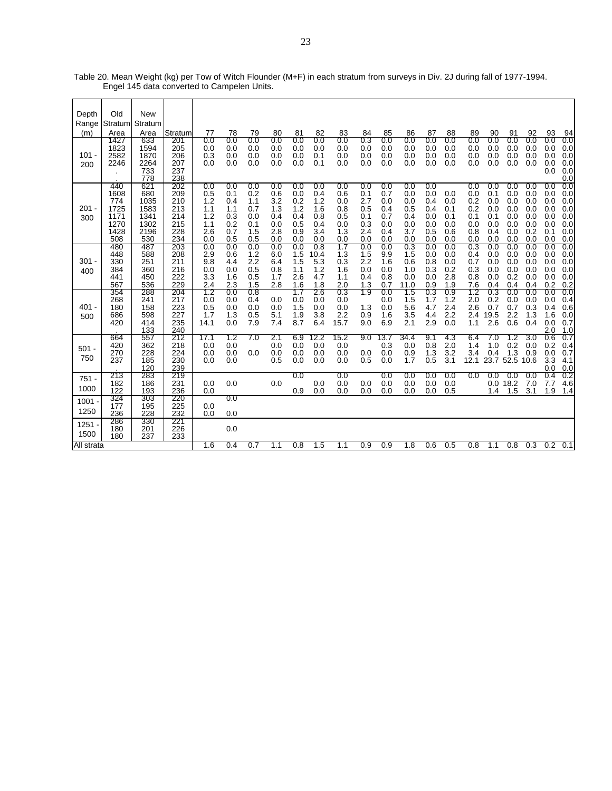| Depth<br>Range<br>(m)<br>$101 -$ | Old<br>Stratum<br>Area<br>1427<br>1823<br>2582            | <b>New</b><br>Stratum<br>Area<br>633<br>1594<br>1870      | Stratum<br>201<br>205<br>206                         | 77<br>0.0<br>0.0<br>0.3                              | 78<br>0.0<br>0.0<br>0.0                              | 79<br>0.0<br>0.0<br>0.0                              | 80<br>0.0<br>0.0<br>0.0                              | 81<br>0.0<br>0.0<br>0.0                              | 82<br>0.0<br>0.0<br>0.1                              | 83<br>0.0<br>0.0<br>0.0                              | 84<br>0.3<br>0.0<br>0.0                              | 85<br>0.0<br>0.0<br>0.0                              | 86<br>0.0<br>0.0<br>0.0                              | 87<br>0.0<br>0.0<br>0.0                              | 88<br>0.0<br>0.0<br>0.0                       | 89<br>0.0<br>0.0<br>0.0                              | 90<br>0.0<br>0.0<br>0.0                              | 91<br>0.0<br>0.0<br>0.0                              | 92<br>0.0<br>0.0<br>0.0                              | 93<br>0.0<br>0.0<br>0.0                              | 94<br>0.0<br>0.0<br>0.0                              |
|----------------------------------|-----------------------------------------------------------|-----------------------------------------------------------|------------------------------------------------------|------------------------------------------------------|------------------------------------------------------|------------------------------------------------------|------------------------------------------------------|------------------------------------------------------|------------------------------------------------------|------------------------------------------------------|------------------------------------------------------|------------------------------------------------------|------------------------------------------------------|------------------------------------------------------|-----------------------------------------------|------------------------------------------------------|------------------------------------------------------|------------------------------------------------------|------------------------------------------------------|------------------------------------------------------|------------------------------------------------------|
| 200                              | 2246                                                      | 2264<br>733<br>778                                        | 207<br>237<br>238                                    | 0.0                                                  | 0.0                                                  | 0.0                                                  | 0.0                                                  | 0.0                                                  | 0.1                                                  | 0.0                                                  | 0.0                                                  | 0.0                                                  | 0.0                                                  | 0.0                                                  | 0.0                                           | 0.0                                                  | 0.0                                                  | 0.0                                                  | 0.0                                                  | 0.0<br>0.0                                           | 0.0<br>0.0<br>0.0                                    |
| $201 -$<br>300                   | 440<br>1608<br>774<br>1725<br>1171<br>1270<br>1428<br>508 | 621<br>680<br>1035<br>1583<br>1341<br>1302<br>2196<br>530 | 202<br>209<br>210<br>213<br>214<br>215<br>228<br>234 | 0.0<br>0.5<br>1.2<br>1.1<br>1.2<br>1.1<br>2.6<br>0.0 | 0.0<br>0.1<br>0.4<br>1.1<br>0.3<br>0.2<br>0.7<br>0.5 | 0.0<br>0.2<br>1.1<br>0.7<br>0.0<br>0.1<br>1.5<br>0.5 | 0.0<br>0.6<br>3.2<br>1.3<br>0.4<br>0.0<br>2.8<br>0.0 | 0.0<br>0.0<br>0.2<br>1.2<br>0.4<br>0.5<br>0.9<br>0.0 | 0.0<br>0.4<br>1.2<br>1.6<br>0.8<br>0.4<br>3.4<br>0.0 | 0.0<br>0.6<br>0.0<br>0.8<br>0.5<br>0.0<br>1.3<br>0.0 | 0.0<br>0.1<br>2.7<br>0.5<br>0.1<br>0.3<br>2.4<br>0.0 | 0.0<br>0.7<br>0.0<br>0.4<br>0.7<br>0.0<br>0.4<br>0.0 | 0.0<br>0.0<br>0.0<br>0.5<br>0.4<br>0.0<br>3.7<br>0.0 | 0.0<br>0.0<br>0.4<br>0.4<br>0.0<br>0.0<br>0.5<br>0.0 | 0.0<br>0.0<br>0.1<br>0.1<br>0.0<br>0.6<br>0.0 | 0.0<br>0.0<br>0.2<br>0.2<br>0.1<br>0.0<br>0.8<br>0.0 | 0.0<br>0.1<br>0.0<br>0.0<br>0.1<br>0.0<br>0.4<br>0.0 | 0.0<br>0.0<br>0.0<br>0.0<br>0.0<br>0.0<br>0.0<br>0.0 | 0.0<br>0.0<br>0.0<br>0.0<br>0.0<br>0.0<br>0.2<br>0.0 | 0.0<br>0.0<br>0.0<br>0.0<br>0.0<br>0.0<br>0.1<br>0.0 | 0.0<br>0.0<br>0.0<br>0.0<br>0.0<br>0.0<br>0.0<br>0.0 |
| $301 -$<br>400                   | 480<br>448<br>330<br>384<br>441<br>567                    | 487<br>588<br>251<br>360<br>450<br>536                    | 203<br>208<br>211<br>216<br>222<br>229               | 0.0<br>2.9<br>9.8<br>0.0<br>3.3<br>2.4               | 0.0<br>0.6<br>4.4<br>0.0<br>1.6<br>2.3               | 0.0<br>1.2<br>2.2<br>0.5<br>0.5<br>1.5               | 0.0<br>6.0<br>6.4<br>0.8<br>1.7<br>2.8               | 0.0<br>1.5<br>1.5<br>1.1<br>2.6<br>1.6               | 0.8<br>10.4<br>5.3<br>1.2<br>4.7<br>1.8              | 1.7<br>1.3<br>0.3<br>1.6<br>1.1<br>2.0               | 0.0<br>1.5<br>2.2<br>0.0<br>0.4<br>1.3               | 0.0<br>9.9<br>1.6<br>0.0<br>0.8<br>0.7               | $_{0.3}$<br>1.5<br>0.6<br>1.0<br>0.0<br>11.0         | 0.0<br>0.0<br>0.8<br>0.3<br>0.0<br>0.9               | 0.0<br>0.0<br>0.0<br>0.2<br>2.8<br>1.9        | 0.3<br>0.4<br>0.7<br>0.3<br>0.8<br>7.6               | 0.0<br>0.0<br>0.0<br>0.0<br>0.0<br>0.4               | 0.0<br>0.0<br>0.0<br>0.0<br>0.2<br>0.4               | 0.0<br>0.0<br>0.0<br>0.0<br>0.0<br>0.4               | 0.0<br>0.0<br>0.0<br>0.0<br>0.0<br>0.2               | 0.0<br>0.0<br>0.0<br>0.0<br>0.0<br>0.2               |
| $401 -$<br>500                   | 354<br>268<br>180<br>686<br>420                           | 288<br>241<br>158<br>598<br>414<br>133                    | 204<br>217<br>223<br>227<br>235<br>240               | 1.2<br>0.0<br>0.5<br>1.7<br>14.1                     | 0.0<br>0.0<br>0.0<br>1.3<br>0.0                      | 0.8<br>0.4<br>0.0<br>0.5<br>7.9                      | 0.0<br>0.0<br>5.1<br>7.4                             | 1.7<br>0.0<br>1.5<br>1.9<br>8.7                      | 2.6<br>0.0<br>0.0<br>3.8<br>6.4                      | 0.3<br>0.0<br>0.0<br>2.2<br>15.7                     | 1.9<br>1.3<br>0.9<br>9.0                             | 0.0<br>0.0<br>0.0<br>1.6<br>6.9                      | 1.5<br>1.5<br>5.6<br>3.5<br>2.1                      | 0.3<br>1.7<br>4.7<br>4.4<br>2.9                      | 0.9<br>1.2<br>2.4<br>2.2<br>0.0               | 1.2<br>2.0<br>2.6<br>2.4<br>1.1                      | 0.3<br>0.2<br>0.7<br>19.5<br>2.6                     | 0.0<br>0.0<br>0.7<br>2.2<br>0.6                      | 0.0<br>0.0<br>0.3<br>1.3<br>0.4                      | 0.0<br>0.0<br>0.4<br>1.6<br>0.0<br>2.0               | 0.0<br>0.4<br>0.6<br>0.0<br>0.7<br>1.0               |
| $501 -$<br>750                   | 664<br>420<br>270<br>237                                  | 557<br>362<br>228<br>185<br>120                           | 212<br>218<br>224<br>230<br>239                      | 17.1<br>0.0<br>0.0<br>0.0                            | 1.2<br>0.0<br>0.0<br>0.0                             | 7.0<br>0.0                                           | 2.1<br>0.0<br>0.0<br>0.5                             | 6.9<br>0.0<br>0.0<br>0.0                             | 12.2<br>0.0<br>0.0<br>0.0                            | 15.2<br>0.0<br>0.0<br>0.0                            | 9.0<br>0.0<br>0.5                                    | 13.7<br>0.3<br>0.0<br>0.0                            | 34.4<br>0.0<br>0.9<br>1.7                            | 9.1<br>0.8<br>1.3<br>0.5                             | 4.3<br>2.0<br>3.2<br>3.1                      | 6.4<br>1.4<br>3.4<br>12.1                            | 7.0<br>1.0<br>0.4<br>23.7                            | 1.2<br>0.2<br>1.3<br>52.5                            | 3.0<br>0.0<br>0.9<br>10.6                            | 0.6<br>0.2<br>0.0<br>3.3<br>0.0                      | 0.7<br>0.4<br>0.7<br>4.1<br>0.0                      |
| $751 -$<br>1000                  | 213<br>182<br>122                                         | 283<br>186<br>193                                         | 219<br>231<br>236                                    | 0.0<br>0.0                                           | 0.0                                                  |                                                      | 0.0                                                  | 0.0<br>0.9                                           | 0.0<br>0.0                                           | 0.0<br>0.0<br>0.0                                    | 0.0<br>0.0                                           | 0.0<br>0.0<br>0.0                                    | 0.0<br>0.0<br>0.0                                    | 0.0<br>0.0<br>0.0                                    | 0.0<br>0.0<br>0.5                             | 0.0                                                  | 0.0<br>0.0<br>1.4                                    | 0.0<br>18.2<br>1.5                                   | 0.0<br>7.0<br>3.1                                    | 0.4<br>7.7<br>1.9                                    | 0.2<br>4.6<br>1.4                                    |
| 1001<br>1250                     | 324<br>177<br>236                                         | 303<br>195<br>228                                         | 220<br>225<br>232                                    | 0.0<br>0.0                                           | 0.0<br>0.0                                           |                                                      |                                                      |                                                      |                                                      |                                                      |                                                      |                                                      |                                                      |                                                      |                                               |                                                      |                                                      |                                                      |                                                      |                                                      |                                                      |
| 1251<br>1500                     | 286<br>180<br>180                                         | 330<br>201<br>237                                         | 221<br>226<br>233                                    |                                                      | 0.0                                                  |                                                      |                                                      |                                                      |                                                      |                                                      |                                                      |                                                      |                                                      |                                                      |                                               |                                                      |                                                      |                                                      |                                                      |                                                      |                                                      |
| All strata                       |                                                           |                                                           |                                                      | 1.6                                                  | 0.4                                                  | 0.7                                                  | 1.1                                                  | 0.8                                                  | 1.5                                                  | 1.1                                                  | 0.9                                                  | 0.9                                                  | 1.8                                                  | 0.6                                                  | 0.5                                           | 0.8                                                  | 1.1                                                  | 0.8                                                  | 0.3                                                  | 0.2                                                  | 0.1                                                  |

Table 20. Mean Weight (kg) per Tow of Witch Flounder (M+F) in each stratum from surveys in Div. 2J during fall of 1977-1994. Engel 145 data converted to Campelen Units.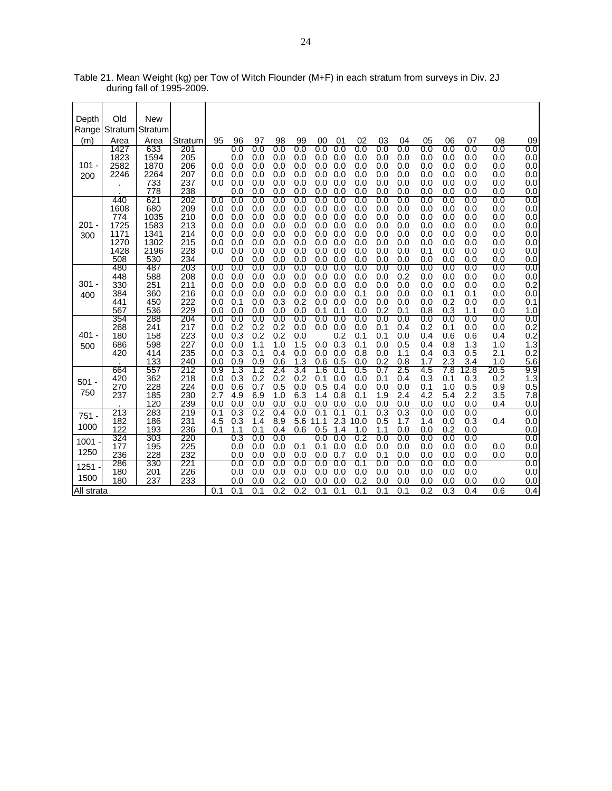| Depth      | Old          | <b>New</b>   |            |            |            |            |            |            |             |            |             |            |            |            |            |            |            |                         |
|------------|--------------|--------------|------------|------------|------------|------------|------------|------------|-------------|------------|-------------|------------|------------|------------|------------|------------|------------|-------------------------|
| Range      | Stratum      | Stratum      |            |            |            |            |            |            |             |            |             |            |            |            |            |            |            |                         |
| (m)        | Area         | Area         | Stratum    | 95         | 96         | 97         | 98         | 99         | 00          | 01         | 02          | 03         | 04         | 05         | 06         | 07         | 08         | 09                      |
|            | 1427         | 633          | 201        |            | 0.0        | 0.0        | 0.0        | 0.0        | 0.0         | 0.0        | 0.0         | 0.0        | 0.0        | 0.0        | 0.0        | 0.0        | 0.0        | $0.0\,$                 |
|            | 1823         | 1594         | 205        |            | 0.0        | 0.0        | 0.0        | 0.0        | 0.0         | 0.0        | 0.0         | 0.0        | 0.0        | 0.0        | 0.0        | 0.0        | 0.0        | 0.0                     |
| $101 -$    | 2582<br>2246 | 1870<br>2264 | 206<br>207 | 0.0<br>0.0 | 0.0<br>0.0 | 0.0<br>0.0 | 0.0<br>0.0 | 0.0<br>0.0 | 0.0<br>0.0  | 0.0<br>0.0 | 0.0<br>0.0  | 0.0<br>0.0 | 0.0<br>0.0 | 0.0<br>0.0 | 0.0<br>0.0 | 0.0<br>0.0 | 0.0<br>0.0 | 0.0<br>0.0              |
| 200        |              | 733          | 237        | 0.0        | 0.0        | 0.0        | 0.0        | 0.0        | 0.0         | 0.0        | 0.0         | 0.0        | 0.0        | 0.0        | 0.0        | 0.0        | 0.0        | 0.0                     |
|            |              | 778          | 238        |            | 0.0        | 0.0        | 0.0        | 0.0        | 0.0         | 0.0        | 0.0         | 0.0        | 0.0        | 0.0        | 0.0        | 0.0        | 0.0        | 0.0                     |
|            | 440<br>1608  | 621<br>680   | 202<br>209 | 0.0<br>0.0 | 0.0<br>0.0 | 0.0<br>0.0 | 0.0<br>0.0 | 0.0<br>0.0 | 0.0<br>0.0  | 0.0<br>0.0 | 0.0<br>0.0  | 0.0<br>0.0 | 0.0<br>0.0 | 0.0<br>0.0 | 0.0<br>0.0 | 0.0<br>0.0 | 0.0<br>0.0 | $0.0\,$<br>0.0          |
|            | 774          | 1035         | 210        | 0.0        | 0.0        | 0.0        | 0.0        | 0.0        | 0.0         | 0.0        | 0.0         | 0.0        | 0.0        | 0.0        | 0.0        | 0.0        | 0.0        | 0.0                     |
| $201 -$    | 1725         | 1583         | 213        | 0.0        | 0.0        | 0.0        | 0.0        | 0.0        | 0.0         | 0.0        | 0.0         | 0.0        | 0.0        | 0.0        | 0.0        | 0.0        | 0.0        | 0.0                     |
| 300        | 1171         | 1341         | 214<br>215 | 0.0        | 0.0        | 0.0        | 0.0        | 0.0        | 0.0         | 0.0        | 0.0         | 0.0        | 0.0        | 0.0        | 0.0        | 0.0        | 0.0        | 0.0                     |
|            | 1270<br>1428 | 1302<br>2196 | 228        | 0.0<br>0.0 | 0.0<br>0.0 | 0.0<br>0.0 | 0.0<br>0.0 | 0.0<br>0.0 | 0.0<br>0.0  | 0.0<br>0.0 | 0.0<br>0.0  | 0.0<br>0.0 | 0.0<br>0.0 | 0.0<br>0.1 | 0.0<br>0.0 | 0.0<br>0.0 | 0.0<br>0.0 | 0.0<br>0.0              |
|            | 508          | 530          | 234        |            | 0.0        | 0.0        | 0.0        | 0.0        | 0.0         | 0.0        | 0.0         | 0.0        | 0.0        | 0.0        | 0.0        | 0.0        | 0.0        | 0.0                     |
|            | 480<br>448   | 487          | 203        | 0.0<br>0.0 | 0.0<br>0.0 | 0.0<br>0.0 | 0.0<br>0.0 | 0.0<br>0.0 | 0.0<br>0.0  | 0.0<br>0.0 | 0.0<br>0.0  | 0.0<br>0.0 | 0.0<br>0.2 | 0.0<br>0.0 | 0.0<br>0.0 | 0.0<br>0.0 | 0.0        | 0.0                     |
| $301 -$    | 330          | 588<br>251   | 208<br>211 | 0.0        | 0.0        | 0.0        | 0.0        | 0.0        | 0.0         | 0.0        | 0.0         | 0.0        | 0.0        | 0.0        | 0.0        | 0.0        | 0.0<br>0.0 | 0.0<br>0.2              |
| 400        | 384          | 360          | 216        | 0.0        | 0.0        | 0.0        | 0.0        | 0.0        | 0.0         | 0.0        | 0.1         | 0.0        | 0.0        | 0.0        | 0.1        | 0.1        | 0.0        | 0.0                     |
|            | 441          | 450          | 222        | 0.0<br>0.0 | 0.1<br>0.0 | 0.0        | 0.3<br>0.0 | 0.2<br>0.0 | 0.0<br>0.1  | 0.0<br>0.1 | 0.0         | 0.0<br>0.2 | 0.0<br>0.1 | 0.0        | 0.2<br>0.3 | 0.0        | 0.0        | 0.1                     |
|            | 567<br>354   | 536<br>288   | 229<br>204 | 0.0        | 0.0        | 0.0<br>0.0 | 0.0        | 0.0        | 0.0         | 0.0        | 0.0<br>0.0  | 0.0        | 0.0        | 0.8<br>0.0 | 0.0        | 1.1<br>0.0 | 0.0<br>0.0 | 1.0<br>0.0              |
|            | 268          | 241          | 217        | 0.0        | 0.2        | 0.2        | 0.2        | 0.0        | 0.0         | 0.0        | 0.0         | 0.1        | 0.4        | 0.2        | 0.1        | 0.0        | 0.0        |                         |
| $401 -$    | 180          | 158          | 223        | 0.0        | 0.3        | 0.2        | 0.2        | 0.0        |             | 0.2        | 0.1         | 0.1        | 0.0        | 0.4        | 0.6        | 0.6        | 0.4        | $0.2$<br>$0.2$<br>$1.3$ |
| 500        | 686<br>420   | 598<br>414   | 227<br>235 | 0.0<br>0.0 | 0.0<br>0.3 | 1.1<br>0.1 | 1.0<br>0.4 | 1.5<br>0.0 | 0.0<br>0.0  | 0.3<br>0.0 | 0.1<br>0.8  | 0.0<br>0.0 | 0.5<br>1.1 | 0.4<br>0.4 | 0.8<br>0.3 | 1.3<br>0.5 | 1.0<br>2.1 |                         |
|            |              | 133          | 240        | 0.0        | 0.9        | 0.9        | 0.6        | 1.3        | 0.6         | 0.5        | 0.0         | 0.2        | 0.8        | 1.7        | 2.3        | 3.4        | 1.0        | $0.2$<br>5.6            |
|            | 664          | 557          | 212        | 0.9        | 1.3        | 1.2        | 2.4        | 3.4        | 1.6         | 0.1        | 0.5         | 0.7        | 2.5        | 4.5        | 7.8        | 12.8       | 20.5       | 9.9                     |
| $501 -$    | 420<br>270   | 362<br>228   | 218<br>224 | 0.0<br>0.0 | 0.3<br>0.6 | 0.2<br>0.7 | 0.2<br>0.5 | 0.2<br>0.0 | 0.1<br>0.5  | 0.0<br>0.4 | 0.0<br>0.0  | 0.1<br>0.0 | 0.4<br>0.0 | 0.3<br>0.1 | 0.1<br>1.0 | 0.3<br>0.5 | 0.2<br>0.9 | 1.3<br>$0.\overline{5}$ |
| 750        | 237          | 185          | 230        | 2.7        | 4.9        | 6.9        | 1.0        | 6.3        | 1.4         | 0.8        | 0.1         | 1.9        | 2.4        | 4.2        | 5.4        | 2.2        | 3.5        | 7.8                     |
|            |              | 120          | 239        | 0.0        | 0.0        | 0.0        | 0.0        | 0.0        | 0.0         | 0.0        | 0.0         | 0.0        | 0.0        | 0.0        | 0.0        | 0.0        | 0.4        | 0.0                     |
| $751 -$    | 213<br>182   | 283<br>186   | 219<br>231 | 0.1<br>4.5 | 0.3<br>0.3 | 0.2<br>1.4 | 0.4<br>8.9 | 0.0<br>5.6 | 0.1<br>11.1 | 0.1<br>2.3 | 0.1<br>10.0 | 0.3<br>0.5 | 0.3<br>1.7 | 0.0<br>1.4 | 0.0<br>0.0 | 0.0<br>0.3 | 0.4        | 0.0<br>0.0              |
| 1000       | 122          | 193          | 236        | 0.1        | 1.1        | 0.1        | 0.4        | 0.6        | 0.5         | 1.4        | 1.0         | 1.1        | 0.0        | 0.0        | 0.2        | 0.0        |            | 0.0                     |
| 1001       | 324          | 303          | 220        |            | 0.3        | 0.0        | 0.0        |            | 0.0         | 0.0        | 0.2         | 0.0        | 0.0        | 0.0        | 0.0        | 0.0        |            | 0.0                     |
| 1250       | 177<br>236   | 195<br>228   | 225<br>232 |            | 0.0<br>0.0 | 0.0<br>0.0 | 0.0<br>0.0 | 0.1<br>0.0 | 0.1<br>0.0  | 0.0<br>0.7 | 0.0<br>0.0  | 0.0<br>0.1 | 0.0<br>0.0 | 0.0<br>0.0 | 0.0<br>0.0 | 0.0<br>0.0 | 0.0<br>0.0 | 0.0<br>0.0              |
| $1251 -$   | 286          | 330          | 221        |            | 0.0        | $0.0\,$    | 0.0        | 0.0        | 0.0         | 0.0        | 0.1         | 0.0        | $0.0\,$    | $0.0\,$    | $0.0\,$    | 0.0        |            | 0.0                     |
| 1500       | 180          | 201          | 226        |            | 0.0        | 0.0        | 0.0        | 0.0        | 0.0         | 0.0        | 0.0         | 0.0        | 0.0        | 0.0        | 0.0        | 0.0        |            | 0.0                     |
|            | 180          | 237          | 233        | 0.1        | 0.0<br>0.1 | 0.0<br>0.1 | 0.2<br>0.2 | 0.0<br>0.2 | 0.0<br>0.1  | 0.0<br>0.1 | 0.2<br>0.1  | 0.0<br>0.1 | 0.0<br>0.1 | 0.0<br>0.2 | 0.0<br>0.3 | 0.0<br>0.4 | 0.0        | 0.0<br>0.4              |
| All strata |              |              |            |            |            |            |            |            |             |            |             |            |            |            |            |            | 0.6        |                         |

Table 21. Mean Weight (kg) per Tow of Witch Flounder (M+F) in each stratum from surveys in Div. 2J during fall of 1995-2009.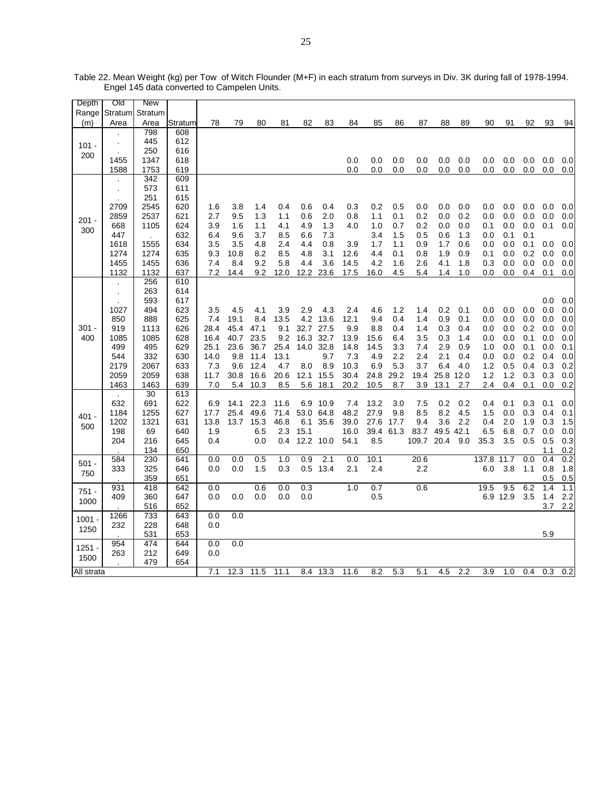| Depth      | Old                  | <b>New</b> |         |      |      |      |      |      |           |      |      |      |       |            |     |       |          |     |     |     |
|------------|----------------------|------------|---------|------|------|------|------|------|-----------|------|------|------|-------|------------|-----|-------|----------|-----|-----|-----|
| Range      | Stratum              | Stratum    |         |      |      |      |      |      |           |      |      |      |       |            |     |       |          |     |     |     |
| (m)        | Area                 | Area       | Stratum | 78   | 79   | 80   | 81   | 82   | 83        | 84   | 85   | 86   | 87    | 88         | 89  | 90    | 91       | 92  | 93  | 94  |
|            |                      | 798        | 608     |      |      |      |      |      |           |      |      |      |       |            |     |       |          |     |     |     |
| $101 -$    | $\ddot{\phantom{0}}$ | 445        | 612     |      |      |      |      |      |           |      |      |      |       |            |     |       |          |     |     |     |
|            |                      | 250        | 616     |      |      |      |      |      |           |      |      |      |       |            |     |       |          |     |     |     |
| 200        | 1455                 | 1347       | 618     |      |      |      |      |      |           | 0.0  | 0.0  | 0.0  | 0.0   | 0.0        | 0.0 | 0.0   | 0.0      | 0.0 | 0.0 | 0.0 |
|            | 1588                 | 1753       | 619     |      |      |      |      |      |           | 0.0  | 0.0  | 0.0  | 0.0   | 0.0        | 0.0 | 0.0   | 0.0      | 0.0 | 0.0 | 0.0 |
|            |                      | 342        | 609     |      |      |      |      |      |           |      |      |      |       |            |     |       |          |     |     |     |
|            | $\ddot{\phantom{0}}$ | 573        | 611     |      |      |      |      |      |           |      |      |      |       |            |     |       |          |     |     |     |
|            |                      | 251        | 615     |      |      |      |      |      |           |      |      |      |       |            |     |       |          |     |     |     |
|            | 2709                 | 2545       | 620     | 1.6  | 3.8  | 1.4  | 0.4  | 0.6  | 0.4       | 0.3  | 0.2  | 0.5  | 0.0   | 0.0        | 0.0 | 0.0   | 0.0      | 0.0 | 0.0 | 0.0 |
|            | 2859                 | 2537       | 621     | 2.7  | 9.5  | 1.3  | 1.1  | 0.6  | 2.0       | 0.8  | 1.1  | 0.1  | 0.2   | 0.0        | 0.2 | 0.0   | 0.0      | 0.0 | 0.0 | 0.0 |
| $201 -$    | 668                  | 1105       | 624     | 3.9  | 1.6  | 1.1  | 4.1  | 4.9  | 1.3       | 4.0  | 1.0  | 0.7  | 0.2   | 0.0        | 0.0 | 0.1   | 0.0      | 0.0 | 0.1 | 0.0 |
| 300        | 447                  | $\cdot$    | 632     | 6.4  | 9.6  | 3.7  | 8.5  | 6.6  | 7.3       |      | 3.4  | 1.5  | 0.5   | 0.6        | 1.3 | 0.0   | 0.1      | 0.1 |     |     |
|            | 1618                 | 1555       | 634     | 3.5  | 3.5  | 4.8  | 2.4  | 4.4  | 0.8       | 3.9  | 1.7  | 1.1  | 0.9   | 1.7        | 0.6 | 0.0   | 0.0      | 0.1 | 0.0 | 0.0 |
|            | 1274                 | 1274       | 635     | 9.3  | 10.8 | 8.2  | 8.5  | 4.8  | 3.1       | 12.6 | 4.4  | 0.1  | 0.8   | 1.9        | 0.9 | 0.1   | 0.0      | 0.2 | 0.0 | 0.0 |
|            | 1455                 | 1455       | 636     | 7.4  | 8.4  | 9.2  | 5.8  | 4.4  | 3.6       | 14.5 | 4.2  | 1.6  | 2.6   | 4.1        | 1.8 | 0.3   | 0.0      | 0.0 | 0.0 | 0.0 |
|            | 1132                 | 1132       | 637     | 7.2  | 14.4 | 9.2  | 12.0 | 12.2 | 23.6      | 17.5 | 16.0 | 4.5  | 5.4   | 1.4        | 1.0 | 0.0   | 0.0      | 0.4 | 0.1 | 0.0 |
|            |                      | 256        | 610     |      |      |      |      |      |           |      |      |      |       |            |     |       |          |     |     |     |
|            | $\ddot{\phantom{0}}$ | 263        | 614     |      |      |      |      |      |           |      |      |      |       |            |     |       |          |     |     |     |
|            |                      | 593        | 617     |      |      |      |      |      |           |      |      |      |       |            |     |       |          |     | 0.0 | 0.0 |
|            | 1027                 | 494        | 623     | 3.5  | 4.5  | 4.1  | 3.9  | 2.9  | 4.3       | 2.4  | 4.6  | 1.2  | 1.4   | 0.2        | 0.1 | 0.0   | 0.0      | 0.0 | 0.0 | 0.0 |
|            | 850                  | 888        | 625     | 7.4  | 19.1 | 8.4  | 13.5 | 4.2  | 13.6      | 12.1 | 9.4  | 0.4  | 1.4   | 0.9        | 0.1 | 0.0   | 0.0      | 0.0 | 0.0 | 0.0 |
| $301 -$    | 919                  | 1113       | 626     | 28.4 | 45.4 | 47.1 | 9.1  | 32.7 | 27.5      | 9.9  | 8.8  | 0.4  | 1.4   | 0.3        | 0.4 | 0.0   | 0.0      | 0.2 | 0.0 | 0.0 |
| 400        | 1085                 | 1085       |         | 16.4 | 40.7 | 23.5 | 9.2  | 16.3 | 32.7      | 13.9 |      | 6.4  | 3.5   |            | 1.4 |       |          | 0.1 | 0.0 |     |
|            |                      |            | 628     |      | 23.6 | 36.7 |      |      | 32.8      |      | 15.6 |      |       | 0.3<br>2.9 |     | 0.0   | 0.0      | 0.1 | 0.0 | 0.0 |
|            | 499                  | 495        | 629     | 25.1 |      |      | 25.4 | 14.0 |           | 14.8 | 14.5 | 3.3  | 7.4   |            | 0.9 | 1.0   | 0.0      |     |     | 0.1 |
|            | 544                  | 332        | 630     | 14.0 | 9.8  | 11.4 | 13.1 |      | 9.7       | 7.3  | 4.9  | 2.2  | 2.4   | 2.1        | 0.4 | 0.0   | 0.0      | 0.2 | 0.4 | 0.0 |
|            | 2179                 | 2067       | 633     | 7.3  | 9.6  | 12.4 | 4.7  | 8.0  | 8.9       | 10.3 | 6.9  | 5.3  | 3.7   | 6.4        | 4.0 | 1.2   | 0.5      | 0.4 | 0.3 | 0.2 |
|            | 2059                 | 2059       | 638     | 11.7 | 30.8 | 16.6 | 20.6 | 12.1 | 15.5      | 30.4 | 24.8 | 29.2 | 19.4  | 25.8 12.0  |     | 1.2   | 1.2      | 0.3 | 0.3 | 0.0 |
|            | 1463                 | 1463       | 639     | 7.0  | 5.4  | 10.3 | 8.5  | 5.6  | 18.1      | 20.2 | 10.5 | 8.7  | 3.9   | 13.1       | 2.7 | 2.4   | 0.4      | 0.1 | 0.0 | 0.2 |
|            | $\mathbf{r}$         | 30         | 613     |      |      |      |      |      |           |      |      |      |       |            |     |       |          |     |     |     |
|            | 632                  | 691        | 622     | 6.9  | 14.1 | 22.3 | 11.6 | 6.9  | 10.9      | 7.4  | 13.2 | 3.0  | 7.5   | 0.2        | 0.2 | 0.4   | 0.1      | 0.3 | 0.1 | 0.0 |
| $401 -$    | 1184                 | 1255       | 627     | 17.7 | 25.4 | 49.6 | 71.4 | 53.0 | 64.8      | 48.2 | 27.9 | 9.8  | 8.5   | 8.2        | 4.5 | 1.5   | 0.0      | 0.3 | 0.4 | 0.1 |
| 500        | 1202                 | 1321       | 631     | 13.8 | 13.7 | 15.3 | 46.8 | 6.1  | 35.6      | 39.0 | 27.6 | 17.7 | 9.4   | 3.6        | 2.2 | 0.4   | 2.0      | 1.9 | 0.3 | 1.5 |
|            | 198                  | 69         | 640     | 1.9  |      | 6.5  | 2.3  | 15.1 |           | 16.0 | 39.4 | 61.3 | 83.7  | 49.5 42.1  |     | 6.5   | 6.8      | 0.7 | 0.0 | 0.0 |
|            | 204                  | 216        | 645     | 0.4  |      | 0.0  | 0.4  |      | 12.2 10.0 | 54.1 | 8.5  |      | 109.7 | 20.4       | 9.0 | 35.3  | 3.5      | 0.5 | 0.5 | 0.3 |
|            |                      | 134        | 650     |      |      |      |      |      |           |      |      |      |       |            |     |       |          |     | 1.1 | 0.2 |
| $501 -$    | 584                  | 230        | 641     | 0.0  | 0.0  | 0.5  | 1.0  | 0.9  | 2.1       | 0.0  | 10.1 |      | 20.6  |            |     | 137.8 | 11.7     | 0.0 | 0.4 | 0.2 |
| 750        | 333                  | 325        | 646     | 0.0  | 0.0  | 1.5  | 0.3  | 0.5  | 13.4      | 2.1  | 2.4  |      | 2.2   |            |     | 6.0   | 3.8      | 1.1 | 0.8 | 1.8 |
|            |                      | 359        | 651     |      |      |      |      |      |           |      |      |      |       |            |     |       |          |     | 0.5 | 0.5 |
| $751 -$    | 931                  | 418        | 642     | 0.0  |      | 0.6  | 0.0  | 0.3  |           | 1.0  | 0.7  |      | 0.6   |            |     | 19.5  | 9.5      | 6.2 | 1.4 | 1.1 |
| 1000       | 409                  | 360        | 647     | 0.0  | 0.0  | 0.0  | 0.0  | 0.0  |           |      | 0.5  |      |       |            |     |       | 6.9 12.9 | 3.5 | 1.4 | 2.2 |
|            |                      | 516        | 652     |      |      |      |      |      |           |      |      |      |       |            |     |       |          |     | 3.7 | 2.2 |
| $1001 -$   | 1266                 | 733        | 643     | 0.0  | 0.0  |      |      |      |           |      |      |      |       |            |     |       |          |     |     |     |
| 1250       | 232                  | 228        | 648     | 0.0  |      |      |      |      |           |      |      |      |       |            |     |       |          |     |     |     |
|            |                      | 531        | 653     |      |      |      |      |      |           |      |      |      |       |            |     |       |          |     | 5.9 |     |
| $1251 -$   | 954                  | 474        | 644     | 0.0  | 0.0  |      |      |      |           |      |      |      |       |            |     |       |          |     |     |     |
| 1500       | 263                  | 212        | 649     | 0.0  |      |      |      |      |           |      |      |      |       |            |     |       |          |     |     |     |
|            |                      | 479        | 654     |      |      |      |      |      |           |      |      |      |       |            |     |       |          |     |     |     |
| All strata |                      |            |         | 7.1  | 12.3 | 11.5 | 11.1 | 8.4  | 13.3      | 11.6 | 8.2  | 5.3  | 5.1   | 4.5        | 2.2 | 3.9   | 1.0      | 0.4 | 0.3 | 0.2 |

Table 22. Mean Weight (kg) per Tow of Witch Flounder (M+F) in each stratum from surveys in Div. 3K during fall of 1978-1994. Engel 145 data converted to Campelen Units.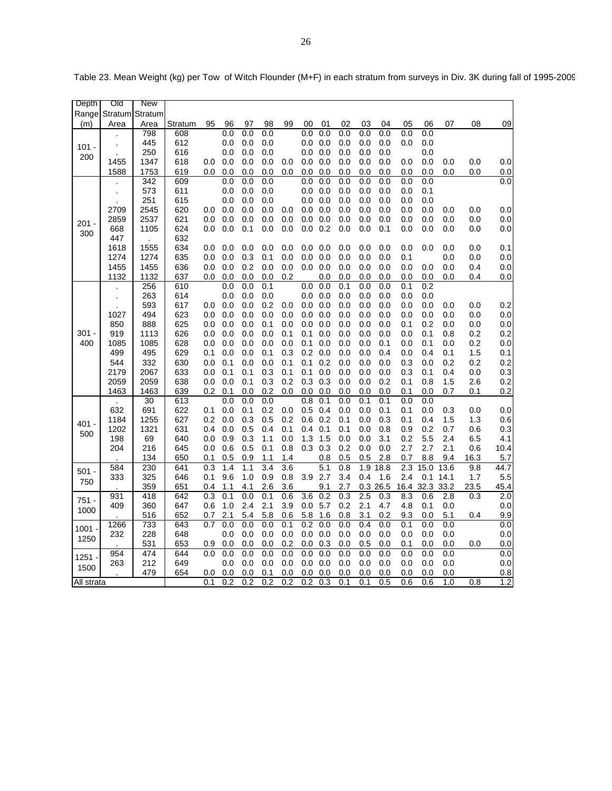| Depth      | ात          | <b>New</b> |            |            |            |            |                         |                         |            |                         |            |            |             |                         |             |             |             |             |
|------------|-------------|------------|------------|------------|------------|------------|-------------------------|-------------------------|------------|-------------------------|------------|------------|-------------|-------------------------|-------------|-------------|-------------|-------------|
| Range      | Stratum     | Stratum    |            |            |            |            |                         |                         |            |                         |            |            |             |                         |             |             |             |             |
| (m)        | Area        | Area       | Stratum    | 95         | 96         | 97         | 98                      | 99                      | 00         | 01                      | 02         | 03         | 04          | 05                      | 06          | 07          | 08          | 09          |
|            |             | 798        | 608        |            | 0.0        | 0.0        | 0.0                     |                         | 0.0        | 0.0                     | 0.0        | 0.0        | 0.0         | 0.0                     | 0.0         |             |             |             |
| 101 -      |             | 445        | 612        |            | 0.0        | 0.0        | 0.0                     |                         | 0.0        | 0.0                     | 0.0        | 0.0        | 0.0         | 0.0                     | 0.0         |             |             |             |
| 200        |             | 250        | 616        |            | 0.0        | 0.0        | 0.0                     |                         | 0.0        | 0.0                     | 0.0        | 0.0        | 0.0         |                         | 0.0         |             |             |             |
|            | 1455        | 1347       | 618        | 0.0        | 0.0        | 0.0        | 0.0                     | 0.0                     | 0.0        | 0.0                     | 0.0        | 0.0        | 0.0         | 0.0                     | 0.0         | 0.0         | 0.0         | 0.0         |
|            | 1588        | 1753       | 619        | 0.0        | 0.0        | 0.0        | 0.0                     | 0.0                     | 0.0        | 0.0                     | 0.0        | 0.0        | 0.0         | 0.0                     | 0.0         | 0.0         | 0.0         | 0.0         |
|            |             | 342        | 609        |            | 0.0        | 0.0        | 0.0                     |                         | 0.0        | 0.0                     | 0.0        | 0.0        | 0.0         | 0.0                     | 0.0         |             |             | 0.0         |
|            |             | 573        | 611        |            | 0.0        | 0.0        | 0.0                     |                         | 0.0        | 0.0                     | 0.0        | 0.0        | 0.0         | 0.0                     | 0.1         |             |             |             |
|            |             | 251        | 615        |            | 0.0        | 0.0        | 0.0                     |                         | 0.0        | 0.0                     | 0.0        | 0.0        | 0.0         | 0.0                     | 0.0         |             |             |             |
|            | 2709        | 2545       | 620        | 0.0        | 0.0        | 0.0        | 0.0                     | 0.0                     | 0.0        | 0.0                     | 0.0        | 0.0        | 0.0         | 0.0                     | 0.0         | 0.0         | 0.0         | 0.0         |
| 201 -      | 2859        | 2537       | 621        | 0.0        | 0.0        | 0.0        | 0.0                     | 0.0                     | 0.0        | 0.0                     | 0.0        | 0.0        | 0.0         | 0.0                     | 0.0         | 0.0         | 0.0         | 0.0         |
| 300        | 668         | 1105       | 624        | 0.0        | 0.0        | 0.1        | 0.0                     | 0.0                     | 0.0        | 0.2                     | 0.0        | 0.0        | 0.1         | 0.0                     | 0.0         | 0.0         | 0.0         | 0.0         |
|            | 447<br>1618 | 1555       | 632<br>634 |            |            |            |                         |                         |            |                         |            | 0.0        |             |                         |             |             |             | 0.1         |
|            | 1274        | 1274       | 635        | 0.0<br>0.0 | 0.0<br>0.0 | 0.0<br>0.3 | 0.0<br>0.1              | 0.0<br>0.0              | 0.0<br>0.0 | 0.0<br>0.0              | 0.0<br>0.0 | 0.0        | 0.0<br>0.0  | 0.0<br>0.1              | 0.0         | 0.0<br>0.0  | 0.0<br>0.0  | 0.0         |
|            | 1455        | 1455       | 636        | 0.0        | 0.0        | 0.2        | 0.0                     | 0.0                     | 0.0        | 0.0                     | 0.0        | 0.0        | 0.0         | 0.0                     | 0.0         | 0.0         | 0.4         | 0.0         |
|            | 1132        | 1132       | 637        | 0.0        | 0.0        | 0.0        | 0.0                     | 0.2                     |            | 0.0                     | 0.0        | 0.0        | 0.0         | 0.0                     | 0.0         | 0.0         | 0.4         | 0.0         |
|            |             | 256        | 610        |            | 0.0        | 0.0        | 0.1                     |                         | 0.0        | 0.0                     | 0.1        | 0.0        | 0.0         | 0.1                     | 0.2         |             |             |             |
|            |             | 263        | 614        |            | 0.0        | 0.0        | $0.0\,$                 |                         | 0.0        | 0.0                     | 0.0        | 0.0        | 0.0         | 0.0                     | 0.0         |             |             |             |
|            |             | 593        | 617        | 0.0        | 0.0        | 0.0        | 0.2                     | 0.0                     | 0.0        | 0.0                     | 0.0        | 0.0        | 0.0         | 0.0                     | 0.0         | 0.0         | 0.0         | 0.2         |
|            | 1027        | 494        | 623        | 0.0        | 0.0        | 0.0        | 0.0                     | 0.0                     | 0.0        | 0.0                     | 0.0        | 0.0        | 0.0         | 0.0                     | 0.0         | 0.0         | 0.0         | 0.0         |
|            | 850         | 888        | 625        | 0.0        | 0.0        | 0.0        | 0.1                     | 0.0                     | 0.0        | 0.0                     | 0.0        | 0.0        | 0.0         | 0.1                     | 0.2         | 0.0         | 0.0         | 0.0         |
| 301 -      | 919         | 1113       | 626        | 0.0        | 0.0        | 0.0        | 0.0                     | 0.1                     | 0.1        | 0.0                     | 0.0        | 0.0        | 0.0         | 0.0                     | 0.1         | 0.8         | 0.2         | 0.2         |
| 400        | 1085        | 1085       | 628        | 0.0        | 0.0        | 0.0        | 0.0                     | 0.0                     | 0.1        | 0.0                     | 0.0        | 0.0        | 0.1         | 0.0                     | 0.1         | 0.0         | 0.2         | 0.0         |
|            | 499         | 495        | 629        | 0.1        | 0.0        | 0.0        | 0.1                     | 0.3                     | 0.2        | 0.0                     | 0.0        | 0.0        | 0.4         | 0.0                     | 0.4         | 0.1         | 1.5         | 0.1         |
|            | 544         | 332        | 630        | 0.0        | 0.1        | 0.0        | 0.0                     | 0.1                     | 0.1        | 0.2                     | 0.0        | 0.0        | 0.0         | 0.3                     | 0.0         | 0.2         | 0.2         | 0.2         |
|            | 2179        | 2067       | 633        | 0.0        | 0.1        | 0.1        | 0.3                     | 0.1                     | 0.1        | 0.0                     | 0.0        | 0.0        | 0.0         | 0.3                     | 0.1         | 0.4         | 0.0         | 0.3         |
|            | 2059        | 2059       | 638        | 0.0        | 0.0        | 0.1        | 0.3                     | 0.2                     | 0.3        | 0.3                     | 0.0        | 0.0        | 0.2         | 0.1                     | 0.8         | 1.5         | 2.6         | 0.2         |
|            | 1463        | 1463       | 639        | 0.2        | 0.1        | 0.0        | 0.2                     | 0.0                     | 0.0        | 0.0                     | 0.0        | 0.0        | 0.0         | 0.1                     | $_{0.0}$    | 0.7         | 0.1         | 0.2         |
|            |             | 30         | 613        |            | 0.0        | 0.0        | 0.0                     |                         | 0.8        | 0.1                     | 0.0        | 0.1        | 0.1         | 0.0                     | 0.0         |             |             |             |
|            | 632         | 691        | 622        | 0.1        | 0.0        | 0.1        | 0.2                     | 0.0                     | 0.5        | 0.4                     | 0.0        | 0.0        | 0.1         | 0.1                     | 0.0         | 0.3         | 0.0         | 0.0         |
| 401 -      | 1184        | 1255       | 627        | 0.2        | 0.0        | 0.3        | 0.5                     | 0.2                     | 0.6        | 0.2                     | 0.1        | 0.0        | 0.3         | 0.1                     | 0.4         | 1.5         | 1.3         | 0.6         |
| 500        | 1202        | 1321       | 631        | 0.4        | 0.0        | 0.5        | 0.4                     | 0.1                     | 0.4        | 0.1                     | 0.1        | 0.0        | 0.8         | 0.9                     | 0.2         | 0.7         | 0.6         | 0.3         |
|            | 198         | 69         | 640        | 0.0        | 0.9        | 0.3        | 1.1                     | 0.0                     | 1.3        | 1.5                     | 0.0        | 0.0        | 3.1         | 0.2                     | 5.5         | 2.4         | 6.5         | 4.1         |
|            | 204         | 216        | 645        | 0.0        | 0.6        | 0.5        | 0.1                     | 0.8                     | 0.3        | 0.3                     | 0.2        | 0.0        | 0.0         | 2.7                     | 2.7         | 2.1         | 0.6         | 10.4        |
|            | 584         | 134<br>230 | 650        | 0.1<br>0.3 | 0.5<br>1.4 | 0.9<br>1.1 | 1.1<br>$\overline{3.4}$ | 1.4<br>$\overline{3.6}$ |            | 0.8<br>$\overline{5.1}$ | 0.5<br>0.8 | 0.5<br>1.9 | 2.8<br>18.8 | 0.7<br>$\overline{2.3}$ | 8.8<br>15.0 | 9.4<br>13.6 | 16.3<br>9.8 | 5.7<br>44.7 |
| 501 -      | 333         | 325        | 641<br>646 | 0.1        | 9.6        | 1.0        | 0.9                     | 0.8                     | 3.9        | 2.7                     | 3.4        | 0.4        | 1.6         | 2.4                     | 0.1         | 14.1        | 1.7         | 5.5         |
| 750        |             | 359        | 651        | 0.4        | 1.1        | 4.1        | 2.6                     | 3.6                     |            | 9.1                     | 2.7        | 0.3        | 26.5        | 16.4                    | 32.3        | 33.2        | 23.5        | 45.4        |
|            | 931         | 418        | 642        | 0.3        | 0.1        | 0.0        | 0.1                     | 0.6                     | 3.6        | 0.2                     | 0.3        | 2.5        | 0.3         | 8.3                     | 0.6         | 2.8         | 0.3         | 2.0         |
| $751 -$    | 409         | 360        | 647        | 0.6        | 1.0        | 2.4        | 2.1                     | 3.9                     | 0.0        | 5.7                     | 0.2        | 2.1        | 4.7         | 4.8                     | 0.1         | 0.0         |             | 0.0         |
| 1000       |             | 516        | 652        | 0.7        | 2.1        | 5.4        | 5.8                     | 0.6                     | 5.8        | 1.6                     | 0.8        | 3.1        | 0.2         | 9.3                     | 0.0         | 5.1         | 0.4         | 9.9         |
|            | 1266        | 733        | 643        | 0.7        | 0.0        | 0.0        | 0.0                     | 0.1                     | 0.2        | 0.0                     | 0.0        | 0.4        | 0.0         | 0.1                     | 0.0         | 0.0         |             | 0.0         |
| $1001 -$   | 232         | 228        | 648        |            | 0.0        | 0.0        | 0.0                     | 0.0                     | 0.0        | 0.0                     | 0.0        | 0.0        | 0.0         | 0.0                     | 0.0         | 0.0         |             | 0.0         |
| 1250       |             | 531        | 653        | 0.9        | 0.0        | 0.0        | 0.0                     | 0.2                     | 0.0        | 0.3                     | 0.0        | 0.5        | 0.0         | 0.1                     | 0.0         | 0.0         | 0.0         | 0.0         |
|            | 954         | 474        | 644        | 0.0        | 0.0        | 0.0        | 0.0                     | 0.0                     | 0.0        | 0.0                     | 0.0        | 0.0        | 0.0         | 0.0                     | 0.0         | 0.0         |             | 0.0         |
| 1251 -     | 263         | 212        | 649        |            | 0.0        | 0.0        | 0.0                     | 0.0                     | 0.0        | 0.0                     | 0.0        | 0.0        | 0.0         | 0.0                     | 0.0         | 0.0         |             | 0.0         |
| 1500       |             | 479        | 654        | 0.0        | 0.0        | 0.0        | 0.1                     | 0.0                     | 0.0        | 0.0                     | 0.0        | 0.0        | 0.0         | 0.0                     | 0.0         | 0.0         |             | 0.8         |
| All strata |             |            |            | 0.1        | 0.2        | 0.2        | 0.2                     | 0.2                     | 0.2        | 0.3                     | 0.1        | 0.1        | 0.5         | 0.6                     | 0.6         | 1.0         | 0.8         | 1.2         |

Table 23. Mean Weight (kg) per Tow of Witch Flounder (M+F) in each stratum from surveys in Div. 3K during fall of 1995-2009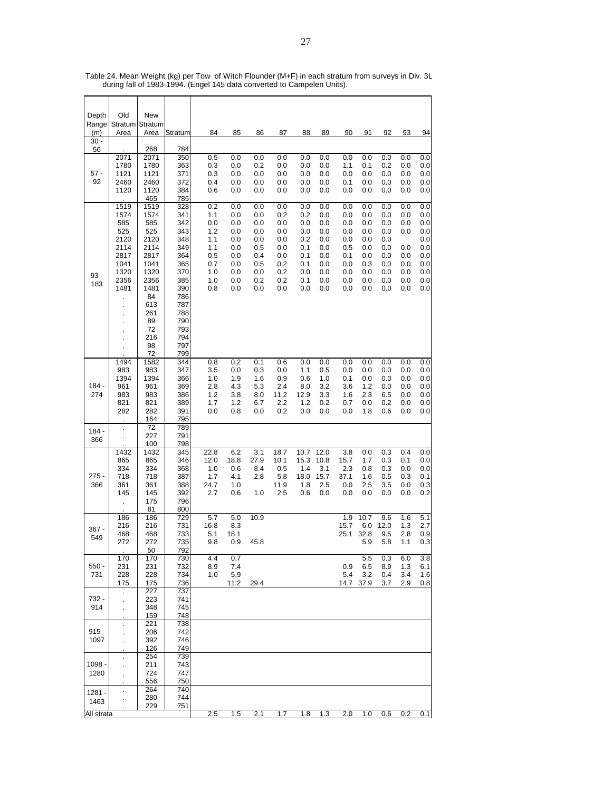| Depth        | Old                     | New          |            |             |             |            |             |             |             |              |             |             |            |            |
|--------------|-------------------------|--------------|------------|-------------|-------------|------------|-------------|-------------|-------------|--------------|-------------|-------------|------------|------------|
| Range<br>(m) | Stratum Stratum<br>Area | Area         | Stratum    | 84          | 85          | 86         | 87          | 88          | 89          | 90           | 91          | 92          | 93         | 94         |
| $30 -$       |                         |              |            |             |             |            |             |             |             |              |             |             |            |            |
| 56           | 2071                    | 268<br>2071  | 784<br>350 | 0.5         | 0.0         | 0.0        | 0.0         | 0.0         | 0.0         | 0.0          | 0.0         | 0.0         | 0.0        | 0.0        |
|              | 1780                    | 1780         | 363        | 0.3         | 0.0         | 0.2        | 0.0         | 0.0         | 0.0         | 1.1          | 0.1         | 0.2         | 0.0        | 0.0        |
| $57 -$       | 1121                    | 1121         | 371        | 0.3         | 0.0         | 0.0        | 0.0         | 0.0         | 0.0         | 0.0          | 0.0         | 0.0         | 0.0        | 0.0        |
| 92           | 2460<br>1120            | 2460<br>1120 | 372<br>384 | 0.4<br>0.6  | 0.0<br>0.0  | 0.0<br>0.0 | 0.0<br>0.0  | 0.0<br>0.0  | 0.0<br>0.0  | 0.1<br>0.0   | 0.0<br>0.0  | 0.0<br>0.0  | 0.0<br>0.0 | 0.0<br>0.0 |
|              |                         | 465          | 785        |             |             |            |             |             |             |              |             |             |            |            |
|              | 1519<br>1574            | 1519<br>1574 | 328<br>341 | 0.2<br>1.1  | 0.0<br>0.0  | 0.0<br>0.0 | 0.0<br>0.2  | 0.0<br>0.2  | 0.0<br>0.0  | 0.0<br>0.0   | 0.0<br>0.0  | 0.0<br>0.0  | 0.0<br>0.0 | 0.0<br>0.0 |
|              | 585                     | 585          | 342        | 0.0         | 0.0         | 0.0        | 0.0         | 0.0         | 0.0         | 0.0          | 0.0         | 0.0         | 0.0        | 0.0        |
|              | 525                     | 525          | 343        | 1.2         | 0.0         | 0.0        | 0.0         | 0.0         | 0.0         | 0.0          | 0.0         | 0.0         | 0.0        | 0.0        |
|              | 2120<br>2114            | 2120<br>2114 | 348<br>349 | 1.1<br>1.1  | 0.0<br>0.0  | 0.0<br>0.5 | 0.0<br>0.0  | 0.2<br>0.1  | 0.0<br>0.0  | 0.0<br>0.5   | 0.0<br>0.0  | 0.0<br>0.0  | 0.0        | 0.0<br>0.0 |
|              | 2817                    | 2817         | 364        | 0.5         | 0.0         | 0.4        | 0.0         | 0.1         | 0.0         | 0.1          | 0.0         | 0.0         | 0.0        | 0.0        |
|              | 1041<br>1320            | 1041<br>1320 | 365<br>370 | 0.7<br>1.0  | 0.0<br>0.0  | 0.5        | 0.2<br>0.2  | 0.1<br>0.0  | 0.0         | 0.0<br>0.0   | 0.3<br>0.0  | 0.0<br>0.0  | 0.0<br>0.0 | 0.0<br>0.0 |
| $93 -$       | 2356                    | 2356         | 385        | 1.0         | 0.0         | 0.0<br>0.2 | 0.2         | 0.1         | 0.0<br>0.0  | 0.0          | 0.0         | 0.0         | 0.0        | 0.0        |
| 183          | 1481                    | 1481         | 390        | 0.8         | 0.0         | 0.0        | 0.0         | 0.0         | 0.0         | 0.0          | 0.0         | 0.0         | 0.0        | 0.0        |
|              |                         | 84<br>613    | 786<br>787 |             |             |            |             |             |             |              |             |             |            |            |
|              | ä,<br>ä,                | 261          | 788        |             |             |            |             |             |             |              |             |             |            |            |
|              | $\blacksquare$          | 89           | 790        |             |             |            |             |             |             |              |             |             |            |            |
|              | ä,                      | 72<br>216    | 793<br>794 |             |             |            |             |             |             |              |             |             |            |            |
|              | ×                       | 98           | 797        |             |             |            |             |             |             |              |             |             |            |            |
|              | 1494                    | 72<br>1582   | 799<br>344 | 0.8         | 0.2         | 0.1        | 0.6         | 0.0         | 0.0         | 0.0          | 0.0         | 0.0         | 0.0        | 0.0        |
|              | 983                     | 983          | 347        | 3.5         | 0.0         | 0.3        | 0.0         | 1.1         | 0.5         | 0.0          | 0.0         | 0.0         | 0.0        | 0.0        |
|              | 1394                    | 1394         | 366        | 1.0         | 1.9         | 1.6        | 0.9         | 0.6         | 1.0         | 0.1          | 0.0         | 0.0         | 0.0        | 0.0        |
| 184 -<br>274 | 961<br>983              | 961<br>983   | 369<br>386 | 2.8<br>1.2  | 4.3<br>3.8  | 5.3<br>8.0 | 2.4<br>11.2 | 8.0<br>12.9 | 3.2<br>3.3  | 3.6<br>1.6   | 1.2<br>2.3  | 0.0<br>6.5  | 0.0<br>0.0 | 0.0<br>0.0 |
|              | 821                     | 821          | 389        | 1.7         | 1.2         | 6.7        | 2.2         | 1.2         | 0.2         | 0.7          | 0.0         | 0.2         | 0.0        | 0.0        |
|              | 282                     | 282          | 391        | 0.0         | 0.8         | 0.0        | 0.2         | 0.0         | 0.0         | 0.0          | 1.8         | 0.6         | 0.0        | 0.0        |
|              | $\ddot{\phantom{a}}$    | 164<br>72    | 795<br>789 |             |             |            |             |             |             |              |             |             |            |            |
| 184 -<br>366 | ä,                      | 227          | 791        |             |             |            |             |             |             |              |             |             |            |            |
|              | 1432                    | 100<br>1432  | 798<br>345 | 22.8        | 6.2         | 3.1        | 18.7        | 10.7        | 12.0        | 3.8          | 0.0         | 0.3         | 0.4        | 0.0        |
|              | 865                     | 865          | 346        | 12.0        | 18.8        | 27.9       | 10.1        | 15.3        | 10.8        | 15.7         | 1.7         | 0.3         | 0.1        | 0.0        |
| 275 -        | 334<br>718              | 334<br>718   | 368<br>387 | 1.0<br>1.7  | 0.6<br>4.1  | 8.4<br>2.8 | 0.5<br>5.8  | 1.4<br>18.0 | 3.1<br>15.7 | 2.3<br>37.1  | 0.8<br>1.6  | 0.3<br>0.5  | 0.0<br>0.3 | 0.0<br>0.1 |
| 366          | 361                     | 361          | 388        | 24.7        | 1.0         |            | 11.9        | 1.8         | 2.5         | 0.0          | 2.5         | 3.5         | 0.0        | 0.3        |
|              | 145                     | 145          | 392        | 2.7         | 0.6         | 1.0        | 2.5         | 0.6         | 0.0         | 0.0          | 0.0         | 0.0         | 0.0        | 0.2        |
|              | ä,                      | 175<br>81    | 796<br>800 |             |             |            |             |             |             |              |             |             |            |            |
|              | 186                     | 186          | 729        | 5.7         | 5.0         | 10.9       |             |             |             | 1.9          | 10.7        | 9.6         | 1.6        | 5.1        |
| 367 -        | 216<br>468              | 216<br>468   | 731<br>733 | 16.8<br>5.1 | 8.3<br>18.1 |            |             |             |             | 15.7<br>25.1 | 6.0<br>32.8 | 12.0<br>9.5 | 1.3<br>2.8 | 2.7<br>0.9 |
| 549          | 272                     | 272          | 735        | 9.8         | 0.9         | 45.8       |             |             |             |              | 5.9         | 5.8         | 1.1        | 0.3        |
|              |                         | 50           | 792        |             |             |            |             |             |             |              |             |             |            |            |
| $550 -$      | 170<br>231              | 170<br>231   | 730<br>732 | 4.4<br>8.9  | 0.7<br>7.4  |            |             |             |             | 0.9          | 5.5<br>6.5  | 0.3<br>8.9  | 6.0<br>1.3 | 3.8<br>6.1 |
| 731          | 228                     | 228          | 734        | 1.0         | 5.9         |            |             |             |             | 5.4          | 3.2         | 0.4         | 3.4        | 1.6        |
|              | 175                     | 175<br>227   | 736<br>737 |             | 11.2        | 29.4       |             |             |             |              | 14.7 37.9   | 3.7         | 2.9        | 0.8        |
| 732 -        |                         | 223          | 741        |             |             |            |             |             |             |              |             |             |            |            |
| 914          |                         | 348          | 745        |             |             |            |             |             |             |              |             |             |            |            |
|              | $\bullet$               | 159<br>221   | 748<br>738 |             |             |            |             |             |             |              |             |             |            |            |
| $915 -$      |                         | 206          | 742        |             |             |            |             |             |             |              |             |             |            |            |
| 1097         |                         | 392<br>126   | 746<br>749 |             |             |            |             |             |             |              |             |             |            |            |
|              | $\cdot$                 | 254          | 739        |             |             |            |             |             |             |              |             |             |            |            |
| 1098 -       |                         | 211          | 743        |             |             |            |             |             |             |              |             |             |            |            |
| 1280         |                         | 724<br>556   | 747<br>750 |             |             |            |             |             |             |              |             |             |            |            |
| $1281 -$     |                         | 264          | 740        |             |             |            |             |             |             |              |             |             |            |            |
| 1463         |                         | 280          | 744        |             |             |            |             |             |             |              |             |             |            |            |
| All strata   |                         | 229          | 751        | 2.5         | 1.5         | 2.1        | 1.7         | 1.8         | 1.3         | 2.0          | 1.0         | 0.6         | 0.2        | 0.1        |

Table 24. Mean Weight (kg) per Tow of Witch Flounder (M+F) in each stratum from surveys in Div. 3L during fall of 1983-1994. (Engel 145 data converted to Campelen Units).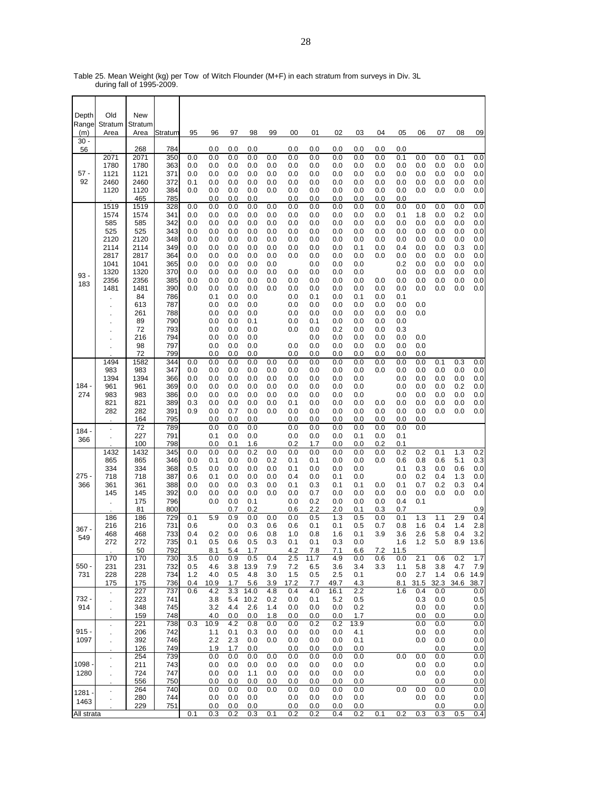Table 25. Mean Weight (kg) per Tow of Witch Flounder (M+F) in each stratum from surveys in Div. 3L during fall of 1995-2009.

| Depth           | Old                  | New          |            |            |             |            |             |            |             |                          |              |            |            |            |             |             |            |                 |
|-----------------|----------------------|--------------|------------|------------|-------------|------------|-------------|------------|-------------|--------------------------|--------------|------------|------------|------------|-------------|-------------|------------|-----------------|
| Range           | Stratum              | Stratum      |            |            |             |            |             |            |             |                          |              |            |            |            |             |             |            |                 |
| (m)<br>$30 -$   | Area                 | Area         | Stratum    | 95         | 96          | 97         | 98          | 99         | 00          | 01                       | 02           | 03         | 04         | 05         | 06          | 07          | 08         | 09              |
| 56              | 2071                 | 268<br>2071  | 784<br>350 | 0.0        | 0.0<br>0.0  | 0.0<br>0.0 | 0.0<br>0.0  | 0.0        | 0.0<br>0.0  | 0.0<br>0.0               | 0.0<br>0.0   | 0.0<br>0.0 | 0.0<br>0.0 | 0.0<br>0.1 | 0.0         | 0.0         | 0.1        | 0.0             |
|                 | 1780                 | 1780         | 363        | 0.0        | 0.0         | 0.0        | 0.0         | 0.0        | 0.0         | 0.0                      | 0.0          | 0.0        | 0.0        | 0.0        | 0.0         | 0.0         | 0.0        | 0.0             |
| $57 -$<br>92    | 1121<br>2460         | 1121<br>2460 | 371<br>372 | 0.0<br>0.1 | 0.0<br>0.0  | 0.0<br>0.0 | 0.0<br>0.0  | 0.0<br>0.0 | 0.0<br>0.0  | 0.0<br>0.0               | 0.0<br>0.0   | 0.0<br>0.0 | 0.0<br>0.0 | 0.0<br>0.0 | 0.0<br>0.0  | 0.0<br>0.0  | 0.0<br>0.0 | 0.0<br>0.0      |
|                 | 1120                 | 1120         | 384        | 0.0        | 0.0         | 0.0        | 0.0         | 0.0        | 0.0         | 0.0                      | 0.0          | 0.0        | 0.0        | 0.0        | 0.0         | 0.0         | 0.0        | 0.0             |
|                 |                      | 465          | 785        |            | 0.0         | 0.0        | 0.0         |            | 0.0         | 0.0                      | 0.0          | 0.0        | 0.0        | 0.0        |             |             |            |                 |
|                 | 1519<br>1574         | 1519<br>1574 | 328<br>341 | 0.0<br>0.0 | 0.0<br>0.0  | 0.0<br>0.0 | 0.0<br>0.0  | 0.0<br>0.0 | 0.0<br>0.0  | 0.0<br>0.0               | 0.0<br>0.0   | 0.0<br>0.0 | 0.0<br>0.0 | 0.0<br>0.1 | 0.0<br>1.8  | 0.0<br>0.0  | 0.0<br>0.2 | 0.0<br>0.0      |
|                 | 585                  | 585          | 342        | 0.0        | 0.0         | 0.0        | 0.0         | 0.0        | 0.0         | 0.0                      | 0.0          | 0.0        | 0.0        | 0.0        | 0.0         | 0.0         | 0.0        | 0.0             |
|                 | 525<br>2120          | 525<br>2120  | 343<br>348 | 0.0<br>0.0 | 0.0<br>0.0  | 0.0<br>0.0 | 0.0<br>0.0  | 0.0<br>0.0 | 0.0<br>0.0  | 0.0<br>0.0               | 0.0<br>0.0   | 0.0<br>0.0 | 0.0<br>0.0 | 0.0<br>0.0 | 0.0<br>0.0  | 0.0<br>0.0  | 0.0<br>0.0 | 0.0<br>0.0      |
|                 | 2114                 | 2114         | 349        | 0.0        | 0.0         | 0.0        | 0.0         | 0.0        | 0.0         | 0.0                      | 0.0          | 0.1        | 0.0        | 0.4        | 0.0         | 0.0         | 0.3        | 0.0             |
|                 | 2817<br>1041         | 2817<br>1041 | 364        | 0.0<br>0.0 | 0.0<br>0.0  | 0.0        | 0.0<br>0.0  | 0.0<br>0.0 | 0.0         | 0.0                      | 0.0          | 0.0        | 0.0        | 0.0<br>0.2 | 0.0<br>0.0  | 0.0<br>0.0  | 0.0        | 0.0             |
|                 | 1320                 | 1320         | 365<br>370 | 0.0        | 0.0         | 0.0<br>0.0 | 0.0         | 0.0        | 0.0         | 0.0<br>0.0               | 0.0<br>0.0   | 0.0<br>0.0 |            | 0.0        | 0.0         | 0.0         | 0.0<br>0.0 | 0.0<br>0.0      |
| 93 -<br>183     | 2356                 | 2356         | 385        | 0.0        | 0.0         | 0.0        | 0.0         | 0.0        | 0.0         | 0.0                      | 0.0          | 0.0        | 0.0        | 0.0        | 0.0         | 0.0         | 0.0        | 0.0             |
|                 | 1481                 | 1481<br>84   | 390<br>786 | 0.0        | 0.0<br>0.1  | 0.0<br>0.0 | 0.0<br>0.0  | 0.0        | 0.0<br>0.0  | 0.0<br>0.1               | 0.0<br>0.0   | 0.0<br>0.1 | 0.0<br>0.0 | 0.0<br>0.1 | 0.0         | 0.0         | 0.0        | 0.0             |
|                 |                      | 613          | 787        |            | 0.0         | 0.0        | 0.0         |            | 0.0         | 0.0                      | 0.0          | 0.0        | 0.0        | 0.0        | 0.0         |             |            |                 |
|                 |                      | 261          | 788        |            | 0.0         | 0.0        | 0.0         |            | 0.0         | 0.0                      | 0.0          | 0.0        | 0.0        | 0.0        | 0.0         |             |            |                 |
|                 | ×.                   | 89<br>72     | 790<br>793 |            | 0.0<br>0.0  | 0.0<br>0.0 | 0.1<br>0.0  |            | 0.0<br>0.0  | 0.1<br>0.0               | 0.0<br>0.2   | 0.0<br>0.0 | 0.0<br>0.0 | 0.0<br>0.3 |             |             |            |                 |
|                 |                      | 216          | 794        |            | 0.0         | 0.0        | 0.0         |            |             | 0.0                      | 0.0          | 0.0        | 0.0        | 0.0        | 0.0         |             |            |                 |
|                 |                      | 98<br>72     | 797<br>799 |            | 0.0<br>0.0  | 0.0<br>0.0 | 0.0<br>0.0  |            | 0.0<br>0.0  | 0.0<br>0.0               | 0.0<br>0.0   | 0.0<br>0.0 | 0.0<br>0.0 | 0.0<br>0.0 | 0.0<br>0.0  |             |            |                 |
|                 | 1494                 | 1582         | 344        | 0.0        | 0.0         | 0.0        | 0.0         | 0.0        | 0.0         | 0.0                      | 0.0          | 0.0        | $_{0.0}$   | 0.0        | 0.0         | 0.1         | 0.3        | 0.0             |
|                 | 983<br>1394          | 983<br>1394  | 347<br>366 | 0.0<br>0.0 | 0.0<br>0.0  | 0.0<br>0.0 | 0.0<br>0.0  | 0.0<br>0.0 | 0.0<br>0.0  | 0.0<br>0.0               | 0.0<br>0.0   | 0.0<br>0.0 | 0.0        | 0.0<br>0.0 | 0.0<br>0.0  | 0.0<br>0.0  | 0.0<br>0.0 | 0.0<br>0.0      |
| 184 -           | 961                  | 961          | 369        | 0.0        | 0.0         | 0.0        | 0.0         | 0.0        | 0.0         | 0.0                      | 0.0          | 0.0        |            | 0.0        | 0.0         | 0.0         | 0.2        | 0.0             |
| 274             | 983                  | 983          | 386        | 0.0        | 0.0         | 0.0        | 0.0         | 0.0        | 0.0         | 0.0                      | 0.0          | 0.0        |            | 0.0        | 0.0         | 0.0         | 0.0        | 0.0             |
|                 | 821<br>282           | 821<br>282   | 389<br>391 | 0.3<br>0.9 | 0.0<br>0.0  | 0.0<br>0.7 | 0.0<br>0.0  | 0.0<br>0.0 | 0.1<br>0.0  | 0.0<br>0.0               | 0.0<br>0.0   | 0.0<br>0.0 | 0.0<br>0.0 | 0.0<br>0.0 | 0.0<br>0.0  | 0.0<br>0.0  | 0.0<br>0.0 | 0.0<br>0.0      |
|                 |                      | 164          | 795        |            | 0.0         | 0.0        | 0.0         |            | 0.0         | 0.0                      | 0.0          | 0.0        | 0.0        | 0.0        | 0.0         |             |            |                 |
| 184 -           | $\ddot{\phantom{0}}$ | 72<br>227    | 789<br>791 |            | 0.0<br>0.1  | 0.0<br>0.0 | 0.0<br>0.0  |            | 0.0<br>0.0  | 0.0<br>0.0               | 0.0<br>0.0   | 0.0<br>0.1 | 0.0<br>0.0 | 0.0<br>0.1 | 0.0         |             |            |                 |
| 366             |                      | 100          | 798        |            | 0.0         | 0.1        | 1.6         |            | 0.2         | 1.7                      | 0.0          | 0.0        | 0.2        | 0.1        |             |             |            |                 |
|                 | 1432<br>865          | 1432<br>865  | 345<br>346 | 0.0<br>0.0 | 0.0<br>0.1  | 0.0<br>0.0 | 0.2<br>0.0  | 0.0<br>0.2 | 0.0<br>0.1  | 0.0<br>0.1               | 0.0<br>0.0   | 0.0<br>0.0 | 0.0<br>0.0 | 0.2<br>0.6 | 0.2<br>0.8  | 0.1<br>0.6  | 1.3<br>5.1 | 0.2<br>0.3      |
|                 | 334                  | 334          | 368        | 0.5        | 0.0         | 0.0        | 0.0         | 0.0        | 0.1         | 0.0                      | 0.0          | 0.0        |            | 0.1        | 0.3         | 0.0         | 0.6        | 0.0             |
| $275 -$<br>366  | 718<br>361           | 718<br>361   | 387<br>388 | 0.6<br>0.0 | 0.1<br>0.0  | 0.0<br>0.0 | 0.0<br>0.3  | 0.0<br>0.0 | 0.4<br>0.1  | 0.0<br>0.3               | 0.1<br>0.1   | 0.0<br>0.1 | 0.0        | 0.0<br>0.1 | 0.2<br>0.7  | 0.4<br>0.2  | 1.3<br>0.3 | 0.0<br>0.4      |
|                 | 145                  | 145          | 392        | 0.0        | 0.0         | 0.0        | 0.0         | 0.0        | 0.0         | 0.7                      | 0.0          | 0.0        | 0.0        | 0.0        | 0.0         | 0.0         | 0.0        | 0.0             |
|                 | $\ddot{\phantom{0}}$ | 175          | 796        |            | 0.0         | 0.0        | 0.1<br>0.2  |            | 0.0<br>0.6  | 0.2                      | 0.0<br>2.0   | 0.0        | 0.0        | 0.4        | 0.1         |             |            |                 |
|                 | 186                  | 81<br>186    | 800<br>729 | 0.1        | 5.9         | 0.7<br>0.9 | 0.0         | 0.0        | 0.0         | 2.2<br>0.5               | 1.3          | 0.1<br>0.5 | 0.3<br>0.0 | 0.7<br>0.1 | 1.3         | 1.1         | 2.9        | 0.9<br>0.4      |
| 367 -           | 216                  | 216          | 731        | 0.6        |             | 0.0        | 0.3         | 0.6        | 0.6         | 0.1                      | 0.1          | 0.5        | 0.7        | 0.8        | 1.6         | 0.4         | 1.4        | 2.8             |
| 549             | 468<br>272           | 468<br>272   | 733<br>735 | 0.4<br>0.1 | 0.2<br>0.5  | 0.0<br>0.6 | 0.6<br>0.5  | 0.8<br>0.3 | 1.0<br>0.1  | 0.8<br>0.1               | 1.6<br>0.3   | 0.1<br>0.0 | 3.9        | 3.6<br>1.6 | 2.6<br>1.2  | 5.8<br>5.0  | 0.4        | 3.2<br>8.9 13.6 |
|                 |                      | 50           | 792        |            | 8.1         | 5.4        | 1.7         |            | 4.2         | 7.8                      | 7.1          | 6.6        | 7.2        | 11.5       |             |             |            |                 |
| $550 -$         | 170<br>231           | 170<br>231   | 730<br>732 | 3.5<br>0.5 | 0.0<br>4.6  | 0.9<br>3.8 | 0.5<br>13.9 | 0.4<br>7.9 | 2.5<br>7.2  | $\overline{1}1.7$<br>6.5 | 4.9<br>3.6   | 0.0<br>3.4 | 0.6<br>3.3 | 0.0<br>1.1 | 2.1<br>5.8  | 0.6<br>3.8  | 0.2<br>4.7 | 1.7<br>7.9      |
| 731             | 228                  | 228          | 734        | 1.2        | 4.0         | 0.5        | 4.8         | 3.0        | 1.5         | 0.5                      | 2.5          | 0.1        |            | 0.0        | 2.7         | 1.4         |            | 0.6 14.9        |
|                 | 175<br>$\cdot$       | 175<br>227   | 736<br>737 | 0.4<br>0.6 | 10.9<br>4.2 | 1.7<br>3.3 | 5.6<br>14.0 | 3.9<br>4.8 | 17.2<br>0.4 | 7.7<br>4.0               | 49.7<br>16.1 | 4.3<br>2.2 |            | 8.1<br>1.6 | 31.5<br>0.4 | 32.3<br>0.0 | 34.6       | 38.7<br>0.0     |
| 732 -           | ÷.                   | 223          | 741        |            | 3.8         | 5.4        | 10.2        | 0.2        | 0.0         | 0.1                      | 5.2          | 0.5        |            |            | 0.3         | 0.0         |            | 0.5             |
| 914             | ä,                   | 348<br>159   | 745<br>748 |            | 3.2<br>4.0  | 4.4<br>0.0 | 2.6<br>0.0  | 1.4<br>1.8 | 0.0<br>0.0  | 0.0<br>0.0               | 0.0<br>0.0   | 0.2<br>1.7 |            |            | 0.0<br>0.0  | 0.0<br>0.0  |            | 0.0<br>0.0      |
|                 | $\ddot{\phantom{1}}$ | 221          | 738        | 0.3        | 10.9        | 4.2        | 0.8         | 0.0        | 0.0         | 0.2                      | 0.2          | 13.9       |            |            | 0.0         | 0.0         |            | 0.0             |
| $915 -$<br>1097 | $\epsilon$           | 206<br>392   | 742<br>746 |            | 1.1<br>2.2  | 0.1<br>2.3 | 0.3<br>0.0  | 0.0<br>0.0 | 0.0<br>0.0  | 0.0<br>0.0               | 0.0<br>0.0   | 4.1<br>0.1 |            |            | 0.0<br>0.0  | 0.0<br>0.0  |            | 0.0<br>0.0      |
|                 | à.                   | 126          | 749        |            | 1.9         | 1.7        | 0.0         |            | 0.0         | 0.0                      | 0.0          | 0.0        |            |            |             | 0.0         |            | 0.0             |
| 1098            | $\cdot$              | 254          | 739        |            | 0.0         | 0.0        | 0.0         | 0.0        | 0.0         | 0.0                      | 0.0          | 0.0        |            | 0.0        | 0.0         | 0.0         |            | 0.0             |
| 1280            | à.                   | 211<br>724   | 743<br>747 |            | 0.0<br>0.0  | 0.0<br>0.0 | 0.0<br>1.1  | 0.0<br>0.0 | 0.0<br>0.0  | 0.0<br>0.0               | 0.0<br>0.0   | 0.0<br>0.0 |            |            | 0.0<br>0.0  | 0.0<br>0.0  |            | 0.0<br>0.0      |
|                 |                      | 556          | 750        |            | 0.0         | 0.0        | 0.0         | 0.0        | 0.0         | 0.0                      | 0.0          | 0.0        |            |            |             | 0.0         |            | 0.0             |
| $1281 -$        | $\blacksquare$       | 264<br>280   | 740<br>744 |            | 0.0<br>0.0  | 0.0<br>0.0 | 0.0<br>0.0  | 0.0        | 0.0<br>0.0  | 0.0<br>0.0               | 0.0<br>0.0   | 0.0<br>0.0 |            | 0.0        | 0.0<br>0.0  | 0.0<br>0.0  |            | 0.0<br>0.0      |
| 1463            |                      | 229          | 751        |            | 0.0         | 0.0        | 0.0         |            | 0.0         | 0.0                      | 0.0          | 0.0        |            |            |             | 0.0         |            | 0.0             |
| All strata      |                      |              |            | 0.1        | 0.3         | 0.2        | 0.3         | 0.1        | 0.2         | 0.2                      | 0.4          | 0.2        | 0.1        | 0.2        | 0.3         | 0.3         | 0.5        | 0.4             |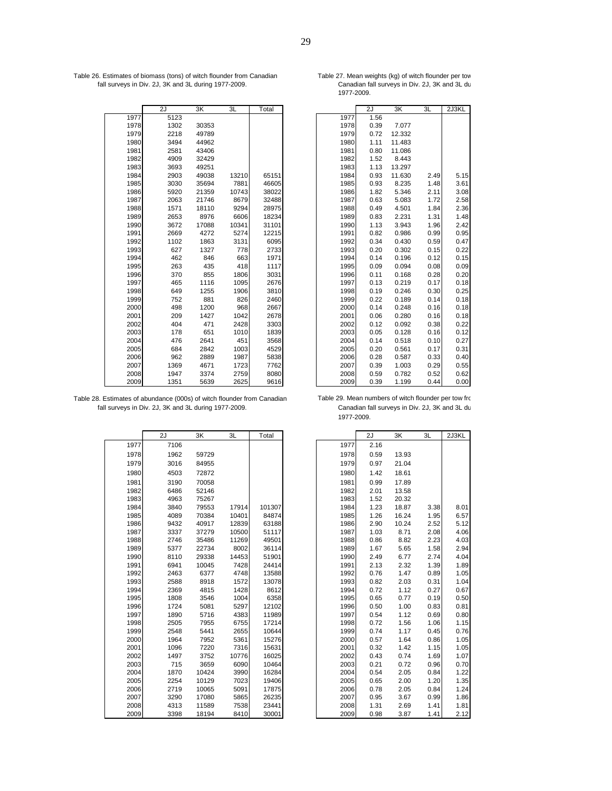Table 26. Estimates of biomass (tons) of witch flounder from Canadian Table 27. Mean weights (kg) of witch flounder per tow fall surveys in Div. 2J, 3K and 3L during 1977-2009. Canadian fall surveys in Div. 2J, 3K and 3L du

|      | 2J   | 3K    | 3L    | Total |      | 2J   | 3K      | 3L   | 2J3KL |
|------|------|-------|-------|-------|------|------|---------|------|-------|
| 1977 | 5123 |       |       |       | 1977 | 1.56 |         |      |       |
| 1978 | 1302 | 30353 |       |       | 1978 | 0.39 | 7.077   |      |       |
| 1979 | 2218 | 49789 |       |       | 1979 | 0.72 | 12.332  |      |       |
| 1980 | 3494 | 44962 |       |       | 1980 | 1.11 | 11.483  |      |       |
| 1981 | 2581 | 43406 |       |       | 1981 | 0.80 | 11.086  |      |       |
| 1982 | 4909 | 32429 |       |       | 1982 | 1.52 | 8.443   |      |       |
| 1983 | 3693 | 49251 |       |       | 1983 | 1.13 | 13.297  |      |       |
| 1984 | 2903 | 49038 | 13210 | 65151 | 1984 | 0.93 | 11.630  | 2.49 | 5.15  |
| 1985 | 3030 | 35694 | 7881  | 46605 | 1985 | 0.93 | 8.235   | 1.48 | 3.61  |
| 1986 | 5920 | 21359 | 10743 | 38022 | 1986 | 1.82 | 5.346   | 2.11 | 3.08  |
| 1987 | 2063 | 21746 | 8679  | 32488 | 1987 | 0.63 | 5.083   | 1.72 | 2.58  |
| 1988 | 1571 | 18110 | 9294  | 28975 | 1988 | 0.49 | 4.501   | 1.84 | 2.36  |
| 1989 | 2653 | 8976  | 6606  | 18234 | 1989 | 0.83 | 2.231   | 1.31 | 1.48  |
| 1990 | 3672 | 17088 | 10341 | 31101 | 1990 | 1.13 | 3.943   | 1.96 | 2.42  |
| 1991 | 2669 | 4272  | 5274  | 12215 | 1991 | 0.82 | 0.986   | 0.99 | 0.95  |
| 1992 | 1102 | 1863  | 3131  | 6095  | 1992 | 0.34 | 0.430   | 0.59 | 0.47  |
| 1993 | 627  | 1327  | 778   | 2733  | 1993 | 0.20 | 0.302   | 0.15 | 0.22  |
| 1994 | 462  | 846   | 663   | 1971  | 1994 | 0.14 | 0.196   | 0.12 | 0.15  |
| 1995 | 263  | 435   | 418   | 1117  | 1995 | 0.09 | 0.094   | 0.08 | 0.09  |
| 1996 | 370  | 855   | 1806  | 3031  | 1996 | 0.11 | 0.168   | 0.28 | 0.20  |
| 1997 | 465  | 1116  | 1095  | 2676  | 1997 | 0.13 | 0.219   | 0.17 | 0.18  |
| 1998 | 649  | 1255  | 1906  | 3810  | 1998 | 0.19 | 0.246   | 0.30 | 0.25  |
| 1999 | 752  | 881   | 826   | 2460  | 1999 | 0.22 | 0.189   | 0.14 | 0.18  |
| 2000 | 498  | 1200  | 968   | 2667  | 2000 | 0.14 | 0.248   | 0.16 | 0.18  |
| 2001 | 209  | 1427  | 1042  | 2678  | 2001 | 0.06 | 0.280   | 0.16 | 0.18  |
| 2002 | 404  | 471   | 2428  | 3303  | 2002 | 0.12 | 0.092   | 0.38 | 0.22  |
| 2003 | 178  | 651   | 1010  | 1839  | 2003 | 0.05 | 0.128   | 0.16 | 0.12  |
| 2004 | 476  | 2641  | 451   | 3568  | 2004 | 0.14 | 0.518   | 0.10 | 0.27  |
| 2005 | 684  | 2842  | 1003  | 4529  | 2005 | 0.20 | 0.561   | 0.17 | 0.31  |
| 2006 | 962  | 2889  | 1987  | 5838  | 2006 | 0.28 | 0.587   | 0.33 | 0.40  |
| 2007 | 1369 | 4671  | 1723  | 7762  | 2007 | 0.39 | 1.003   | 0.29 | 0.55  |
| 2008 | 1947 | 3374  | 2759  | 8080  | 2008 | 0.59 | 0.782   | 0.52 | 0.62  |
| 2009 | 1351 | 5639  | 2625  | 9616  | 2009 | U 30 | 1 1 0 0 | 0.44 | n nn  |

| Table 28. Estimates of abundance (000s) of witch flounder from Canadian |
|-------------------------------------------------------------------------|
| fall surveys in Div. 2J, 3K and 3L during 1977-2009.                    |

|      | 2J   | 3K    | 3L    | Total  |      | 2J   | ЗK    | 3L   | 2J3KL |
|------|------|-------|-------|--------|------|------|-------|------|-------|
| 1977 | 7106 |       |       |        | 1977 | 2.16 |       |      |       |
| 1978 | 1962 | 59729 |       |        | 1978 | 0.59 | 13.93 |      |       |
| 1979 | 3016 | 84955 |       |        | 1979 | 0.97 | 21.04 |      |       |
| 1980 | 4503 | 72872 |       |        | 1980 | 1.42 | 18.61 |      |       |
| 1981 | 3190 | 70058 |       |        | 1981 | 0.99 | 17.89 |      |       |
| 1982 | 6486 | 52146 |       |        | 1982 | 2.01 | 13.58 |      |       |
| 1983 | 4963 | 75267 |       |        | 1983 | 1.52 | 20.32 |      |       |
| 1984 | 3840 | 79553 | 17914 | 101307 | 1984 | 1.23 | 18.87 | 3.38 | 8.01  |
| 1985 | 4089 | 70384 | 10401 | 84874  | 1985 | 1.26 | 16.24 | 1.95 | 6.57  |
| 1986 | 9432 | 40917 | 12839 | 63188  | 1986 | 2.90 | 10.24 | 2.52 | 5.12  |
| 1987 | 3337 | 37279 | 10500 | 51117  | 1987 | 1.03 | 8.71  | 2.08 | 4.06  |
| 1988 | 2746 | 35486 | 11269 | 49501  | 1988 | 0.86 | 8.82  | 2.23 | 4.03  |
| 1989 | 5377 | 22734 | 8002  | 36114  | 1989 | 1.67 | 5.65  | 1.58 | 2.94  |
| 1990 | 8110 | 29338 | 14453 | 51901  | 1990 | 2.49 | 6.77  | 2.74 | 4.04  |
| 1991 | 6941 | 10045 | 7428  | 24414  | 1991 | 2.13 | 2.32  | 1.39 | 1.89  |
| 1992 | 2463 | 6377  | 4748  | 13588  | 1992 | 0.76 | 1.47  | 0.89 | 1.05  |
| 1993 | 2588 | 8918  | 1572  | 13078  | 1993 | 0.82 | 2.03  | 0.31 | 1.04  |
| 1994 | 2369 | 4815  | 1428  | 8612   | 1994 | 0.72 | 1.12  | 0.27 | 0.67  |
| 1995 | 1808 | 3546  | 1004  | 6358   | 1995 | 0.65 | 0.77  | 0.19 | 0.50  |
| 1996 | 1724 | 5081  | 5297  | 12102  | 1996 | 0.50 | 1.00  | 0.83 | 0.81  |
| 1997 | 1890 | 5716  | 4383  | 11989  | 1997 | 0.54 | 1.12  | 0.69 | 0.80  |
| 1998 | 2505 | 7955  | 6755  | 17214  | 1998 | 0.72 | 1.56  | 1.06 | 1.15  |
| 1999 | 2548 | 5441  | 2655  | 10644  | 1999 | 0.74 | 1.17  | 0.45 | 0.76  |
| 2000 | 1964 | 7952  | 5361  | 15276  | 2000 | 0.57 | 1.64  | 0.86 | 1.05  |
| 2001 | 1096 | 7220  | 7316  | 15631  | 2001 | 0.32 | 1.42  | 1.15 | 1.05  |
| 2002 | 1497 | 3752  | 10776 | 16025  | 2002 | 0.43 | 0.74  | 1.69 | 1.07  |
| 2003 | 715  | 3659  | 6090  | 10464  | 2003 | 0.21 | 0.72  | 0.96 | 0.70  |
| 2004 | 1870 | 10424 | 3990  | 16284  | 2004 | 0.54 | 2.05  | 0.84 | 1.22  |
| 2005 | 2254 | 10129 | 7023  | 19406  | 2005 | 0.65 | 2.00  | 1.20 | 1.35  |
| 2006 | 2719 | 10065 | 5091  | 17875  | 2006 | 0.78 | 2.05  | 0.84 | 1.24  |
| 2007 | 3290 | 17080 | 5865  | 26235  | 2007 | 0.95 | 3.67  | 0.99 | 1.86  |
| 2008 | 4313 | 11589 | 7538  | 23441  | 2008 | 1.31 | 2.69  | 1.41 | 1.81  |
| 2009 | 3398 | 18194 | 8410  | 30001  | 2009 | 0.98 | 3.87  | 1.41 | 2.12  |

| Table 27. Mean weights (kg) of witch flounder per tow |  |  |
|-------------------------------------------------------|--|--|
| Canadian fall surveys in Div. 2J, 3K and 3L du        |  |  |
| 1977-2009.                                            |  |  |

|      | 2J   | 3K    | 3L    | Total |      | 2J   | 3K     | 3L   | 2J3KL |
|------|------|-------|-------|-------|------|------|--------|------|-------|
| 1977 | 5123 |       |       |       | 1977 | 1.56 |        |      |       |
| 1978 | 1302 | 30353 |       |       | 1978 | 0.39 | 7.077  |      |       |
| 1979 | 2218 | 49789 |       |       | 1979 | 0.72 | 12.332 |      |       |
| 1980 | 3494 | 44962 |       |       | 1980 | 1.11 | 11.483 |      |       |
| 1981 | 2581 | 43406 |       |       | 1981 | 0.80 | 11.086 |      |       |
| 1982 | 4909 | 32429 |       |       | 1982 | 1.52 | 8.443  |      |       |
| 1983 | 3693 | 49251 |       |       | 1983 | 1.13 | 13.297 |      |       |
| 1984 | 2903 | 49038 | 13210 | 65151 | 1984 | 0.93 | 11.630 | 2.49 | 5.15  |
| 1985 | 3030 | 35694 | 7881  | 46605 | 1985 | 0.93 | 8.235  | 1.48 | 3.61  |
| 1986 | 5920 | 21359 | 10743 | 38022 | 1986 | 1.82 | 5.346  | 2.11 | 3.08  |
| 1987 | 2063 | 21746 | 8679  | 32488 | 1987 | 0.63 | 5.083  | 1.72 | 2.58  |
| 1988 | 1571 | 18110 | 9294  | 28975 | 1988 | 0.49 | 4.501  | 1.84 | 2.36  |
| 1989 | 2653 | 8976  | 6606  | 18234 | 1989 | 0.83 | 2.231  | 1.31 | 1.48  |
| 1990 | 3672 | 17088 | 10341 | 31101 | 1990 | 1.13 | 3.943  | 1.96 | 2.42  |
| 1991 | 2669 | 4272  | 5274  | 12215 | 1991 | 0.82 | 0.986  | 0.99 | 0.95  |
| 1992 | 1102 | 1863  | 3131  | 6095  | 1992 | 0.34 | 0.430  | 0.59 | 0.47  |
| 1993 | 627  | 1327  | 778   | 2733  | 1993 | 0.20 | 0.302  | 0.15 | 0.22  |
| 1994 | 462  | 846   | 663   | 1971  | 1994 | 0.14 | 0.196  | 0.12 | 0.15  |
| 1995 | 263  | 435   | 418   | 1117  | 1995 | 0.09 | 0.094  | 0.08 | 0.09  |
| 1996 | 370  | 855   | 1806  | 3031  | 1996 | 0.11 | 0.168  | 0.28 | 0.20  |
| 1997 | 465  | 1116  | 1095  | 2676  | 1997 | 0.13 | 0.219  | 0.17 | 0.18  |
| 1998 | 649  | 1255  | 1906  | 3810  | 1998 | 0.19 | 0.246  | 0.30 | 0.25  |
| 1999 | 752  | 881   | 826   | 2460  | 1999 | 0.22 | 0.189  | 0.14 | 0.18  |
| 2000 | 498  | 1200  | 968   | 2667  | 2000 | 0.14 | 0.248  | 0.16 | 0.18  |
| 2001 | 209  | 1427  | 1042  | 2678  | 2001 | 0.06 | 0.280  | 0.16 | 0.18  |
| 2002 | 404  | 471   | 2428  | 3303  | 2002 | 0.12 | 0.092  | 0.38 | 0.22  |
| 2003 | 178  | 651   | 1010  | 1839  | 2003 | 0.05 | 0.128  | 0.16 | 0.12  |
| 2004 | 476  | 2641  | 451   | 3568  | 2004 | 0.14 | 0.518  | 0.10 | 0.27  |
| 2005 | 684  | 2842  | 1003  | 4529  | 2005 | 0.20 | 0.561  | 0.17 | 0.31  |
| 2006 | 962  | 2889  | 1987  | 5838  | 2006 | 0.28 | 0.587  | 0.33 | 0.40  |
| 2007 | 1369 | 4671  | 1723  | 7762  | 2007 | 0.39 | 1.003  | 0.29 | 0.55  |
| 2008 | 1947 | 3374  | 2759  | 8080  | 2008 | 0.59 | 0.782  | 0.52 | 0.62  |
| 2009 | 1351 | 5639  | 2625  | 9616  | 2009 | 0.39 | 1.199  | 0.44 | 0.00  |

Table 29. Mean numbers of witch flounder per tow from Canadian fall surveys in Div. 2J, 3K and 3L du 1977-2009.

| 2J   | 3K    | 3L    | Total  |      | 2J   | 3K    | 3L   | 2J3KL |
|------|-------|-------|--------|------|------|-------|------|-------|
| 7106 |       |       |        | 1977 | 2.16 |       |      |       |
| 1962 | 59729 |       |        | 1978 | 0.59 | 13.93 |      |       |
| 3016 | 84955 |       |        | 1979 | 0.97 | 21.04 |      |       |
| 4503 | 72872 |       |        | 1980 | 1.42 | 18.61 |      |       |
| 3190 | 70058 |       |        | 1981 | 0.99 | 17.89 |      |       |
| 6486 | 52146 |       |        | 1982 | 2.01 | 13.58 |      |       |
| 4963 | 75267 |       |        | 1983 | 1.52 | 20.32 |      |       |
| 3840 | 79553 | 17914 | 101307 | 1984 | 1.23 | 18.87 | 3.38 | 8.01  |
| 4089 | 70384 | 10401 | 84874  | 1985 | 1.26 | 16.24 | 1.95 | 6.57  |
| 9432 | 40917 | 12839 | 63188  | 1986 | 2.90 | 10.24 | 2.52 | 5.12  |
| 3337 | 37279 | 10500 | 51117  | 1987 | 1.03 | 8.71  | 2.08 | 4.06  |
| 2746 | 35486 | 11269 | 49501  | 1988 | 0.86 | 8.82  | 2.23 | 4.03  |
| 5377 | 22734 | 8002  | 36114  | 1989 | 1.67 | 5.65  | 1.58 | 2.94  |
| 8110 | 29338 | 14453 | 51901  | 1990 | 2.49 | 6.77  | 2.74 | 4.04  |
| 6941 | 10045 | 7428  | 24414  | 1991 | 2.13 | 2.32  | 1.39 | 1.89  |
| 2463 | 6377  | 4748  | 13588  | 1992 | 0.76 | 1.47  | 0.89 | 1.05  |
| 2588 | 8918  | 1572  | 13078  | 1993 | 0.82 | 2.03  | 0.31 | 1.04  |
| 2369 | 4815  | 1428  | 8612   | 1994 | 0.72 | 1.12  | 0.27 | 0.67  |
| 1808 | 3546  | 1004  | 6358   | 1995 | 0.65 | 0.77  | 0.19 | 0.50  |
| 1724 | 5081  | 5297  | 12102  | 1996 | 0.50 | 1.00  | 0.83 | 0.81  |
| 1890 | 5716  | 4383  | 11989  | 1997 | 0.54 | 1.12  | 0.69 | 0.80  |
| 2505 | 7955  | 6755  | 17214  | 1998 | 0.72 | 1.56  | 1.06 | 1.15  |
| 2548 | 5441  | 2655  | 10644  | 1999 | 0.74 | 1.17  | 0.45 | 0.76  |
| 1964 | 7952  | 5361  | 15276  | 2000 | 0.57 | 1.64  | 0.86 | 1.05  |
| 1096 | 7220  | 7316  | 15631  | 2001 | 0.32 | 1.42  | 1.15 | 1.05  |
| 1497 | 3752  | 10776 | 16025  | 2002 | 0.43 | 0.74  | 1.69 | 1.07  |
| 715  | 3659  | 6090  | 10464  | 2003 | 0.21 | 0.72  | 0.96 | 0.70  |
| 1870 | 10424 | 3990  | 16284  | 2004 | 0.54 | 2.05  | 0.84 | 1.22  |
| 2254 | 10129 | 7023  | 19406  | 2005 | 0.65 | 2.00  | 1.20 | 1.35  |
| 2719 | 10065 | 5091  | 17875  | 2006 | 0.78 | 2.05  | 0.84 | 1.24  |
| 3290 | 17080 | 5865  | 26235  | 2007 | 0.95 | 3.67  | 0.99 | 1.86  |
| 4313 | 11589 | 7538  | 23441  | 2008 | 1.31 | 2.69  | 1.41 | 1.81  |
| 3398 | 18194 | 8410  | 30001  | 2009 | 0.98 | 3.87  | 1.41 | 2.12  |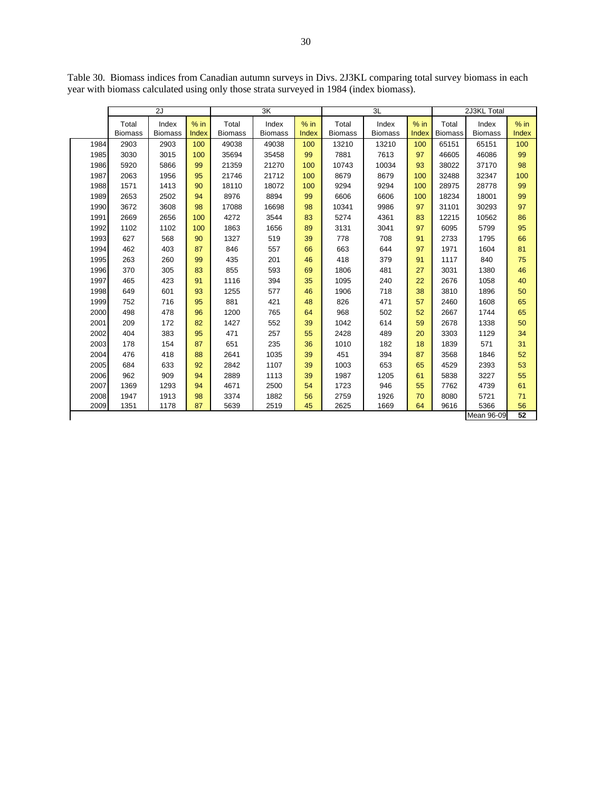|      |                         | 2J                      |                 | $\overline{\mathsf{3K}}$ |                         |                 |                         | 3L                      | 2J3KL Total     |                         |                         |                        |
|------|-------------------------|-------------------------|-----------------|--------------------------|-------------------------|-----------------|-------------------------|-------------------------|-----------------|-------------------------|-------------------------|------------------------|
|      | Total<br><b>Biomass</b> | Index<br><b>Biomass</b> | $%$ in<br>Index | Total<br><b>Biomass</b>  | Index<br><b>Biomass</b> | $%$ in<br>Index | Total<br><b>Biomass</b> | Index<br><b>Biomass</b> | $%$ in<br>Index | Total<br><b>Biomass</b> | Index<br><b>Biomass</b> | $%$ in<br><b>Index</b> |
| 1984 | 2903                    | 2903                    | 100             | 49038                    | 49038                   | 100             | 13210                   | 13210                   | 100             | 65151                   | 65151                   | 100                    |
| 1985 | 3030                    | 3015                    | 100             | 35694                    | 35458                   | 99              | 7881                    | 7613                    | 97              | 46605                   | 46086                   | 99                     |
| 1986 | 5920                    | 5866                    | 99              | 21359                    | 21270                   | 100             | 10743                   | 10034                   | 93              | 38022                   | 37170                   | 98                     |
| 1987 | 2063                    | 1956                    | 95              | 21746                    | 21712                   | 100             | 8679                    | 8679                    | 100             | 32488                   | 32347                   | 100                    |
| 1988 | 1571                    | 1413                    | 90              | 18110                    | 18072                   | 100             | 9294                    | 9294                    | 100             | 28975                   | 28778                   | 99                     |
| 1989 | 2653                    | 2502                    | 94              | 8976                     | 8894                    | 99              | 6606                    | 6606                    | 100             | 18234                   | 18001                   | 99                     |
| 1990 | 3672                    | 3608                    | 98              | 17088                    | 16698                   | 98              | 10341                   | 9986                    | 97              | 31101                   | 30293                   | 97                     |
| 1991 | 2669                    | 2656                    | 100             | 4272                     | 3544                    | 83              | 5274                    | 4361                    | 83              | 12215                   | 10562                   | 86                     |
| 1992 | 1102                    | 1102                    | 100             | 1863                     | 1656                    | 89              | 3131                    | 3041                    | 97              | 6095                    | 5799                    | 95                     |
| 1993 | 627                     | 568                     | 90              | 1327                     | 519                     | 39              | 778                     | 708                     | 91              | 2733                    | 1795                    | 66                     |
| 1994 | 462                     | 403                     | 87              | 846                      | 557                     | 66              | 663                     | 644                     | 97              | 1971                    | 1604                    | 81                     |
| 1995 | 263                     | 260                     | 99              | 435                      | 201                     | 46              | 418                     | 379                     | 91              | 1117                    | 840                     | 75                     |
| 1996 | 370                     | 305                     | 83              | 855                      | 593                     | 69              | 1806                    | 481                     | 27              | 3031                    | 1380                    | 46                     |
| 1997 | 465                     | 423                     | 91              | 1116                     | 394                     | 35              | 1095                    | 240                     | 22              | 2676                    | 1058                    | 40                     |
| 1998 | 649                     | 601                     | 93              | 1255                     | 577                     | 46              | 1906                    | 718                     | 38              | 3810                    | 1896                    | 50                     |
| 1999 | 752                     | 716                     | 95              | 881                      | 421                     | 48              | 826                     | 471                     | 57              | 2460                    | 1608                    | 65                     |
| 2000 | 498                     | 478                     | 96              | 1200                     | 765                     | 64              | 968                     | 502                     | 52              | 2667                    | 1744                    | 65                     |
| 2001 | 209                     | 172                     | 82              | 1427                     | 552                     | 39              | 1042                    | 614                     | 59              | 2678                    | 1338                    | 50                     |
| 2002 | 404                     | 383                     | 95              | 471                      | 257                     | 55              | 2428                    | 489                     | 20              | 3303                    | 1129                    | 34                     |
| 2003 | 178                     | 154                     | 87              | 651                      | 235                     | 36              | 1010                    | 182                     | 18              | 1839                    | 571                     | 31                     |
| 2004 | 476                     | 418                     | 88              | 2641                     | 1035                    | 39              | 451                     | 394                     | 87              | 3568                    | 1846                    | 52                     |
| 2005 | 684                     | 633                     | 92              | 2842                     | 1107                    | 39              | 1003                    | 653                     | 65              | 4529                    | 2393                    | 53                     |
| 2006 | 962                     | 909                     | 94              | 2889                     | 1113                    | 39              | 1987                    | 1205                    | 61              | 5838                    | 3227                    | 55                     |
| 2007 | 1369                    | 1293                    | 94              | 4671                     | 2500                    | 54              | 1723                    | 946                     | 55              | 7762                    | 4739                    | 61                     |
| 2008 | 1947                    | 1913                    | 98              | 3374                     | 1882                    | 56              | 2759                    | 1926                    | 70              | 8080                    | 5721                    | 71                     |
| 2009 | 1351                    | 1178                    | 87              | 5639                     | 2519                    | 45              | 2625                    | 1669                    | 64              | 9616                    | 5366                    | 56                     |
|      |                         |                         |                 |                          |                         |                 |                         |                         |                 |                         | Mean 96-09              | 52                     |

Table 30. Biomass indices from Canadian autumn surveys in Divs. 2J3KL comparing total survey biomass in each year with biomass calculated using only those strata surveyed in 1984 (index biomass).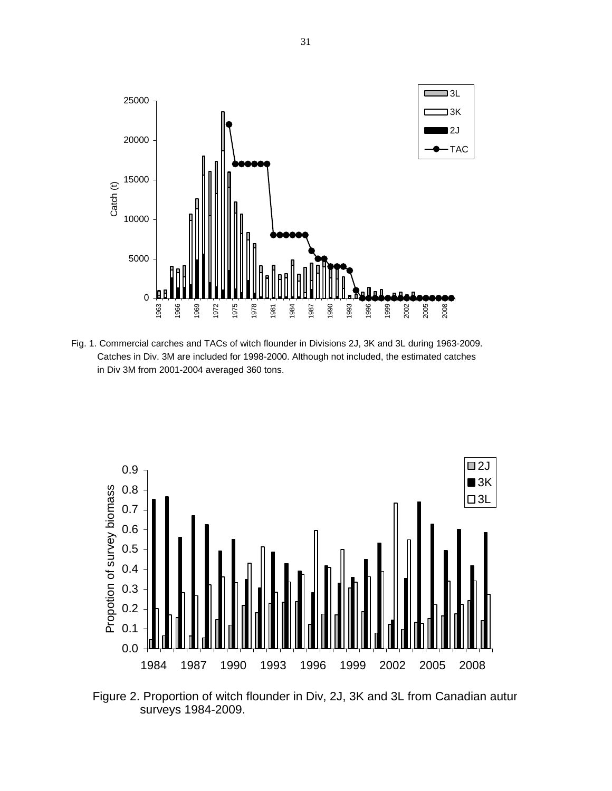

Fig. 1. Commercial carches and TACs of witch flounder in Divisions 2J, 3K and 3L during 1963-2009. Catches in Div. 3M are included for 1998-2000. Although not included, the estimated catches in Div 3M from 2001-2004 averaged 360 tons.



Figure 2. Proportion of witch flounder in Div, 2J, 3K and 3L from Canadian autur surveys 1984-2009.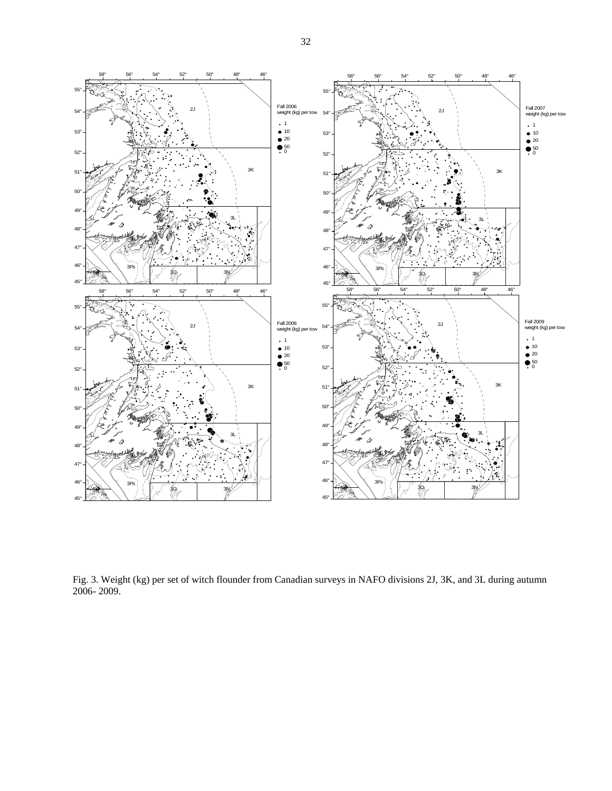

Fig. 3. Weight (kg) per set of witch flounder from Canadian surveys in NAFO divisions 2J, 3K, and 3L during autumn 2006- 2009.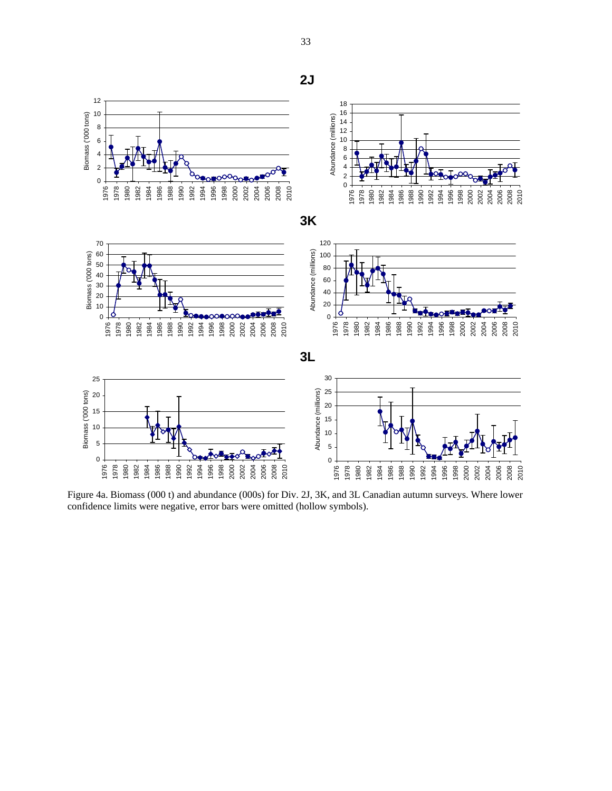**2J** Abundance (millions) Abundance (millions) **3K** Abundance (millions) Abundance (millions) 

 

Biomass ('000 tons)

Biomass ('000 tons)

 

Biomass ('000 tons)

Biomass ('000 tons)

 



Figure 4a. Biomass (000 t) and abundance (000s) for Div. 2J, 3K, and 3L Canadian autumn surveys. Where lower confidence limits were negative, error bars were omitted (hollow symbols).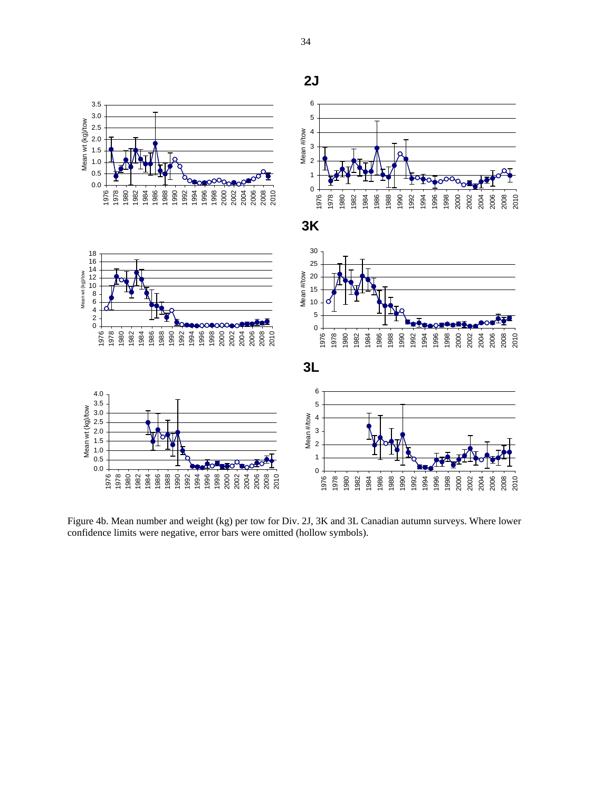

Figure 4b. Mean number and weight (kg) per tow for Div. 2J, 3K and 3L Canadian autumn surveys. Where lower confidence limits were negative, error bars were omitted (hollow symbols).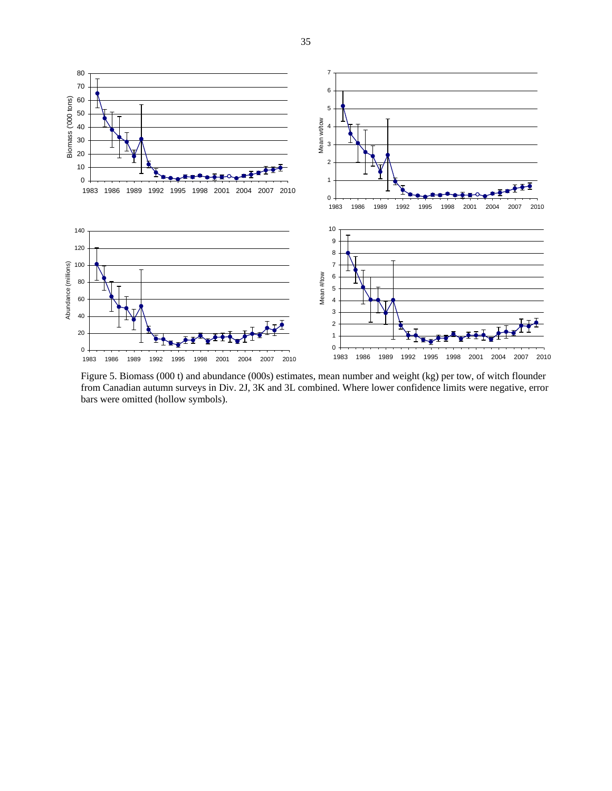

Figure 5. Biomass (000 t) and abundance (000s) estimates, mean number and weight (kg) per tow, of witch flounder from Canadian autumn surveys in Div. 2J, 3K and 3L combined. Where lower confidence limits were negative, error bars were omitted (hollow symbols).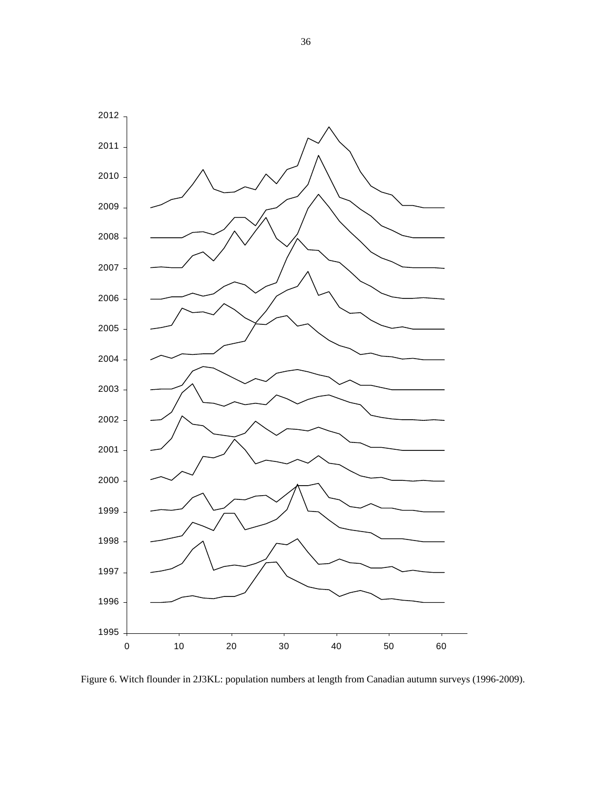

Figure 6. Witch flounder in 2J3KL: population numbers at length from Canadian autumn surveys (1996-2009).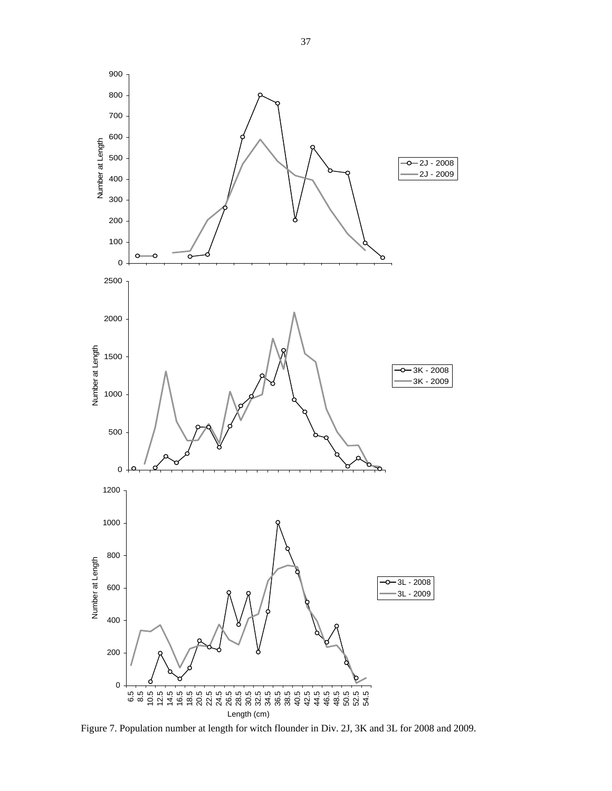

Figure 7. Population number at length for witch flounder in Div. 2J, 3K and 3L for 2008 and 2009.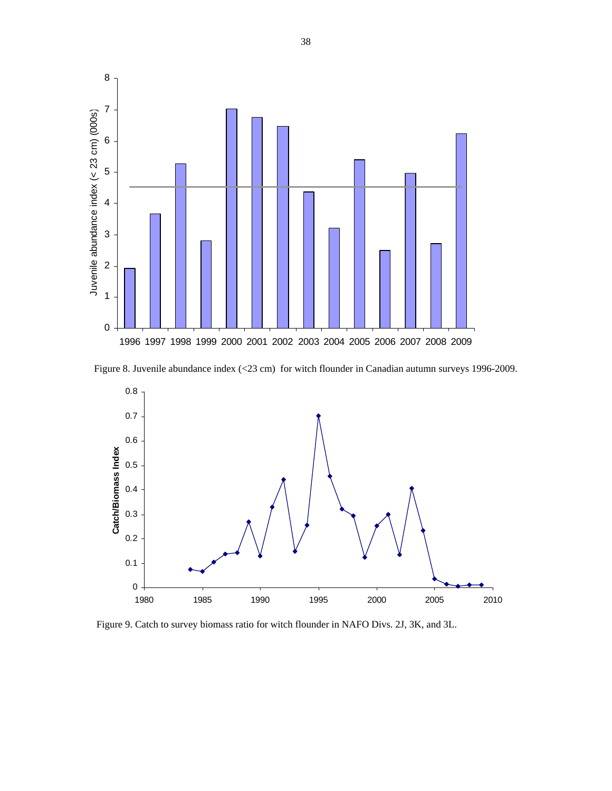

Figure 8. Juvenile abundance index (<23 cm) for witch flounder in Canadian autumn surveys 1996-2009.



Figure 9. Catch to survey biomass ratio for witch flounder in NAFO Divs. 2J, 3K, and 3L.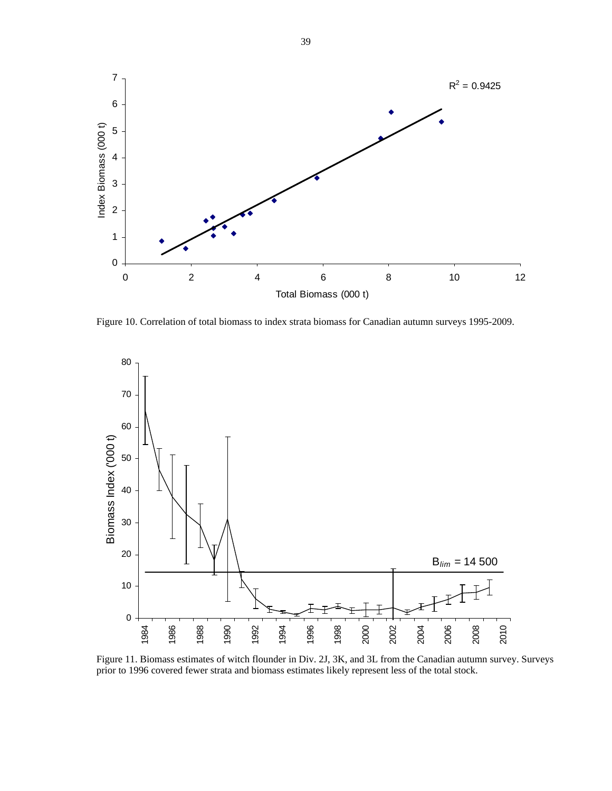

Figure 10. Correlation of total biomass to index strata biomass for Canadian autumn surveys 1995-2009.



Figure 11. Biomass estimates of witch flounder in Div. 2J, 3K, and 3L from the Canadian autumn survey. Surveys prior to 1996 covered fewer strata and biomass estimates likely represent less of the total stock.